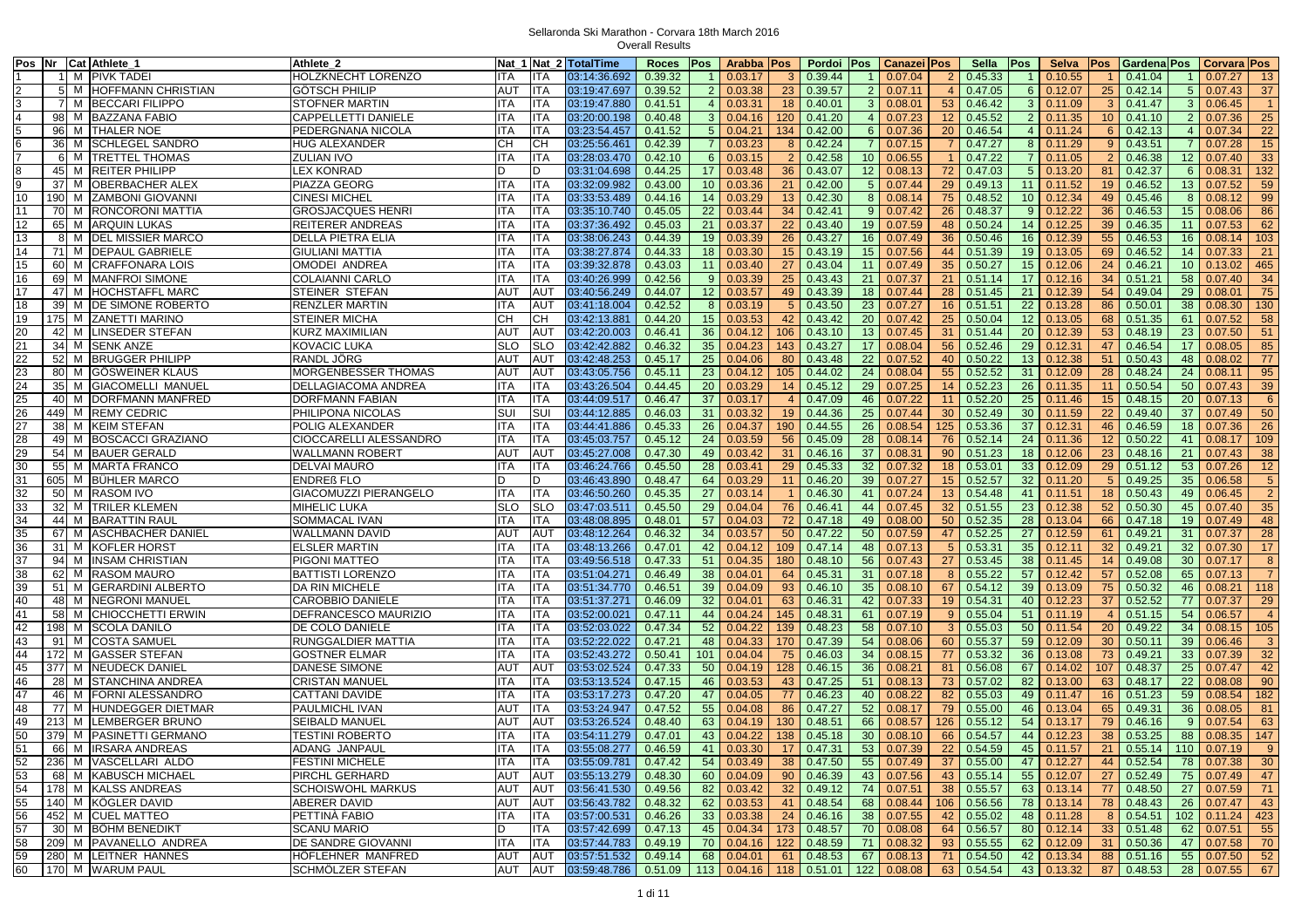|                         |                 | Pos Nr Cat Athlete_1       | Athlete 2                                  | Nat 1           |                 | Nat_2 TotalTime        | <b>Roces</b>       | <b>Pos</b>      | Arabba            | <b>Pos</b>      | Pordoi             | Pos             | Canazei Pos                         |                  | Sella             | <b>Pos</b>      | <b>Selva</b>      | <b>Pos</b>      | Gardena Pos       |                 | Corvara Pos                   |
|-------------------------|-----------------|----------------------------|--------------------------------------------|-----------------|-----------------|------------------------|--------------------|-----------------|-------------------|-----------------|--------------------|-----------------|-------------------------------------|------------------|-------------------|-----------------|-------------------|-----------------|-------------------|-----------------|-------------------------------|
|                         |                 | M PIVK TADEI               | HOLZKNECHT LORENZO                         | ITA             | <b>ITA</b>      | 03:14:36.692           | 0.39.32            | -1              | 0.03.17           | 3               | 0.39.44            | $\overline{1}$  | 0.07.04                             | 2                | 0.45.33           |                 | 0.10.55           |                 | 0.41.04           | $\overline{1}$  | 0.07.27<br>13                 |
| $\overline{c}$          |                 | 5 M HOFFMANN CHRISTIAN     | GÖTSCH PHILIP                              | <b>AUT</b>      | <b>ITA</b>      | 03:19:47.697           | 0.39.52            | 2 <sup>1</sup>  | 0.03.38           | 23              | 0.39.57            | $\overline{2}$  | 0.07.11                             | $\overline{4}$   | 0.47.05           | 6               | 0.12.07           | 25              | 0.42.14           | 5 <sup>5</sup>  | 37<br>0.07.43                 |
| $\overline{3}$          |                 | 7 M BECCARI FILIPPO        | <b>STOFNER MARTIN</b>                      | <b>ITA</b>      | <b>ITA</b>      | 03:19:47.880           | 0.41.51            |                 | 4   0.03.31       | 18              | 0.40.01            |                 | 3   0.08.01                         | 53               | 0.46.42           |                 | 3   0.11.09       | $\mathbf{3}$    | 0.41.47           | 3 <sup>1</sup>  | 0.06.45<br>$\overline{1}$     |
| $\overline{4}$          |                 | 98 M BAZZANA FABIO         | CAPPELLETTI DANIELE                        | ITA             | <b>ITA</b>      | 03:20:00.198           | 0.40.48            |                 | 3   0.04.16       | 120             | 0.41.20            | 4 <sup>1</sup>  | 0.07.23                             | 12 <sup>2</sup>  | 0.45.52           | $\overline{2}$  | 0.11.35           | 10 <sup>1</sup> | 0.41.10           | $\overline{2}$  | 25<br>0.07.36                 |
| $\frac{5}{6}$           |                 | 96 M THALER NOE            | PEDERGNANA NICOLA                          | ITA             | <b>ITA</b>      | 03:23:54.457           | 0.41.52            |                 | 5   0.04.21       | 134             | 0.42.00            | $6\overline{6}$ | 0.07.36                             | 20               | 0.46.54           |                 | $4 \mid 0.11.24$  | 6               | 0.42.13           | $\overline{4}$  | $\overline{22}$<br>0.07.34    |
|                         | 36              | M SCHLEGEL SANDRO          | HUG ALEXANDER                              | CН              | CH              | 03:25:56.461           | 0.42.39            | 7 I             | 0.03.23           | 8               | 0.42.24            | $\overline{7}$  | 0.07.15                             |                  | 0.47.27           |                 | 8 0.11.29         | 9               | 0.43.51           | $\overline{7}$  | 15<br>0.07.28                 |
| $\overline{7}$          |                 | 6 M TRETTEL THOMAS         | ZULIAN IVO                                 | ITA             | <b>ITA</b>      | 03:28:03.470           | 0.42.10            |                 | $6$ 0.03.15       | 2               | 0.42.58            | 10              | 0.06.55                             |                  | 0.47.22           |                 | 0.11.05           |                 | 0.46.38           | 12 <sup>2</sup> | 33<br>0.07.40                 |
| $\overline{\mathbf{8}}$ |                 | 45 M REITER PHILIPP        | LEX KONRAD                                 | D               | D               | 03:31:04.698           | 0.44.25            |                 | 17 0.03.48        | 36              | 0.43.07            | 12 <sup>2</sup> | 0.08.13                             | 72               | 0.47.03           |                 | $5 \mid 0.13.20$  | 81              | 0.42.37           | 6               | 0.08.31<br>132                |
| $\overline{9}$          | 37              | M OBERBACHER ALEX          | PIAZZA GEORG                               | <b>ITA</b>      | <b>ITA</b>      | 03:32:09.982           | 0.43.00            | 10 <sup>°</sup> | 0.03.36           | 21              | 0.42.00            | 5 <sup>5</sup>  | 0.07.44                             | 29               | 0.49.13           | 11              | 0.11.52           | 19              | 0.46.52           | 13              | 59<br>0.07.52                 |
| 10                      |                 | 190 M ZAMBONI GIOVANNI     | CINESI MICHEL                              | ITA             | <b>ITA</b>      | 03:33:53.489           | 0.44.16            | 14              | 0.03.29           |                 | 13 0.42.30         | 8               | 0.08.14                             | 75               | 0.48.52           |                 | 10 0.12.34        | 49              | 0.45.46           | 8               | 99<br>0.08.12                 |
| 11                      |                 | 70 M RONCORONI MATTIA      | <b>GROSJACQUES HENRI</b>                   | <b>ITA</b>      | <b>ITA</b>      | 03:35:10.740           | 0.45.05            | 22              | 0.03.44           |                 | 34 0.42.41         | 9 <sup>1</sup>  | 0.07.42                             | 26               | 0.48.37           |                 | $9 \mid 0.12.22$  | 36              | 0.46.53           | 15              | 0.08.06<br>86                 |
| 12                      | 65              | M ARQUIN LUKAS             | REITERER ANDREAS                           | <b>ITA</b>      | <b>ITA</b>      | 03:37:36.492           | 0.45.03            | 21              | 0.03.37           | 22              | 0.43.40            | 19              | 0.07.59                             | 48               | 0.50.24           |                 | 14 0.12.25        | 39              | 0.46.35           | 11              | 62<br>0.07.53                 |
| 13                      |                 | 8 M DEL MISSIER MARCO      | DELLA PIETRA ELIA                          | ITA             | <b>ITA</b>      | 03:38:06.243           | 0.44.39            |                 | 19 0.03.39        | 26              | 0.43.27            | 16              | 0.07.49                             | 36               | 0.50.46           |                 | 16 0.12.39        | 55              | 0.46.53           | 16              | 103<br>0.08.14                |
| 14                      | 71              | M DEPAUL GABRIELE          | GIULIANI MATTIA                            | ITA             | <b>ITA</b>      | 03:38:27.874           | 0.44.33            |                 | 18 0.03.30        | 15 <sup>2</sup> | 0.43.19            | 15              | 0.07.56                             | 44               | 0.51.39           |                 | 19 0.13.05        | 69              | 0.46.52           | 14              | 21<br>0.07.33                 |
| 15                      | 60              | M CRAFFONARA LOIS          | <b>OMODEI ANDREA</b>                       | <b>ITA</b>      | <b>ITA</b>      | 03:39:32.878           | 0.43.03            | 11              | 0.03.40           | 27              | 0.43.04            | 11              | 0.07.49                             | 35 <sup>5</sup>  | 0.50.27           |                 | 15 0.12.06        | 24              | 0.46.21           | 10 <sup>°</sup> | 0.13.02<br>465                |
| 16                      | 69              | M MANFROI SIMONE           | <b>COLAIANNI CARLO</b>                     | <b>ITA</b>      | <b>ITA</b>      | 03:40:26.999           | 0.42.56            |                 | 9   0.03.39       | 25              | 0.43.43            | 21              | 0.07.37                             | 21               | 0.51.14           |                 | $17$ 0.12.16      | 34              | 0.51.21           | 58              | 0.07.40<br>34                 |
| 17                      | 47              | M HOCHSTAFFL MARC          | STEINER STEFAN                             | AUT             | AUT             | 03:40:56.249           | 0.44.07            |                 | $12 \mid 0.03.57$ |                 | 49 0.43.39         | 18              | 0.07.44                             | 28               | 0.51.45           | 21              | 0.12.39           | 54              | 0.49.04           | 29              | 75<br>0.08.01                 |
| 18                      | 39              | M IDE SIMONE ROBERTO       | RENZLER MARTIN                             | ITA             | AUT             | 03:41:18.004           | 0.42.52            | 8 <sup>1</sup>  | 0.03.19           | $5^{\circ}$     | 0.43.50            | 23              | 0.07.27                             | 16               | 0.51.51           | 22              | 0.13.28           | 86              | 0.50.01           | 38              | 130<br>0.08.30                |
| 19                      |                 | 175 M ZANETTI MARINO       | <b>STEINER MICHA</b>                       | CН              | CН              | 03:42:13.881           | 0.44.20            | 15 <sup>1</sup> | 0.03.53           | 42              | 0.43.42            | 20              | 0.07.42                             | 25               | 0.50.04           |                 | $12 \mid 0.13.05$ | 68              | 0.51.35           | 61              | 0.07.52<br>58                 |
| 20                      | 42              | M LINSEDER STEFAN          | KURZ MAXIMILIAN                            | AUT             | AU <sub>1</sub> | 03:42:20.003           | 0.46.41            | 36              | 0.04.12           | 106             | 0.43.10            | 13              | 0.07.45                             | 31               | 0.51.44           | 20              | 0.12.39           | 53              | 0.48.19           | 23              | 0.07.50<br>51                 |
| 21                      |                 | 34 M SENK ANZE             | KOVACIC LUKA                               | <b>SLO</b>      | <b>SLO</b>      | 03:42:42.882           | 0.46.32            |                 | $35 \mid 0.04.23$ | 143             | 0.43.27            | 17              | 0.08.04                             | 56               | 0.52.46           |                 | 29 0.12.31        | 47              | 0.46.54           | 17              | 85<br>0.08.05                 |
| 22                      | 52              | M BRUGGER PHILIPP          | RANDL JÖRG                                 | AUT             | AUT             | 03:42:48.253           | 0.45.17            | 25              | 0.04.06           | 80              | 0.43.48            | 22              | 0.07.52                             | 40               | 0.50.22           |                 | 13 0.12.38        | 51              | 0.50.43           | 48              | 77<br>0.08.02                 |
| 23                      | 80              | M GÖSWEINER KLAUS          | MORGENBESSER THOMAS                        | <b>AUT</b>      | AUT             | 03:43:05.756           | 0.45.11            |                 | $23 \mid 0.04.12$ | 105             | 0.44.02            | 24              | 0.08.04                             | 55               | 0.52.52           |                 | 31 0.12.09        | 28              | 0.48.24           | 24              | 95<br>0.08.11                 |
| 24                      | 35              | M GIACOMELLI MANUEL        | DELLAGIACOMA ANDREA                        | <b>ITA</b>      | <b>ITA</b>      | 03:43:26.504           | 0.44.45            |                 | 20 0.03.29        | 14              | 0.45.12            | 29              | 0.07.25                             | 14               | 0.52.23           | 26              | 0.11.35           | 11              | 0.50.54           | 50              | 0.07.43<br>39                 |
|                         | 40              | M DORFMANN MANFRED         | DORFMANN FABIAN                            | <b>ITA</b>      | <b>ITA</b>      | 03:44:09.517           | 0.46.47            |                 | 37 0.03.17        | $\overline{4}$  | 0.47.09            | 46              | 0.07.22                             | 11               | 0.52.20           |                 | 25 0.11.46        | 15              | 0.48.15           | 20              | $6\overline{6}$<br>0.07.13    |
| 25<br>26                |                 | 449 M REMY CEDRIC          |                                            | SUI             | SUI             | 03:44:12.885           |                    | 31              | 0.03.32           | 19              |                    | 25              | 0.07.44                             | 30 <sup>°</sup>  | 0.52.49           | 30              | 0.11.59           | 22              | 0.49.40           | 37              | 50<br>0.07.49                 |
| $\overline{27}$         |                 | 38 M KEIM STEFAN           | PHILIPONA NICOLAS<br>POLIG ALEXANDER       | <b>ITA</b>      | <b>ITA</b>      | 03:44:41.886           | 0.46.03<br>0.45.33 | 26              | 0.04.37           | 190             | 0.44.36<br>0.44.55 | 26              | 0.08.54                             | 125              | 0.53.36           | 37              | 0.12.31           |                 | 0.46.59           | 18              | 26<br>0.07.36                 |
|                         | 49              | M BOSCACCI GRAZIANO        |                                            | ITA             | <b>ITA</b>      |                        | 0.45.12            |                 | 24 0.03.59        |                 |                    |                 | 0.08.14                             |                  | 0.52.14           |                 |                   | 46              | 0.50.22           |                 |                               |
| 28<br>29                |                 |                            | CIOCCARELLI ALESSANDRO                     |                 |                 | 03:45:03.757           |                    |                 |                   | 56              | 0.45.09            | 28              |                                     | 76               |                   | 24              | 0.11.36           | 12              |                   | 41              | 109<br>0.08.17                |
| 30                      | 54              | M BAUER GERALD             | WALLMANN ROBERT                            | <b>AUT</b>      | <b>AUT</b>      | 03:45:27.008           | 0.47.30            | 49              | 0.03.42           | 31              | 0.46.16            | 37              | 0.08.31                             | 90               | 0.51.23           | 18              | 0.12.06           | 23              | 0.48.16           | 21              | 38<br>0.07.43                 |
| 31                      |                 | 55 M MARTA FRANCO          | <b>DELVAI MAURO</b>                        | <b>ITA</b><br>D | <b>ITA</b><br>D | 03:46:24.766           | 0.45.50            | 28              | 0.03.41           | 29<br>11        | 0.45.33            | 32              | 0.07.32                             | 18 <sup>°</sup>  | 0.53.01           |                 | 33 0.12.09        | 29              | 0.51.12           | 53              | 12<br>0.07.26                 |
|                         | 605             | M BÜHLER MARCO             | ENDREß FLO<br><b>GIACOMUZZI PIERANGELO</b> |                 | <b>ITA</b>      | 03:46:43.890           | 0.48.47            | 64              | 0.03.29           |                 | 0.46.20            | 39              | 0.07.27                             | 15 <sub>15</sub> | 0.52.57           | 32 <sub>2</sub> | 0.11.20           | -5              | 0.49.25           | 35              | 5 <sup>5</sup><br>0.06.58     |
| 32                      |                 | 50 M RASOM IVO             |                                            | <b>ITA</b>      |                 | 03:46:50.260           | 0.45.35            | 27              | 0.03.14           |                 | 0.46.30            | 41              | 0.07.24                             | 13 <sup>°</sup>  | 0.54.48           | 41              | 0.11.51           | 18              | 0.50.43           | 49              | $\overline{2}$<br>0.06.45     |
| 33                      | 32 <sub>l</sub> | M TRILER KLEMEN            | MIHELIC LUKA                               | <b>SLO</b>      | SLO             | 03:47:03.511           | 0.45.50            | 29              | 0.04.04           | 76              | 0.46.41            | 44              | 0.07.45                             | 32 <sup>2</sup>  | 0.51.55           | 23              | 0.12.38           | 52              | 0.50.30           | 45              | 35<br>0.07.40                 |
| 34                      | 44              | M BARATTIN RAUL            | <b>SOMMACAL IVAN</b>                       | <b>ITA</b>      | <b>ITA</b>      | 03:48:08.895           | 0.48.01            |                 | 57 0.04.03        | 72              | 0.47.18            | 49              | 0.08.00                             | 50               | 0.52.35           | 28              | 0.13.04           | 66              | 0.47.18           | 19              | 48<br>0.07.49                 |
| 35                      | 67              | M  ASCHBACHER DANIEL       | WALLMANN DAVID                             | AUT             | AUT             | 03:48:12.264           | 0.46.32            | 34              | 0.03.57           | 50              | 0.47.22            | 50              | 0.07.59                             | 47               | 0.52.25           | 27              | 0.12.59           | 61              | 0.49.21           | 31              | 28<br>0.07.37                 |
| 36                      | 31              | M KOFLER HORS              | <b>ELSLER MARTIN</b>                       | ITA             | <b>ITA</b>      | 03:48:13.266           | 0.47.01            | 42              | 0.04.12           | 109             | 0.47.14            | 48              | 0.07.13                             | 5 <sup>5</sup>   | 0.53.31           | 35              | 0.12.11           | 32              | 0.49.21           | 32 <sup>2</sup> | 17<br>0.07.30                 |
| 37                      | 94              | M INSAM CHRISTIAN          | PIGONI MATTEO                              | <b>ITA</b>      | <b>ITA</b>      | 03:49:56.518           | 0.47.33            | 51              | 0.04.35           | 180             | 0.48.10            | 56              | 0.07.43                             | 27               | 0.53.45           | 38              | 0.11.45           | 14              | 0.49.08           | 30              | 0.07.17<br>8                  |
| 38                      |                 | 62 M RASOM MAURO           | <b>BATTISTI LORENZO</b>                    | <b>ITA</b>      | <b>ITA</b>      | 03:51:04.271           | 0.46.49            |                 | 38 0.04.01        | 64              | 0.45.31            | 31              | 0.07.18                             | 8                | 0.55.22           | 57              | 0.12.42           | 57              | 0.52.08           | 65              | $\overline{7}$<br>0.07.13     |
| 39                      | 51              | M GERARDINI ALBERTO        | DA RIN MICHELE                             | ITA             | <b>ITA</b>      | 03:51:34.770           | 0.46.51            |                 | 39 0.04.09        | 93              | 0.46.10            | 35              | 0.08.10                             | 67               | 0.54.12           |                 | 39 0.13.09        | 75              | 0.50.32           | 46              | 118<br>0.08.21                |
| 40                      | 48              | M NEGRONI MANUEL           | CAROBBIO DANIELE                           | <b>ITA</b>      | <b>ITA</b>      | 03:51:37.271           | 0.46.09            | 32 <sup>2</sup> | 0.04.01           | 63              | 0.46.31            | 42              | 0.07.33                             | 19 <sup>°</sup>  | 0.54.31           | 40              | 0.12.23           | 37              | 0.52.52           | 77              | 29<br>0.07.37                 |
| 41                      | 58              | M CHIOCCHETTI ERWIN        | DEFRANCESCO MAURIZIO                       | <b>ITA</b>      | <b>ITA</b>      | 03:52:00.021           | 0.47.11            |                 | 44 0.04.24        | 145             | 0.48.31            | 61              | 0.07.19                             | 9                | 0.55.04           | 51              | 0.11.19           | 4               | 0.51.15           | 54              | 0.06.57<br>$\overline{4}$     |
| 42                      |                 | 198 M SCOLA DANILO         | DE COLO DANIELE                            | <b>ITA</b>      | <b>ITA</b>      | 03:52:03.022           | 0.47.34            | 52              | 0.04.22           | 139             | 0.48.23            | 58              | 0.07.10                             | $\mathbf{3}$     | 0.55.03           | 50              | 0.11.54           | 20              | 0.49.22           | 34              | 105<br>0.08.15                |
| 43                      | 91              | M COSTA SAMUEL             | RUNGGALDIER MATTIA                         | <b>ITA</b>      | <b>ITA</b>      | 03:52:22.022           | 0.47.21            | 48              | 0.04.33           | 170             | 0.47.39            | 54              | 0.08.06                             | 60               | 0.55.37           | 59              | 0.12.09           | 30              | 0.50.11           | 39              | 3 <sup>5</sup><br>0.06.46     |
| 44                      | 172             | M GASSER STEFAN            | <b>GOSTNER ELMAR</b>                       | ITA             | <b>ITA</b>      | 03:52:43.272           | 0.50.41            | 101             | 0.04.04           | 75              | 0.46.03            | 34              | 0.08.15                             | 77               | 0.53.32           | 36              | 0.13.08           | 73              | 0.49.21           | 33              | 32 <sup>2</sup><br>0.07.39    |
| 45                      | 377             | M NEUDECK DANIEL           | DANESE SIMONE                              | <b>AUT</b>      | <b>AUT</b>      | 03:53:02.524           | 0.47.33            | 50              | 0.04.19           | 128             | 0.46.15            | 36              | 0.08.21                             | 81               | 0.56.08           | 67              | 0.14.02           | 107             | 0.48.37           | 25              | 42<br>0.07.47                 |
| 46                      | 28              | M ISTANCHINA ANDREA        | CRISTAN MANUEI                             | ITA             | <b>ITA</b>      | 03:53:13.524           | 0.47.15            | 46              | 0.03.53           | 43              | 0.47.25            | 51              | 0.08.13                             | 73               | 0.57.02           | 82              | 0.13.00           | 63              | 0.48.17           | 22              | 90<br>0.08.08                 |
| 47                      | 46              | M FORNI ALESSANDRO         | CATTANI DAVIDE                             | ITA             | <b>ITA</b>      | 03:53:17.273           | 0.47.20            | 47              | 0.04.05           | 77              | 0.46.23            | 40              | 0.08.22                             | 82               | 0.55.03           |                 | 49 0.11.47        | 16              | 0.51.23           | 59              | 182<br>0.08.54                |
| 48                      | 77              | M HUNDEGGER DIETMAR        | PAULMICHL IVAN                             | AUT             | <b>ITA</b>      | 03:53:24.947           | 0.47.52            |                 | 55 0.04.08        | 86              | 0.47.27            | 52              | 0.08.17                             | 79               | 0.55.00           | 46              | 0.13.04           | 65              | 0.49.31           | 36              | 0.08.05<br>81                 |
| 49                      | 213             | M LEMBERGER BRUNO          | <b>SEIBALD MANUEL</b>                      | <b>AUT</b>      | AUT             | 03:53:26.524           | 0.48.40            | 63              | 0.04.19           | 130             | 0.48.51            | 66              | 0.08.57                             | 126              | 0.55.12           | 54              | 0.13.17           | 79              | 0.46.16           | 9               | 63<br>0.07.54                 |
| 50                      |                 | 379 M PASINETTI GERMANO    | <b>TESTINI ROBERTO</b>                     | <b>ITA</b>      | <b>ITA</b>      | 03:54:11.279           | 0.47.01            |                 | 43 0.04.22        | 138             | 0.45.18            | 30              | 0.08.10                             | 66               | 0.54.57           | 44              | 0.12.23           | 38              | 0.53.25           | 88              | $\frac{147}{ }$<br>0.08.35    |
| 51                      |                 | 66 M <b>IRSARA ANDREAS</b> | <b>ADANG JANPAUL</b>                       | <b>ITA</b>      | <b>ITA</b>      | 03:55:08.277           | 0.46.59            |                 | 41 0.03.30        |                 | $17 \mid 0.47.31$  |                 | 53 0.07.39                          | 22               | 0.54.59           |                 | 45 0.11.57        | 21              |                   |                 | $0.55.14$ 110 0.07.19<br>9    |
|                         |                 | 52 236 M VASCELLARI ALDO   | <b>FESTINI MICHELE</b>                     | ITA             | IITA            | $03:55:09.781$ 0.47.42 |                    |                 | $54 \mid 0.03.49$ |                 | 38 0.47.50         |                 | 55   0.07.49                        |                  | 37   0.55.00      |                 | $47 \mid 0.12.27$ |                 | 44 0.52.54        |                 | 78 0.07.38<br>30 <sup>°</sup> |
| 53                      |                 | 68 M KABUSCH MICHAEL       | PIRCHL GERHARD                             | AUT             | AUT             | 03:55:13.279           | 0.48.30            |                 | 60 0.04.09        |                 | 90   0.46.39       |                 | 43 0.07.56                          |                  | 43 0.55.14        |                 | 55 0.12.07        |                 | 27 0.52.49        |                 | 75 0.07.49<br>47              |
| 54                      |                 | 178 M KALSS ANDREAS        | <b>SCHOISWOHL MARKUS</b>                   | <b>AUT</b>      | AUT             | 03:56:41.530           | 0.49.56            |                 | 82 0.03.42        |                 | $32 \mid 0.49.12$  |                 | 74 0.07.51                          |                  | 38 0.55.57        |                 | 63 0.13.14        | 77              | 0.48.50           | $27 \mid$       | 0.07.59<br>71                 |
| 55                      |                 | 140 M KÖGLER DAVID         | ABERER DAVID                               | AUT             | AUT             | 03:56:43.782           | 0.48.32            |                 | 62 0.03.53        |                 | 41 0.48.54         |                 | 68 0.08.44                          |                  | 106 0.56.56       |                 | 78 0.13.14        |                 | 78 0.48.43        |                 | 26 0.07.47<br>43              |
| 56                      |                 | 452 M CUEL MATTEO          | PETTINÀ FABIO                              | ITA             | ITA             | 03:57:00.531           | 0.46.26            |                 | 33   0.03.38      |                 | 24   0.46.16       |                 | 38 0.07.55                          |                  | $42 \mid 0.55.02$ |                 | 48 0.11.28        |                 | $8 \mid 0.54.51$  |                 | $102$ 0.11.24 423             |
| 57                      |                 | 30 M BÖHM BENEDIKT         | <b>SCANU MARIO</b>                         | D               | ITA             | 03:57:42.699           | 0.47.13            |                 | 45 0.04.34        |                 | 173   0.48.57      |                 | 70 0.08.08                          |                  | 64 0.56.57        |                 | $80$ 0.12.14      |                 | 33   0.51.48      |                 | 62 0.07.51<br>55              |
| 58                      |                 | 209 M PAVANELLO ANDREA     | DE SANDRE GIOVANNI                         | ITA             | <b>ITA</b>      | 03:57:44.783           | 0.49.19            |                 | 70 0.04.16        |                 | 122 0.48.59        |                 | 71 0.08.32                          |                  | 93 0.55.55        |                 | $62$ 0.12.09      |                 | $31 \mid 0.50.36$ | 47              | 0.07.58<br>70                 |
| 59                      |                 | 280 M LEITNER HANNES       | HÖFLEHNER MANFRED                          | AUT             | AUT             | 03:57:51.532           | 0.49.14            |                 | 68 0.04.01        |                 | $61 \mid 0.48.53$  |                 | $67$ 0.08.13                        |                  | 71 0.54.50        |                 | 42 0.13.34        |                 | 88 0.51.16        |                 | 55 0.07.50<br>52              |
| 60                      |                 | 170 M WARUM PAUL           | SCHMÖLZER STEFAN                           | AUT             | AUT             | 03:59:48.786           | 0.51.09            |                 |                   |                 |                    |                 | 113 0.04.16 118 0.51.01 122 0.08.08 |                  | 63 0.54.54        |                 | 43 0.13.32        |                 | 87 0.48.53        |                 | 67<br>28 0.07.55              |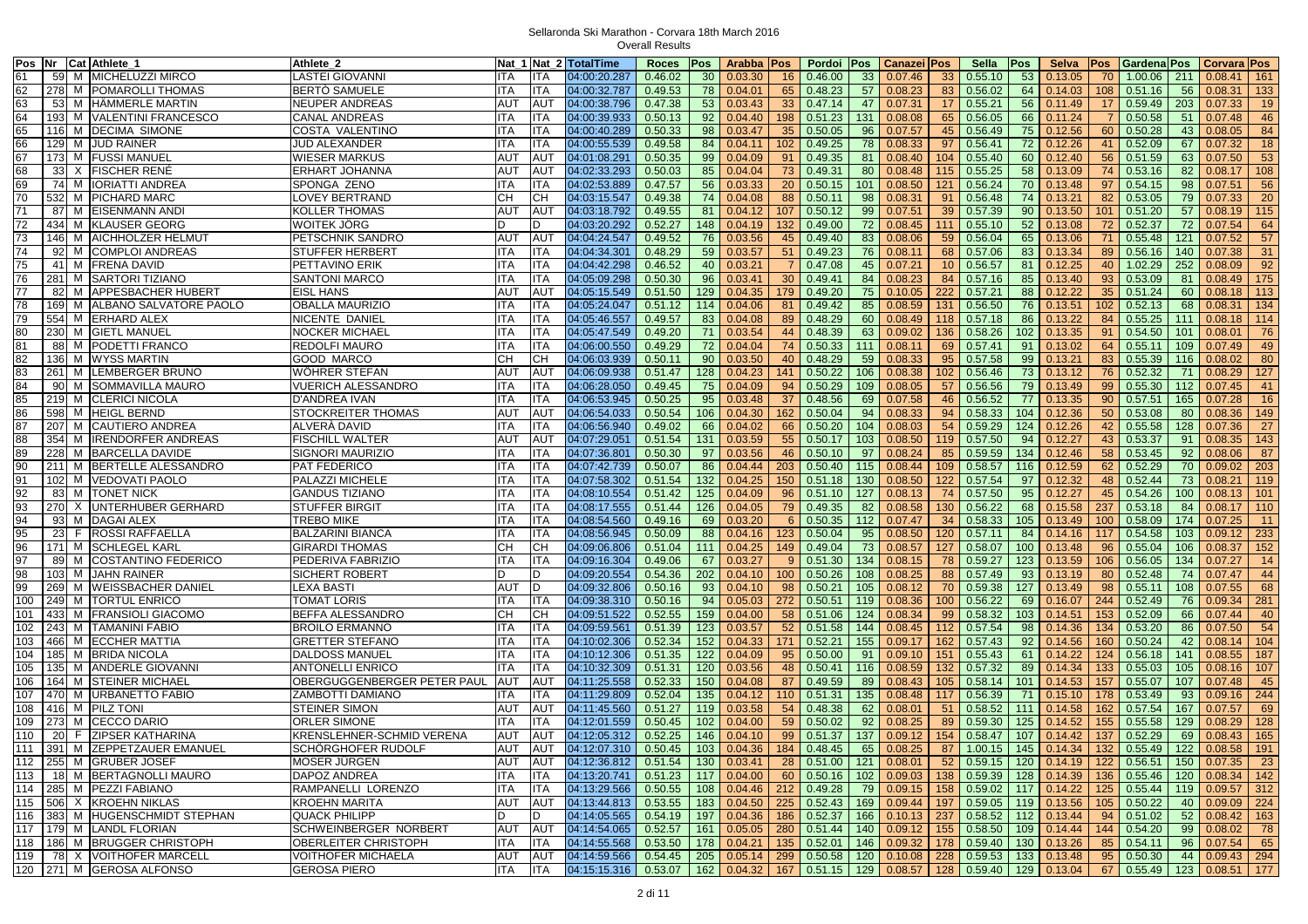|                 |     | Pos Nr Cat Athlete_1                | Athlete 2                   |            |            | Nat 1 Nat 2 TotalTime            | <b>Roces</b>                              | <b>Pos</b> | Arabba           | Pos             | Pordoi                 | Pos | Canazei Pos                                                   |                 | Sella           | Pos | <b>Selva</b> | Pos | Gardena Pos                     |     | Corvara Pos     |     |
|-----------------|-----|-------------------------------------|-----------------------------|------------|------------|----------------------------------|-------------------------------------------|------------|------------------|-----------------|------------------------|-----|---------------------------------------------------------------|-----------------|-----------------|-----|--------------|-----|---------------------------------|-----|-----------------|-----|
| 61              | 59  | M MICHELUZZI MIRCO                  | <b>LASTEI GIOVANNI</b>      | <b>ITA</b> | <b>ITA</b> | 04:00:20.287                     | 0.46.02                                   | 30         | 0.03.30          | 16              | 0.46.00                | 33  | 0.07.46                                                       | 33              | 0.55.10         | 53  | 0.13.05      | 70  | 1.00.06                         | 211 | 0.08.41         | 161 |
| 62              |     | 278 M POMAROLLI THOMAS              | <b>BERTO SAMUELE</b>        | <b>ITA</b> | <b>ITA</b> | 04:00:32.787                     | 0.49.53                                   |            | 78 0.04.01       | 65              | 0.48.23                | 57  | 0.08.23                                                       | 83              | 0.56.02         | 64  | 0.14.03      | 108 | 0.51.16                         | 56  | 0.08.31         | 133 |
| 63              | 53  | M HÄMMERLE MARTIN                   | NEUPER ANDREAS              | AUT        | <b>AUT</b> | 04:00:38.796                     | 0.47.38                                   | 53         | 0.03.43          | 33              | 0.47.14                | 47  | 0.07.31                                                       | 17              | 0.55.21         | 56  | 0.11.49      | 17  | 0.59.49                         | 203 | 0.07.33         | 19  |
| 64              | 193 | M VALENTINI FRANCESCO               | CANAL ANDREAS               | ITA        | <b>ITA</b> | 04:00:39.933                     | 0.50.13                                   | 92         | 0.04.40          | 198             | 0.51.23                | 131 | 0.08.08                                                       | 65              | 0.56.05         | 66  | 0.11.24      |     | 0.50.58                         | 51  | 0.07.48         | 46  |
| 65              |     | 116 M DECIMA SIMONE                 | COSTA VALENTINO             | <b>ITA</b> | ITA        | 04:00:40.289                     | 0.50.33                                   | 98         | 0.03.47          | 35 <sup>5</sup> | 0.50.05                | 96  | 0.07.57                                                       | 45              | 0.56.49         | 75  | 0.12.56      | 60  | 0.50.28                         | 43  | 0.08.05         | 84  |
| 66              |     | 129 M JUD RAINER                    | JUD ALEXANDER               | ITA        | <b>ITA</b> | 04:00:55.539                     | 0.49.58                                   | 84         | 0.04.1'          | 102             | 0.49.25                | 78  | 0.08.33                                                       | 97              | 0.56.41         | 72  | 0.12.26      | 41  | 0.52.09                         | 67  | 0.07.32         | 18  |
| 67              |     | 173 M FUSSI MANUEL                  |                             | AUT        | <b>AUT</b> | 04:01:08.291                     | 0.50.35                                   | 99         | 0.04.09          | 91              | 0.49.35                |     | 0.08.40                                                       | 104             | 0.55.40         | 60  | 0.12.40      | 56  | 0.51.59                         | 63  | 0.07.50         | 53  |
|                 |     |                                     | <b>WIESER MARKUS</b>        |            |            |                                  |                                           |            |                  |                 |                        | 81  |                                                               |                 |                 |     |              |     |                                 |     |                 |     |
| 68              | 33  | X FISCHER RENE                      | ERHART JOHANNA              | AUT        | AU1        | 04:02:33.293                     | 0.50.03                                   | 85         | 0.04.04          | 73              | 0.49.31                | 80  | 0.08.48                                                       | 115             | 0.55.25         | 58  | 0.13.09      | 74  | 0.53.16                         | 82  | 0.08.17         | 108 |
| 69              | 74  | M   IORIATTI ANDREA                 | SPONGA ZENO                 | ITA        | <b>ITA</b> | 04:02:53.889                     | 0.47.57                                   | 56         | 0.03.33          | 20              | 0.50.15                | 101 | 0.08.50                                                       | 121             | 0.56.24         | 70  | 0.13.48      | 97  | 0.54.15                         | 98  | 0.07.51         | 56  |
| 70              | 532 | M PICHARD MARC                      | LOVEY BERTRAND              | CН         | CH         | 04:03:15.547                     | 0.49.38                                   | 74         | 0.04.08          | 88              | 0.50.11                | 98  | 0.08.31                                                       | 91              | 0.56.48         | 74  | 0.13.21      | 82  | 0.53.05                         | 79  | 0.07.33         | 20  |
| 71              | 87  | M EISENMANN ANDI                    | <b>KOLLER THOMAS</b>        | AUT        | <b>AUT</b> | 04:03:18.792                     | 0.49.55                                   |            | 81 0.04.12       | 107             | 0.50.12                | 99  | 0.07.51                                                       | 39              | 0.57.39         | 90  | 0.13.50      | 101 | 0.51.20                         | 57  | 0.08.19         | 115 |
| 72              | 434 | M KLAUSER GEORG                     | WOITEK JÖRG                 |            | D          | 04:03:20.292                     | 0.52.27                                   | 148        | 0.04.19          | 132             | 0.49.00                | 72  | 0.08.45                                                       | 111             | 0.55.10         | 52  | 0.13.08      | 72  | 0.52.37                         | 72  | 0.07.54         | 64  |
| 73              | 146 | M AICHHOLZER HELMUT                 | <b>PETSCHNIK SANDRO</b>     | <b>AUT</b> | <b>AUT</b> | 04:04:24.547                     | 0.49.52                                   | 76         | 0.03.56          |                 | 45 0.49.40             | 83  | 0.08.06                                                       | 59              | 0.56.04         | 65  | 0.13.06      | 71  | 0.55.48                         | 121 | 0.07.52         | 57  |
| 74              | 92  | M COMPLOI ANDREAS                   | <b>STUFFER HERBERT</b>      | <b>ITA</b> | <b>ITA</b> | 04:04:34.301                     | 0.48.29                                   | 59         | 0.03.57          | 51              | 0.49.23                | 76  | 0.08.11                                                       | 68              | 0.57.06         | 83  | 0.13.34      | 89  | 0.56.16                         | 140 | 0.07.38         | 31  |
| 75              | 41  | M FRENA DAVID                       | PETTAVINO ERIK              | ITA        | <b>ITA</b> | 04:04:42.298                     | 0.46.52                                   | 40         | $0.03.2^{\circ}$ | $\overline{7}$  | 0.47.08                | 45  | 0.07.21                                                       | 10 <sup>°</sup> | 0.56.57         | 81  | 0.12.25      | 40  | 1.02.29                         | 252 | 0.08.09         | 92  |
| 76              | 281 | M SARTORI TIZIANO                   | <b>SANTONI MARCO</b>        | ITA        | <b>ITA</b> | 04:05:09.298                     | 0.50.30                                   | 96         | 0.03.4'          | 30 <sup>°</sup> | 0.49.41                | 84  | 0.08.23                                                       | 84              | 0.57.16         | 85  | 0.13.40      | 93  | 0.53.09                         | 81  | 0.08.49         | 175 |
| $\overline{77}$ | 82  | M APPESBACHER HUBERT                | <b>EISL HANS</b>            | AUT        | <b>AUT</b> | 04:05:15.549                     | 0.51.50                                   | 129        | 0.04.35          | 179             | 0.49.20                | 75  | 0.10.05                                                       | 222             | 0.57.21         | 88  | 0.12.22      | 35  | 0.51.24                         | 60  | 0.08.18         | 113 |
| 78              | 169 | M ALBANO SALVATORE PAOLO            | OBALLA MAURIZIO             | ITA        | <b>ITA</b> | 04:05:24.047                     | 0.51.12                                   | 114        | 0.04.06          | 81              | 0.49.42                | 85  | 0.08.59                                                       | 131             | 0.56.50         | 76  | 0.13.51      | 102 | 0.52.13                         | 68  | 0.08.31         | 134 |
| 79              | 554 | M ERHARD ALEX                       | NICENTE DANIEL              | ITA        | ITA        | 04:05:46.557                     | 0.49.57                                   | 83         | 0.04.08          | 89              | 0.48.29                | 60  | 0.08.49                                                       | 118             | 0.57.18         | 86  | 0.13.22      | 84  | 0.55.25                         | 111 | 0.08.18         | 114 |
| 80              |     | 230 M GIETL MANUEL                  | <b>NOCKER MICHAEL</b>       | ITA        | <b>ITA</b> | 04:05:47.549                     | 0.49.20                                   | 71         | 0.03.54          | 44              | 0.48.39                | 63  | 0.09.02                                                       | 136             | 0.58.26         | 102 | 0.13.35      | 91  | 0.54.50                         | 101 | 0.08.01         | 76  |
| 81              | 88  | M PODETTI FRANCO                    | REDOLFI MAURO               | ITA        | ITA        | 04:06:00.550                     | 0.49.29                                   | 72         | 0.04.04          | 74              | 0.50.33                | 111 | 0.08.11                                                       | 69              | 0.57.41         | 91  | 0.13.02      | 64  | 0.55.11                         | 109 | 0.07.49         | 49  |
| 82              | 136 | M WYSS MARTIN                       | GOOD MARCO                  | CН         | CН         | 04:06:03.939                     | 0.50.11                                   | 90         | 0.03.50          | 40              | 0.48.29                | 59  | 0.08.33                                                       | 95              | 0.57.58         | 99  | 0.13.21      | 83  | 0.55.39                         | 116 | 0.08.02         | 80  |
| 83              | 261 | M LEMBERGER BRUNO                   | WÖHRER STEFAN               | <b>AUT</b> | <b>AUT</b> | 04:06:09.938                     | 0.51.47                                   | 128        | 0.04.23          |                 | 141 0.50.22            | 106 | 0.08.38                                                       | 102             | 0.56.46         | 73  | 0.13.12      | 76  | 0.52.32                         | 71  | 0.08.29         | 127 |
| 84              |     | 90 M SOMMAVILLA MAURO               | <b>VUERICH ALESSANDRO</b>   | <b>ITA</b> | <b>ITA</b> | 04:06:28.050                     | 0.49.45                                   |            | 75 0.04.09       | 94              | 0.50.29                | 109 | 0.08.05                                                       | 57              | 0.56.56         | 79  | 0.13.49      | 99  | 0.55.30                         | 112 | 0.07.45         | 41  |
| 85              |     | 219 M CLERICI NICOLA                | <b>D'ANDREA IVAN</b>        | ITA        | <b>ITA</b> | 04:06:53.945                     | 0.50.25                                   | 95         | 0.03.48          | 37              | 0.48.56                | 69  | 0.07.58                                                       | 46              | 0.56.52         | 77  | 0.13.35      | 90  | 0.57.51                         | 165 | 0.07.28         | 16  |
| 86              | 598 | M HEIGL BERND                       | <b>STOCKREITER THOMAS</b>   | <b>AUT</b> | <b>AUT</b> | 04:06:54.033                     | 0.50.54                                   | 106        | 0.04.30          | 162             | 0.50.04                | 94  | 0.08.33                                                       | 94              | 0.58.33         | 104 | 0.12.36      | 50  | 0.53.08                         | 80  | 0.08.36         | 149 |
| 87              | 207 | M CAUTIERO ANDREA                   | ALVERÀ DAVID                | ITA        | <b>ITA</b> | 04:06:56.940                     | 0.49.02                                   | 66         | 0.04.02          | 66              | 0.50.20                | 104 | 0.08.03                                                       | 54              | 0.59.29         | 124 | 0.12.26      | 42  | 0.55.58                         | 128 | 0.07.36         | 27  |
| 88              | 354 | M IRENDORFER ANDREAS                | <b>FISCHILL WALTER</b>      | <b>AUT</b> | <b>AUT</b> | 04:07:29.051                     | 0.51.54                                   | 131        | 0.03.59          | 55              | 0.50.17                | 103 | 0.08.50                                                       | 119             | 0.57.50         | 94  | 0.12.27      | 43  | 0.53.37                         | 91  | 0.08.35         | 143 |
| 89              |     |                                     | <b>SIGNORI MAURIZIO</b>     |            |            |                                  |                                           |            |                  |                 |                        |     |                                                               |                 |                 |     |              |     |                                 |     |                 | 87  |
| 90              | 228 | M BARCELLA DAVIDE                   |                             | ITA        | <b>ITA</b> | 04:07:36.801                     | 0.50.30                                   | 97         | 0.03.56          | 46              | 0.50.10                | 97  | 0.08.24                                                       | 85              | 0.59.59         | 134 | 0.12.46      | 58  | 0.53.45                         | 92  | 0.08.06         |     |
|                 | 211 | M BERTELLE ALESSANDRO               | PAT FEDERICO                | ITA        | ITA        | 04:07:42.739                     | 0.50.07                                   | 86         | 0.04.44          | 203             | 0.50.40                | 115 | 0.08.44                                                       | 109             | 0.58.57         | 116 | 0.12.59      | 62  | 0.52.29                         | 70  | 0.09.02         | 203 |
| 91              | 102 | M VEDOVATI PAOLO                    | PALAZZI MICHELE             | ITA        | <b>ITA</b> | 04:07:58.302                     | 0.51.54                                   | 132        | 0.04.25          | 150             | 0.51.18                | 130 | 0.08.50                                                       | 122             | 0.57.54         | 97  | 0.12.32      | 48  | 0.52.44                         | 73  | 0.08.21         | 119 |
| 92              | 83  | <b>M</b> TONET NICK                 | GANDUS TIZIANO              | ITA        | <b>ITA</b> | 04:08:10.554                     | 0.51.42                                   | 125        | 0.04.09          | 96              | 0.51.10                | 127 | 0.08.13                                                       | 74              | 0.57.50         | 95  | 0.12.27      | 45  | 0.54.26                         | 100 | 0.08.13         | 101 |
| 93              | 270 | X UNTERHUBER GERHARD                | <b>STUFFER BIRGIT</b>       | ITA        | <b>ITA</b> | 04:08:17.555                     | 0.51.44                                   | 126        | 0.04.05          | 79              | 0.49.35                | 82  | 0.08.58                                                       | 130             | 0.56.22         | 68  | 0.15.58      | 237 | 0.53.18                         | 84  | 0.08.17         | 110 |
| 94              |     | 93 M DAGAI ALEX                     | <b>TREBO MIKE</b>           | ITA        | <b>ITA</b> | 04:08:54.560                     | 0.49.16                                   | 69         | 0.03.20          | $6^{\circ}$     | 0.50.35                | 112 | 0.07.47                                                       | 34              | 0.58.33         | 105 | 0.13.49      | 100 | 0.58.09                         | 174 | 0.07.25         | 11  |
| 95              | 23  | F ROSSI RAFFAELLA                   | <b>BALZARINI BIANCA</b>     | <b>ITA</b> | <b>ITA</b> | 04:08:56.945                     | 0.50.09                                   | 88         | 0.04.16          | 123             | 0.50.04                | 95  | 0.08.50                                                       | 120             | 0.57.11         | 84  | 0.14.16      | 117 | 0.54.58                         | 103 | 0.09.12         | 233 |
| 96              |     | 171 M SCHLEGEL KARL                 | <b>GIRARDI THOMAS</b>       | CН         | CН         | 04:09:06.806                     | 0.51.04                                   | 111        | 0.04.25          | 149             | 0.49.04                | 73  | 0.08.57                                                       | 127             | 0.58.07         | 100 | 0.13.48      | 96  | 0.55.04                         | 106 | 0.08.37         | 152 |
| 97              |     | 89 M COSTANTINO FEDERICO            | PEDERIVA FABRIZIO           | <b>ITA</b> | <b>ITA</b> | 04:09:16.304                     | 0.49.06                                   | 67         | 0.03.27          | 9               | 0.51.30                | 134 | 0.08.15                                                       | 78              | 0.59.27         | 123 | 0.13.59      | 106 | 0.56.05                         | 134 | 0.07.27         | 14  |
| 98              | 103 | M JAHN RAINER                       | <b>SICHERT ROBERT</b>       |            | D          | 04:09:20.554                     | 0.54.36                                   | 202        | 0.04.10          | 100             | 0.50.26                | 108 | 0.08.25                                                       | 88              | 0.57.49         | 93  | 0.13.19      | 80  | 0.52.48                         | 74  | 0.07.47         | 44  |
| 99              | 269 | M WEISSBACHER DANIEL                | ∟EXA BASTI                  | <b>AUT</b> | D          | 04:09:32.806                     | 0.50.16                                   | 93         | 0.04.10          | 98              | 0.50.21                | 105 | 0.08.12                                                       | 70              | 0.59.38         | 127 | 0.13.49      | 98  | 0.55.11                         | 108 | 0.07.55         | 68  |
| 100             | 249 | <b>M TORTUL ENRICO</b>              | TOMAT LORIS                 | <b>ITA</b> | <b>ITA</b> | 04:09:38.310                     | 0.50.16                                   | 94         | 0.05.03          | 272             | 0.50.51                | 119 | 0.08.36                                                       | 100             | 0.56.22         | 69  | 0.16.07      | 244 | 0.52.49                         | 76  | 0.09.34         | 281 |
| 101             |     | 433 M FRANSIOLI GIACOMO             | BEFFA ALESSANDRO            | CН         | CН         | 04:09:51.522                     | 0.52.55                                   |            | 159 0.04.00      | 58              | 0.51.06                | 124 | 0.08.34                                                       | 99              | 0.58.32         | 103 | 0.14.51      | 153 | 0.52.09                         | 66  | 0.07.44         | 40  |
| 102             |     | 243 M TAMANINI FABIO                | <b>BROILO ERMANNO</b>       | ITA        | <b>ITA</b> | 04:09:59.561                     | 0.51.39                                   | 123        | 0.03.57          | 52              | 0.51.58                | 144 | 0.08.45                                                       | 112             | 0.57.54         | 98  | 0.14.36      | 134 | 0.53.20                         | 86  | 0.07.50         | 54  |
| 103             |     | 466 M ECCHER MATTIA                 | <b>GRETTER STEFANO</b>      | ITA        | <b>ITA</b> | 04:10:02.306                     | 0.52.34                                   | 152        | 0.04.33          | 171             | 0.52.21                | 155 | 0.09.17                                                       | 162             | 0.57.43         | 92  | 0.14.56      | 160 | 0.50.24                         | 42  | 0.08.14         | 104 |
| 104             | 185 | M BRIDA NICOLA                      | DALDOSS MANUEL              | ITA        | <b>ITA</b> | 04:10:12.306                     | 0.51.35                                   | 122        | 0.04.09          | 95              | 0.50.00                | 91  | 0.09.10                                                       | 151             | 0.55.43         | 61  | 0.14.22      | 124 | 0.56.18                         | 141 | 0.08.55         | 187 |
| 105             | 135 | M ANDERLE GIOVANNI                  | <b>ANTONELLI ENRICO</b>     | <b>ITA</b> | <b>ITA</b> | 04:10:32.309                     | 0.51.31                                   | 120        | 0.03.56          | 48              | 0.50.41                | 116 | 0.08.59                                                       | 132             | 0.57.32         | 89  | 0.14.34      | 133 | 0.55.03                         | 105 | 0.08.16         | 107 |
| 106             | 164 | M STEINER MICHAEL                   | OBERGUGGENBERGER PETER PAUL | AUT        | <b>AUT</b> | 04:11:25.558                     | 0.52.33                                   | 150        | 0.04.08          | 87              | 0.49.59                | 89  | 0.08.43                                                       | 105             | 0.58.14         | 101 | 0.14.53      | 157 | 0.55.07                         | 107 | 0.07.48         | 45  |
| 107             | 470 | M URBANETTO FABIO                   | ZAMBOTTI DAMIANO            | ITA        | <b>ITA</b> | 04:11:29.809                     | 0.52.04                                   | 135        | 0.04.12          | 110             | 0.51.31                | 135 | 0.08.48                                                       | 117             | 0.56.39         | 71  | 0.15.10      | 178 | 0.53.49                         | 93  | 0.09.16         | 244 |
| 108             |     | 416 M PILZ TON                      | <b>STEINER SIMON</b>        | <b>AUT</b> | AUT        | 04:11:45.560                     | 0.51.27                                   | 119        | 0.03.58          | 54              | 0.48.38                | 62  | 0.08.01                                                       | 51              | 0.58.52         | 111 | 0.14.58      | 162 | 0.57.54                         | 167 | 0.07.57         | 69  |
| 109             | 273 | M CECCO DARIO                       | <b>ORLER SIMONE</b>         | ITA        | ITA        | 04:12:01.559                     | 0.50.45                                   | 102        | 0.04.00          | 59              | 0.50.02                | 92  | 0.08.25                                                       | 89              | 0.59.30         | 125 | 0.14.52      | 155 | 0.55.58                         | 129 | 0.08.29         | 128 |
| 110             |     | 20 F ZIPSER KATHARINA               | KRENSLEHNER-SCHMID VERENA   | AUT        | <b>AUT</b> | 04:12:05.312                     | 0.52.25                                   |            | 146 0.04.10      | 99              | 0.51.37                | 137 | 0.09.12                                                       | 154             | 0.58.47         | 107 | 0.14.42      | 137 | 0.52.29                         | 69  | 0.08.43         | 165 |
|                 |     | 111   391   M   ZEPPETZAUER EMANUEL | SCHÖRGHOFER RUDOLF          | AUT        | AUT        |                                  |                                           |            |                  |                 | 184 0.48.45            |     | 65 0.08.25                                                    |                 | 87 1.00.15 145  |     |              |     | $0.14.34$   132   0.55.49   122 |     | $0.08.58$ 191   |     |
|                 |     | 112 255 M GRUBER JOSEF              |                             |            |            |                                  |                                           |            |                  |                 |                        |     |                                                               |                 |                 |     |              |     |                                 |     |                 |     |
|                 |     |                                     | MOSER JÜRGEN                | <b>AUT</b> | AUT        | 04:12:36.812 0.51.54 130 0.03.41 |                                           |            |                  |                 | 28 0.51.00 121 0.08.01 |     |                                                               |                 | 52 0.59.15      | 120 | 0.14.19      |     | $122$ 0.56.51                   | 150 | 0.07.35         | 23  |
|                 |     | 113 18 M BERTAGNOLLI MAURO          | DAPOZ ANDREA                | ITA        | <b>ITA</b> | 04:13:20.741 0.51.23             |                                           |            | 117 0.04.00      |                 | 60 0.50.16             | 102 | 0.09.03                                                       |                 | 138 0.59.39     | 128 | 0.14.39      |     | 136 0.55.46                     | 120 | $0.08.34$ 142   |     |
|                 |     | 114 285 M PEZZI FABIANO             | RAMPANELLI LORENZO          | <b>ITA</b> | <b>ITA</b> | 04:13:29.566                     | 0.50.55                                   |            | 108 0.04.46      |                 | 212 0.49.28            | 79  | 0.09.15                                                       |                 | 158 0.59.02     | 117 | 0.14.22      |     | $125$ 0.55.44                   | 119 | $0.09.57$ 312   |     |
|                 |     | 115 506 X KROEHN NIKLAS             | <b>KROEHN MARITA</b>        | <b>AUT</b> | <b>AUT</b> | 04:13:44.813                     | 0.53.55                                   |            | 183 0.04.50      |                 | 225 0.52.43            | 169 | 0.09.44                                                       |                 | 197 0.59.05 119 |     | 0.13.56      |     | $105$ 0.50.22                   | 40  | $0.09.09$ 224   |     |
|                 |     | 116 383 M HUGENSCHMIDT STEPHAN      | <b>QUACK PHILIPP</b>        | D          | D          | 04:14:05.565                     | 0.54.19                                   |            | 197 0.04.36      |                 | 186 0.52.37            | 166 | 0.10.13                                                       | 237             | 0.58.52         | 112 | 0.13.44      | 94  | 0.51.02                         | 52  | $0.08.42$ 163   |     |
|                 |     | 117 179 M LANDL FLORIAN             | SCHWEINBERGER NORBERT       | <b>AUT</b> | <b>AUT</b> | 04:14:54.065                     | 0.52.57                                   |            | $161$ 0.05.05    |                 | 280 0.51.44            | 140 | 0.09.12                                                       |                 | 155 0.58.50     | 109 | 0.14.44      | 144 | 0.54.20                         | 99  | 0.08.02         | 78  |
|                 |     | 118 186 M BRUGGER CHRISTOPH         | OBERLEITER CHRISTOPH        | ITA        | <b>ITA</b> | 04:14:55.568                     | 0.53.50                                   |            | 178 0.04.21      |                 | 135 0.52.01            | 146 | 0.09.32                                                       |                 | 178 0.59.40     | 130 | 0.13.26      |     | $85$ 0.54.11                    | 96  | 0.07.54         | 65  |
|                 |     | 119   78 X VOITHOFER MARCELL        | VOITHOFER MICHAELA          | AUT        | AUT        | 04:14:59.566                     | $0.54.45$   205   0.05.14   299   0.50.58 |            |                  |                 |                        |     | 120 0.10.08 228 0.59.53 133 0.13.48                           |                 |                 |     |              |     | $95 \mid 0.50.30$               | 44  | $0.09.43$   294 |     |
|                 |     | 120 271 M GEROSA ALFONSO            | <b>GEROSA PIERO</b>         | ITA        | <b>ITA</b> | 04:15:15.316 0.53.07 162 0.04.32 |                                           |            |                  |                 |                        |     | 167   0.51.15   129   0.08.57   128   0.59.40   129   0.13.04 |                 |                 |     |              |     | 67 0.55.49 123 0.08.51 177      |     |                 |     |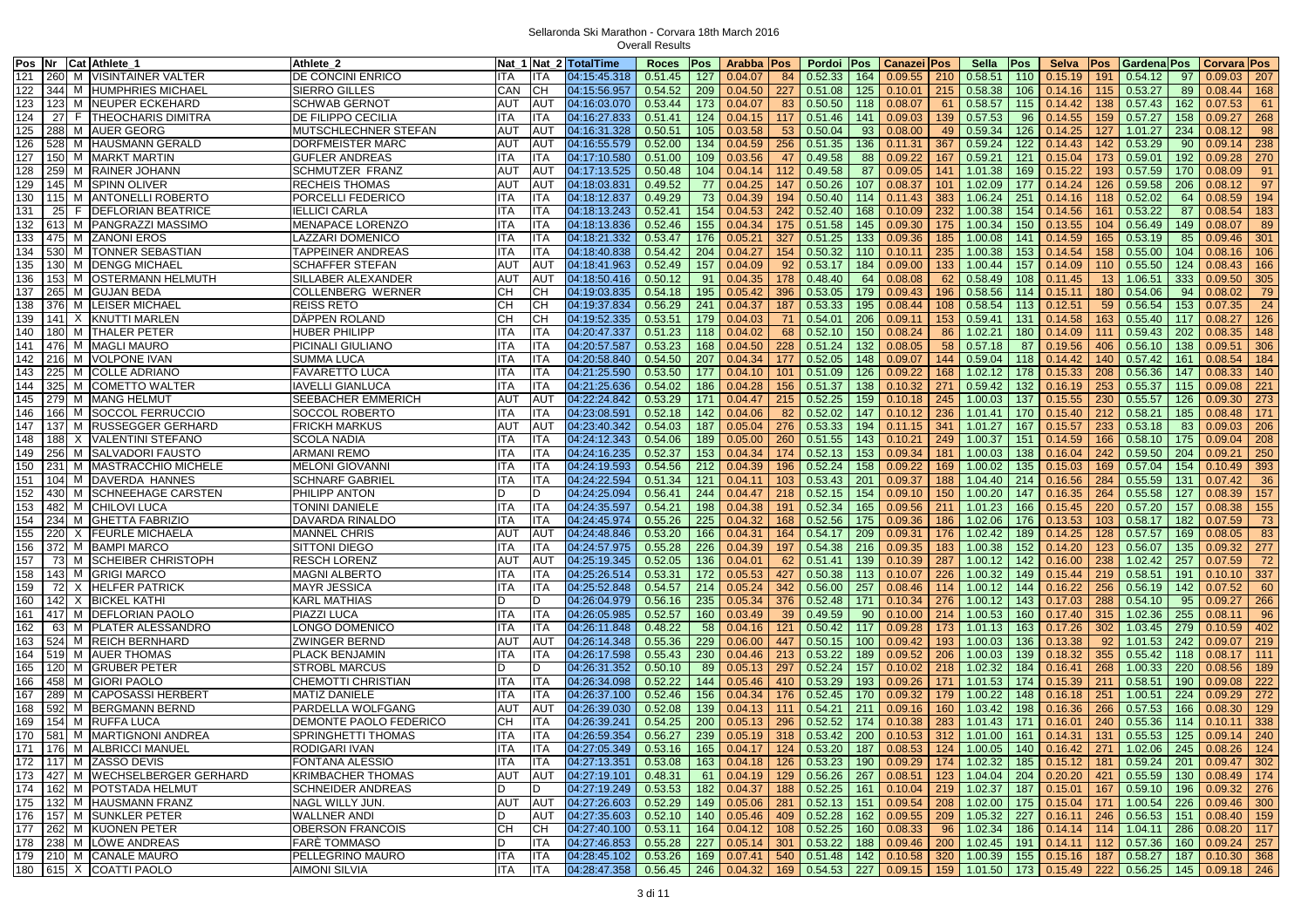| Pos Nr Cat Athlete_1 |                                           | Athlete 2                |            |            | Nat 1 Nat 2 TotalTime               | Roces   Pos           |     | Arabba   Pos      |           | Pordoi Pos                                                                  | Canazei   Pos |     | Sella           | Pos | Selva   | <b>Pos</b> | Gardena Pos                     |     | Corvara Pos     |     |
|----------------------|-------------------------------------------|--------------------------|------------|------------|-------------------------------------|-----------------------|-----|-------------------|-----------|-----------------------------------------------------------------------------|---------------|-----|-----------------|-----|---------|------------|---------------------------------|-----|-----------------|-----|
| 121                  | 260 M VISINTAINER VALTER                  | DE CONCINI ENRICO        | ITA        | ITA        | 04:15:45.318                        | 0.51.45               | 127 | 0.04.07           | 84        | 0.52.33<br>164                                                              | 0.09.55       | 210 | 0.58.51         | 110 | 0.15.19 | 191        | 0.54.12                         | 97  | 0.09.03         | 207 |
| 122                  | 344 M HUMPHRIES MICHAEL                   | <b>SIERRO GILLES</b>     | CAN        | CН         | 04:15:56.957                        | 0.54.52               | 209 | 0.04.50           | 227       | 125<br>0.51.08                                                              | 0.10.01       | 215 | 0.58.38         | 106 | 0.14.16 | 115        | 0.53.27                         | 89  | 0.08.44         | 168 |
| 123                  | 123 M NEUPER ECKEHARD                     | <b>SCHWAB GERNOT</b>     | AUT        | AUT        | 04:16:03.070                        | 0.53.44               | 173 | 0.04.07           | 83        | 0.50.50<br>118                                                              | 0.08.07       | 61  | 0.58.57         | 115 | 0.14.42 | 138        | 0.57.43                         | 162 | 0.07.53         | 61  |
| 124                  | 27 F THEOCHARIS DIMITRA                   | DE FILIPPO CECILIA       | ITA        | ITA        | 04:16:27.833                        | 0.51.41               | 124 | 0.04.15           | 117       | 0.51.46<br>141                                                              | 0.09.03       | 139 | 0.57.53         | 96  | 0.14.55 | 159        | 0.57.27                         | 158 | 0.09.27         | 268 |
| 125                  | 288 M AUER GEORG                          | MUTSCHLECHNER STEFAN     | AUT        | AUT        | 04:16:31.328                        | 0.50.51               | 105 | 0.03.58           | 53        | 0.50.04<br>93                                                               | 0.08.00       | 49  | 0.59.34         | 126 | 0.14.25 | 127        | 1.01.27                         | 234 | 0.08.12         | 98  |
| 126                  | 528 M HAUSMANN GERALD                     | DORFMEISTER MARC         | <b>AUT</b> | AUT        | 04:16:55.579                        | 0.52.00               | 134 | 0.04.59           | 256       | 0.51.35<br>136                                                              | 0.11.31       | 367 | 0.59.24         | 122 | 0.14.43 | 142        | 0.53.29                         | 90  | 0.09.14         | 238 |
| 127                  |                                           | <b>GUFLER ANDREAS</b>    | ITA        | ITA        |                                     |                       |     | 0.03.56           |           | 0.49.58                                                                     | 0.09.22       | 167 |                 |     |         |            |                                 | 192 | 0.09.28         | 270 |
| 128                  | 150 M MARKT MARTIN<br>259 M RAINER JOHANN |                          | <b>AUT</b> | AUT        | 04:17:10.580                        | 0.51.00               | 109 |                   | 47<br>112 | 88<br>87                                                                    |               | 141 | 0.59.21         | 121 | 0.15.04 | 173<br>193 | 0.59.01                         | 170 |                 |     |
|                      |                                           | <b>SCHMUTZER FRANZ</b>   |            |            | 04:17:13.525                        | 0.50.48               | 104 | 0.04.14           |           | 0.49.58                                                                     | 0.09.05       |     | 1.01.38         | 169 | 0.15.22 |            | 0.57.59                         |     | 0.08.09         | 91  |
| 129                  | 145 M SPINN OLIVER                        | <b>RECHEIS THOMAS</b>    | <b>AUT</b> | AUT        | 04:18:03.831                        | 0.49.52               | 77  | 0.04.25           | 147       | 0.50.26<br>107                                                              | 0.08.37       | 101 | 1.02.09         | 177 | 0.14.24 | 126        | 0.59.58                         | 206 | 0.08.12         | 97  |
| 130                  | 115 M ANTONELLI ROBERTO                   | PORCELLI FEDERICO        | <b>ITA</b> | ITA        | 04:18:12.837                        | 0.49.29               | 73  | 0.04.39           | 194       | 0.50.40<br>114                                                              | 0.11.43       | 383 | 1.06.24         | 251 | 0.14.16 | 118        | 0.52.02                         | 64  | 0.08.59         | 194 |
| 131                  | 25 F <b>IDEFLORIAN BEATRICE</b>           | <b>IELLICI CARLA</b>     | ITA        | ITA        | 04:18:13.243                        | 0.52.41               | 154 | 0.04.53           | 242       | 0.52.40<br>168                                                              | 0.10.09       | 232 | 1.00.38         | 154 | 0.14.56 | 161        | 0.53.22                         | 87  | 0.08.54         | 183 |
| 132                  | 613 M PANGRAZZI MASSIMO                   | <b>MENAPACE LORENZO</b>  | <b>ITA</b> | ITA        | 04:18:13.836                        | 0.52.46               | 155 | 0.04.34           | 175       | 0.51.58<br>145                                                              | 0.09.30       | 175 | 1.00.34         | 150 | 0.13.55 | 104        | 0.56.49                         | 149 | 0.08.07         | 89  |
| 133                  | 475 M ZANONI EROS                         | LAZZARI DOMENICO         | ITA        | ITA        | 04:18:21.332                        | 0.53.47               | 176 | 0.05.21           | 327       | 133<br>0.51.25                                                              | 0.09.36       | 185 | 1.00.08         | 141 | 0.14.59 | 165        | 0.53.19                         | 85  | 0.09.46         | 301 |
| 134                  | <b>530 M TONNER SEBASTIAN</b>             | TAPPEINER ANDREAS        | ITA        | ITA        | 04:18:40.838                        | 0.54.42               | 204 | 0.04.27           | 154       | 0.50.32<br>110                                                              | 0.10.11       | 235 | 1.00.38         | 153 | 0.14.54 | 158        | 0.55.00                         | 104 | 0.08.16         | 106 |
| 130<br>135           | M DENGG MICHAEL                           | <b>SCHAFFER STEFAN</b>   | AUT        | AUT        | 04:18:41.963                        | 0.52.49               | 157 | 0.04.09           | 92        | 0.53.17<br>184                                                              | 0.09.00       | 133 | 1.00.44         | 157 | 0.14.09 | 110        | 0.55.50                         | 124 | 0.08.43         | 166 |
| 136<br>153           | M OSTERMANN HELMUTH                       | SILLABER ALEXANDER       | AUT        | AUT        | 04:18:50.416                        | 0.50.12               | 91  | 0.04.35           | 178       | 0.48.40<br>64                                                               | 0.08.08       | 62  | 0.58.49         | 108 | 0.11.45 | 13         | 1.06.51                         | 333 | 0.09.50         | 305 |
| 137                  | 265 M GUJAN BEDA                          | <b>COLLENBERG WERNER</b> | CН         | CН         | 04:19:03.835                        | 0.54.18               | 195 | 0.05.42           | 396       | 0.53.05<br>179                                                              | 0.09.43       | 196 | 0.58.56         | 114 | 0.15.11 | 180        | 0.54.06                         | 94  | 0.08.02         | 79  |
| 138                  | 376 M LEISER MICHAEL                      | <b>REISS RETO</b>        | CН         | CН         | 04:19:37.834                        | 0.56.29               | 241 | 0.04.37           | 187       | 0.53.33<br>195                                                              | 0.08.44       | 108 | 0.58.54         | 113 | 0.12.51 | 59         | 0.56.54                         | 153 | 0.07.35         | 24  |
| 139                  | 141 X KNUTTI MARLEN                       | <b>DAPPEN ROLAND</b>     | CН         | СН         | 04:19:52.335                        | 0.53.51               | 179 | 0.04.03           | 71        | 0.54.01<br>206                                                              | 0.09.11       | 153 | 0.59.41         | 131 | 0.14.58 | 163        | 0.55.40                         | 117 | 0.08.27         | 126 |
| 140                  | 180 M THALER PETER                        | <b>HUBER PHILIPP</b>     | ITA        | ITA        | 04:20:47.337                        | 0.51.23               | 118 | 0.04.02           | 68        | 150<br>0.52.10                                                              | 0.08.24       | 86  | 1.02.21         | 180 | 0.14.09 | 111        | 0.59.43                         | 202 | 0.08.35         | 148 |
| 141                  | 476 M MAGLI MAURO                         | PICINALI GIULIANO        | ITA        | ITA        | 04:20:57.587                        | 0.53.23               | 168 | 0.04.50           | 228       | 0.51.24<br>132                                                              | 0.08.05       | 58  | 0.57.18         | 87  | 0.19.56 | 406        | 0.56.10                         | 138 | 0.09.51         | 306 |
| 142                  | 216 M VOLPONE IVAN                        | <b>SUMMA LUCA</b>        | ITA        | ITA        | 04:20:58.840                        | 0.54.50               | 207 | 0.04.34           | 177       | 0.52.05<br>148                                                              | 0.09.07       | 144 | 0.59.04         | 118 | 0.14.42 | 140        | 0.57.42                         | 161 | 0.08.54         | 184 |
| 143                  | 225 M COLLE ADRIANO                       | <b>FAVARETTO LUCA</b>    | ITA        | ITA        | 04:21:25.590                        | 0.53.50               | 177 | 0.04.10           | 101       | 0.51.09<br>126                                                              | 0.09.22       | 168 | 1.02.12         | 178 | 0.15.33 | 208        | 0.56.36                         | 147 | 0.08.33         | 140 |
| 325<br>144           | M COMETTO WALTER                          | <b>IAVELLI GIANLUCA</b>  | ITA        | ITA        | 04:21:25.636                        | 0.54.02               | 186 | 0.04.28           | 156       | 0.51.37<br>138                                                              | 0.10.32       | 271 | 0.59.42         | 132 | 0.16.19 | 253        | 0.55.37                         | 115 | 0.09.08         | 221 |
| 145                  | 279 M MANG HELMUT                         | SEEBACHER EMMERICH       | AUT        | AUT        | 04:22:24.842                        | 0.53.29               | 171 | 0.04.47           | 215       | 0.52.25<br>159                                                              | 0.10.18       | 245 | 1.00.03         | 137 | 0.15.55 | 230        | 0.55.57                         | 126 | 0.09.30         | 273 |
| 146<br>166           | M SOCCOL FERRUCCIO                        | SOCCOL ROBERTO           | <b>ITA</b> | ITA        | 04:23:08.591                        | 0.52.18               | 142 | 0.04.06           | 82        | 0.52.02<br>147                                                              | 0.10.12       | 236 | 1.01.41         | 170 | 0.15.40 | 212        | 0.58.21                         | 185 | 0.08.48         | 171 |
| 147<br>137           | M RUSSEGGER GERHARD                       | <b>FRICKH MARKUS</b>     | <b>AUT</b> | AUT        | 04:23:40.342                        | 0.54.03               | 187 | 0.05.04           | 276       | 0.53.33<br>194                                                              | 0.11.15       | 341 | 1.01.27         | 167 | 0.15.57 | 233        | 0.53.18                         | 83  | 0.09.03         | 206 |
| 148<br>188           | X VALENTINI STEFANO                       | <b>SCOLA NADIA</b>       | ITA        | ITA        | 04:24:12.343                        | 0.54.06               | 189 | 0.05.00           | 260       | 0.51.55<br>143                                                              | 0.10.21       | 249 | 1.00.37         | 151 | 0.14.59 | 166        | 0.58.10                         | 175 | 0.09.04         | 208 |
| 149                  | 256 M SALVADORI FAUSTO                    | <b>ARMANI REMO</b>       | <b>ITA</b> | ITA        | 04:24:16.235                        | 0.52.37               | 153 | 0.04.34           | 174       | 0.52.13<br>153                                                              | 0.09.34       | 181 | 1.00.03         | 138 | 0.16.04 | 242        | 0.59.50                         | 204 | 0.09.21         | 250 |
| 150<br>231           | M MASTRACCHIO MICHELE                     | <b>MELONI GIOVANNI</b>   | ITA        | ITA        | 04:24:19.593                        | 0.54.56               | 212 | 0.04.39           | 196       | 0.52.24<br>158                                                              | 0.09.22       | 169 | 1.00.02         | 135 | 0.15.03 | 169        | 0.57.04                         | 154 | 0.10.49         | 393 |
| 151                  | 104 M DAVERDA HANNES                      |                          | ITA        | ITA        | 04:24:22.594                        | 0.51.34               | 121 | 0.04.11           | 103       | 0.53.43<br>201                                                              | 0.09.37       | 188 | 1.04.40         | 214 | 0.16.56 | 284        | 0.55.59                         | 131 | 0.07.42         |     |
|                      |                                           | <b>SCHNARF GABRIEL</b>   |            |            |                                     |                       |     |                   |           |                                                                             |               |     |                 |     |         |            |                                 |     |                 | 36  |
| 152                  | 430 M SCHNEEHAGE CARSTEN                  | PHILIPP ANTON            | D          | D          | 04:24:25.094                        | 0.56.41               | 244 | 0.04.47           | 218       | 0.52.15<br>154                                                              | 0.09.10       | 150 | 1.00.20         | 147 | 0.16.35 | 264        | 0.55.58                         | 127 | 0.08.39         | 157 |
| 153                  | 482 M CHILOVI LUCA                        | TONINI DANIELE           | ITA        | ITA        | 04:24:35.597                        | 0.54.21               | 198 | 0.04.38           | 191       | 0.52.34<br>165                                                              | 0.09.56       | 211 | 1.01.23         | 166 | 0.15.45 | 220        | 0.57.20                         | 157 | 0.08.38         | 155 |
| 154                  | 234 M GHETTA FABRIZIO                     | DAVARDA RINALDO          | ITA        | ITA        | 04:24:45.974                        | 0.55.26               | 225 | 0.04.32           | 168       | 0.52.56<br>175                                                              | 0.09.36       | 186 | 1.02.06         | 176 | 0.13.53 | 103        | 0.58.17                         | 182 | 0.07.59         | 73  |
| 155                  | 220 X FEURLE MICHAELA                     | <b>MANNEL CHRIS</b>      | <b>AUT</b> | AUT        | 04:24:48.846                        | 0.53.20               | 166 | 0.04.31           | 164       | 0.54.17<br>209                                                              | 0.09.31       | 176 | 1.02.42         | 189 | 0.14.25 | 128        | 0.57.57                         | 169 | 0.08.05         | 83  |
| 156                  | 372 M BAMPI MARCO                         | <b>SITTONI DIEGO</b>     | <b>ITA</b> | ITA        | 04:24:57.975                        | 0.55.28               | 226 | 0.04.39           | 197       | 216<br>0.54.38                                                              | 0.09.35       | 183 | 1.00.38         | 152 | 0.14.20 | 123        | 0.56.07                         | 135 | 0.09.32         | 277 |
| 157                  | 73 M SCHEIBER CHRISTOPH                   | <b>RESCH LORENZ</b>      | <b>AUT</b> | AUT        | 04:25:19.345                        | 0.52.05               | 136 | 0.04.01           | 62        | 0.51.41<br>139                                                              | 0.10.39       | 287 | 1.00.12         | 142 | 0.16.00 | 238        | 1.02.42                         | 257 | 0.07.59         | 72  |
| 158                  | 143 M GRIGI MARCO                         | <b>MAGNI ALBERTO</b>     | ITA        | ITA        | 04:25:26.514                        | 0.53.31               | 172 | 0.05.53           | 427       | 0.50.38<br>113                                                              | 0.10.07       | 226 | 1.00.32         | 149 | 0.15.44 | 219        | 0.58.51                         | 191 | 0.10.10         | 337 |
| 159                  | 72 X HELFER PATRICK                       | <b>MAYR JESSICA</b>      | ITA        | ITA        | 04:25:52.848                        | 0.54.57               | 214 | 0.05.24           | 342       | 0.56.00<br>257                                                              | 0.08.46       | 114 | 1.00.12         | 144 | 0.16.22 | 256        | 0.56.19                         | 142 | 0.07.52         | 60  |
| 160                  | 142 X BICKEL KATHI                        | <b>KARL MATHIAS</b>      | D          | D.         | 04:26:04.979                        | 0.56.16               | 235 | 0.05.34           | 376       | 171<br>0.52.48                                                              | 0.10.34       | 276 | 1.00.12         | 143 | 0.17.03 | 288        | 0.54.10                         | 95  | 0.09.27         | 266 |
| 161                  | 417 M DEFLORIAN PAOLO                     | PIAZZI LUCA              | ITA        | ITA        | 04:26:05.985                        | 0.52.57               | 160 | 0.03.49           | 39        | 0.49.59<br>90                                                               | 0.10.00       | 214 | 1.00.53         | 160 | 0.17.40 | 315        | 1.02.36                         | 255 | 0.08.11         | 96  |
| 162                  | 63 M PLATER ALESSANDRO                    | LONGO DOMENICO           | ITA        | ITA        | 04:26:11.848                        | 0.48.22               | 58  | 0.04.16           | 121       | 0.50.42<br>117                                                              | 0.09.28       | 173 | 1.01.13         | 163 | 0.17.26 | 302        | 1.03.45                         | 279 | 0.10.59         | 402 |
| 163                  | 524 M REICH BERNHARD                      | <b>ZWINGER BERND</b>     | <b>AUT</b> | AUT        | 04:26:14.348                        | 0.55.36               | 229 | 0.06.00           | 447       | 0.50.15<br>100                                                              | 0.09.42       | 193 | 1.00.03         | 136 | 0.13.38 | 92         | 1.01.53                         | 242 | 0.09.07         | 219 |
| 164                  | 519 M AUER THOMAS                         | <b>PLACK BENJAMIN</b>    | ITA        | ITA        | 04:26:17.598                        | 0.55.43               | 230 | 0.04.46           | 213       | 0.53.22<br>189                                                              | 0.09.52       | 206 | 1.00.03         | 139 | 0.18.32 | 355        | 0.55.42                         | 118 | 0.08.17         | 111 |
| 165<br>120           | M GRUBER PETER                            | <b>STROBL MARCUS</b>     | D.         | n.         | 04:26:31.352                        | 0.50.10               | 89  | 0.05.13           | 297       | 0.52.24<br>157                                                              | 0.10.02       | 218 | 1.02.32         | 184 | 0.16.41 | 268        | 1.00.33                         | 220 | 0.08.56         | 189 |
| 166<br>458           | M GIORI PAOLO                             | CHEMOTTI CHRISTIAN       | <b>ITA</b> | ITA        | 04:26:34.098                        | 0.52.22               | 144 | 0.05.46           | 410       | 193<br>0.53.29                                                              | 0.09.26       | 171 | 1.01.53         | 174 | 0.15.39 | 211        | 0.58.51                         | 190 | 0.09.08         | 222 |
| 167<br>289           | M CAPOSASSI HERBERT                       | <b>MATIZ DANIELE</b>     | ITA        | ITA        | 04:26:37.100                        | 0.52.46               | 156 | 0.04.34           | 176       | 0.52.45<br>170                                                              | 0.09.32       | 179 | 1.00.22         | 148 | 0.16.18 | 251        | 1.00.51                         | 224 | 0.09.29         | 272 |
| 168                  | 592 M BERGMANN BERND                      | PARDELLA WOLFGANG        | <b>AUT</b> | AUT        | 04:26:39.030                        | 0.52.08               | 139 | 0.04.13           | 111       | 0.54.21<br>211                                                              | 0.09.16       | 160 | 1.03.42         | 198 | 0.16.36 | 266        | 0.57.53                         | 166 | 0.08.30         | 129 |
| 169                  | 154 M RUFFA LUCA                          | DEMONTE PAOLO FEDERICO   | CН         | ITA        | 04:26:39.241                        | 0.54.25               | 200 | 0.05.13           | 296       | 0.52.52<br>174                                                              | 0.10.38       | 283 | 1.01.43         | 171 | 0.16.01 | 240        | 0.55.36                         | 114 | 0.10.11         | 338 |
|                      | 170   581   M   MARTIGNONI ANDREA         | SPRINGHETTI THOMAS       | ITA        | ITA        | 04:26:59.354                        | 0.56.27               | 239 | 0.05.19           | 318       | 0.53.42                                                                     | 200 0.10.53   | 312 | 1.01.00         | 161 | 0.14.31 | 131        | 0.55.53                         | 125 | $0.09.14$   240 |     |
|                      | 171   176   M   ALBRICCI MANUEL           | <b>RODIGARI IVAN</b>     | <b>ITA</b> | <b>ITA</b> | 04:27:05.349                        | $0.53.16$ 165 0.04.17 |     |                   |           | 124 0.53.20 187 0.08.53 124 1.00.05 140                                     |               |     |                 |     | 0.16.42 |            | 271 1.02.06 245 0.08.26 124     |     |                 |     |
|                      | 172   117   M   ZASSO DEVIS               | <b>FONTANA ALESSIO</b>   | <b>ITA</b> | ITA        | $04:27:13.351$ 0.53.08 163 0.04.18  |                       |     |                   |           | 126 0.53.23 190 0.09.29                                                     |               |     | 174 1.02.32 185 |     |         |            | $0.15.12$ 181 0.59.24 201       |     | $0.09.47$ 302   |     |
|                      | 173 427 M WECHSELBERGER GERHARD           | <b>KRIMBACHER THOMAS</b> | <b>AUT</b> | AUT        | 04:27:19.101                        | 0.48.31               |     | $61 \mid 0.04.19$ |           | 129 0.56.26 267 0.08.51                                                     |               |     | 123 1.04.04 204 |     | 0.20.20 |            | 421 0.55.59 130                 |     | $0.08.49$ 174   |     |
|                      | 174 162 M POTSTADA HELMUT                 | <b>SCHNEIDER ANDREAS</b> | D          | D          | 04:27:19.249                        | 0.53.53               |     | 182 0.04.37       | 188       | $0.52.25$ 161 0.10.04                                                       |               |     | 219 1.02.37     | 187 |         | 167        | $\vert 0.59.10 \vert 196 \vert$ |     | $0.09.32$ 276   |     |
|                      | 175 132 M HAUSMANN FRANZ                  |                          |            |            |                                     |                       |     |                   |           |                                                                             |               |     |                 |     | 0.15.01 |            |                                 |     | $0.09.46$ 300   |     |
|                      |                                           | NAGL WILLY JUN.          | <b>AUT</b> | <b>AUT</b> | 04:27:26.603                        | 0.52.29               |     | 149 0.05.06       |           | 281 0.52.13 151 0.09.54                                                     |               |     | 208 1.02.00 175 |     | 0.15.04 | 171        | 1.00.54                         | 226 |                 |     |
|                      | 176 157 M SUNKLER PETER                   | <b>WALLNER ANDI</b>      | D          | AUT        | 04:27:35.603                        | 0.52.10               |     | 140 0.05.46       |           | 409 0.52.28                                                                 | 162 0.09.55   |     | 209 1.05.32     | 227 | 0.16.11 |            | 246 0.56.53                     | 151 | $0.08.40$ 159   |     |
|                      | 177   262   M KUONEN PETER                | <b>OBERSON FRANCOIS</b>  | CН         | CН         | 04:27:40.100                        | 0.53.11               |     | $164$ 0.04.12     | 108       | $\big  0.52.25$                                                             | 160 0.08.33   | 96  | 1.02.34         | 186 | 0.14.14 |            | $114$ 1.04.11 286               |     | $0.08.20$ 117   |     |
|                      | 178 238 M LÖWE ANDREAS                    | <b>FARE TOMMASO</b>      | D          | ITA        | 04:27:46.853  0.55.28  227  0.05.14 |                       |     |                   |           | $301 \mid 0.53.22$                                                          | 188 0.09.46   |     | 200 1.02.45     | 191 | 0.14.11 | 112        | 0.57.36                         | 160 | $0.09.24$   257 |     |
|                      | 179 210 M CANALE MAURO                    | PELLEGRINO MAURO         | ITA        | ITA        | 04:28:45.102                        | $0.53.26$ 169 0.07.41 |     |                   | 540       | $\vert$ 0.51.48   142   0.10.58   320   1.00.39   155                       |               |     |                 |     | 0.15.16 |            | 187 0.58.27 187                 |     | $0.10.30$ 368   |     |
|                      | 180 615 X COATTI PAOLO                    | <b>AIMONI SILVIA</b>     | ITA        | ITA        | 04:28:47.358 0.56.45 246 0.04.32    |                       |     |                   |           | 169 0.54.53 227 0.09.15 159 1.01.50 173 0.15.49 222 0.56.25 145 0.09.18 246 |               |     |                 |     |         |            |                                 |     |                 |     |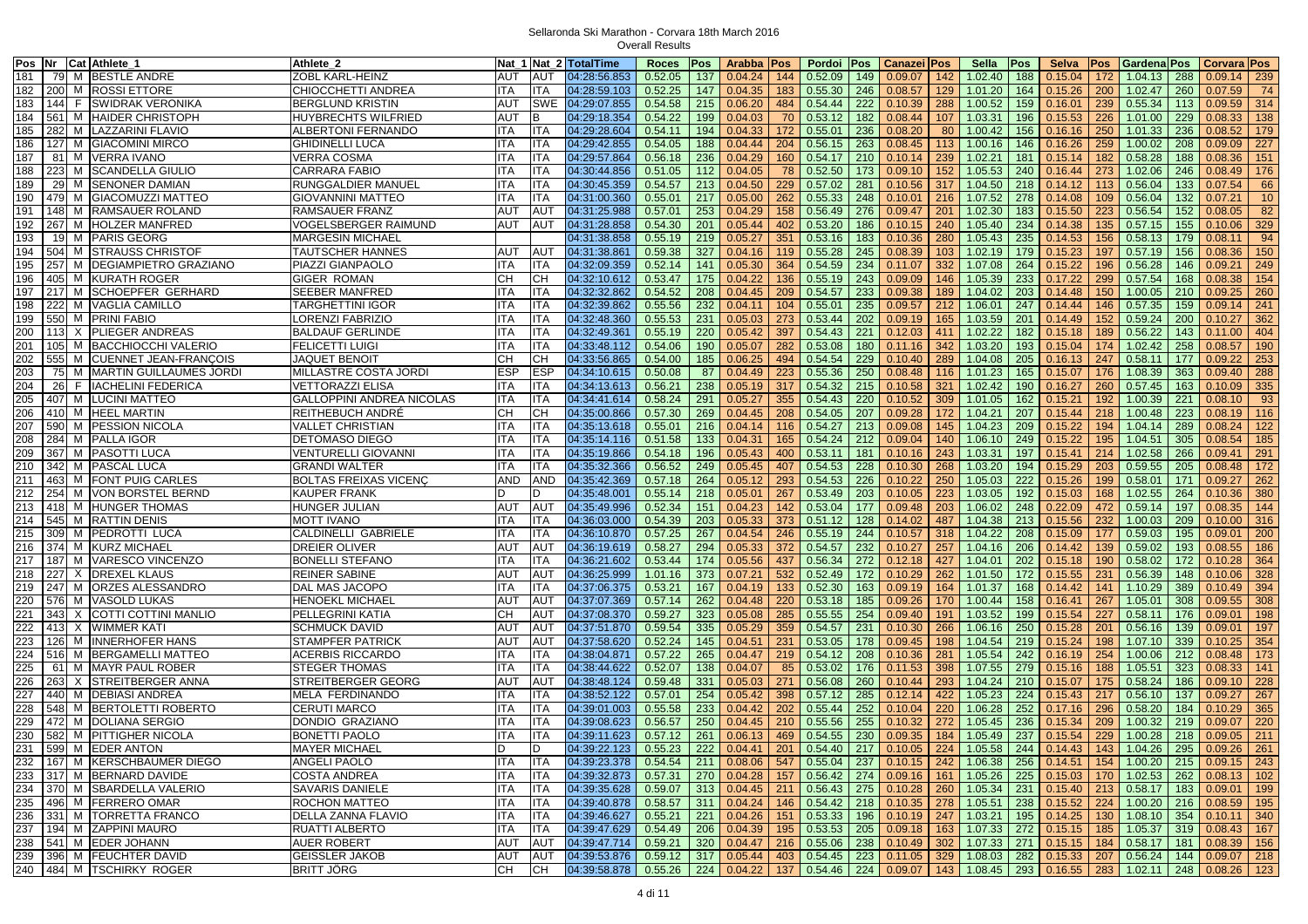|     |     | Pos Nr Cat Athlete_1               | Athlete 2                        |     |             | Nat 1 Nat 2 lTotalTime | <b>Roces</b><br>Pos                 | Arabba      | <b>Pos</b> | Pordoi<br><b>Pos</b>                                | Canazei       | Pos | Sella                       | Pos | <b>Selva</b> | Pos | Gardena Pos                                     |     | Corvara Pos     |                 |
|-----|-----|------------------------------------|----------------------------------|-----|-------------|------------------------|-------------------------------------|-------------|------------|-----------------------------------------------------|---------------|-----|-----------------------------|-----|--------------|-----|-------------------------------------------------|-----|-----------------|-----------------|
| 181 |     | 79 M BESTLE ANDRE                  | ZOBL KARL-HEINZ                  | AUT | AUT         | 04:28:56.853           | 0.52.05<br>137                      | 0.04.24     | 144        | 0.52.09<br>149                                      | 0.09.07       | 142 | 1.02.40                     | 188 | 0.15.04      | 172 | 1.04.13                                         | 288 | $0.09.14$ 239   |                 |
| 182 |     | 200 M ROSSI ETTORE                 | CHIOCCHETTI ANDREA               | ITA | ITA         | 04:28:59.103           | 0.52.25<br>147                      | 0.04.35     | 183        | 0.55.30<br>246                                      | 0.08.57       | 129 | 1.01.20                     | 164 | 0.15.26      | 200 | 1.02.47                                         | 260 | 0.07.59         | 74              |
| 183 |     | 144 F SWIDRAK VERONIKA             | <b>BERGLUND KRISTIN</b>          | AUT | SWE         | 04:29:07.855           | 0.54.58<br>$215$                    | 0.06.20     | 484        | 0.54.44<br>222                                      | 0.10.39       | 288 | 1.00.52                     | 159 | 0.16.01      | 239 | 0.55.34                                         | 113 | 0.09.59         | 314             |
| 184 | 561 | M HAIDER CHRISTOPH                 | HUYBRECHTS WILFRIED              | AUT | в           | 04:29:18.354           | 0.54.22<br>199                      | 0.04.03     | 70         | 0.53.12<br>182                                      | 0.08.44       | 107 | 1.03.31                     | 196 | 0.15.53      | 226 | 1.01.00                                         | 229 | 0.08.33         | 138             |
| 185 | 282 | M LAZZARINI FLAVIO                 | ALBERTONI FERNANDO               | ITA | ITA         | 04:29:28.604           | 0.54.11<br>194                      | 0.04.33     | 172        | 0.55.01<br>236                                      | 0.08.20       | 80  | 1.00.42                     | 156 | 0.16.16      | 250 | 1.01.33                                         | 236 | 0.08.52         | 179             |
| 186 | 127 | M GIACOMINI MIRCO                  | GHIDINELLI LUCA                  | ТA  | ITA         | 04:29:42.855           | 0.54.05<br>188                      | 0.04.44     | 204        | 263<br>0.56.15                                      | 0.08.45       | 113 | 1.00.16                     | 146 | 0.16.26      | 259 | 1.00.02                                         | 208 | 0.09.09         | 227             |
| 187 | 81  | M VERRA IVANO                      | /ERRA COSMA                      | ITA | ITA         | 04:29:57.864           | 236<br>0.56.18                      | 0.04.29     | 160        | 0.54.17<br>210                                      | 0.10.14       | 239 | 1.02.21                     | 181 | 0.15.14      | 182 | 0.58.28                                         | 188 | 0.08.36         | 151             |
| 188 | 223 | M SCANDELLA GIULIO                 | <b>CARRARA FABIO</b>             | ITA | ITA         | 04:30:44.856           | 0.51.05<br>112                      | 0.04.05     | 78         | 0.52.50<br>173                                      | 0.09.10       | 152 | 1.05.53                     | 240 | 0.16.44      | 273 | 1.02.06                                         | 246 | 0.08.49         | 176             |
| 189 | 29  | M SENONER DAMIAN                   |                                  | ITA | ITA         | 04:30:45.359           | 0.54.57<br>213                      | 0.04.50     | 229        | 0.57.02<br>281                                      | 0.10.56       | 317 | 1.04.50                     | 218 | 0.14.12      | 113 | 0.56.04                                         | 133 | 0.07.54         | 66              |
|     |     |                                    | RUNGGALDIER MANUEL               |     | <b>ITA</b>  |                        |                                     |             |            |                                                     |               |     |                             |     |              |     |                                                 |     |                 |                 |
| 190 |     | 479 M GIACOMUZZI MATTEO            | GIOVANNINI MATTEO                | ITA |             | 04:31:00.360           | 0.55.01<br>217                      | 0.05.00     | 262        | 0.55.33<br>248                                      | 0.10.01       | 216 | 1.07.52                     | 278 | 0.14.08      | 109 | 0.56.04                                         | 132 | 0.07.21         | 10 <sup>°</sup> |
| 191 |     | 148 M RAMSAUER ROLAND              | RAMSAUER FRANZ                   | AUT | AUT         | 04:31:25.988           | 0.57.01<br>253                      | 0.04.29     | 158        | 276<br>0.56.49                                      | 0.09.47       | 201 | 1.02.30                     | 183 | 0.15.50      | 223 | 0.56.54                                         | 152 | 0.08.05         | 82              |
| 192 | 267 | M HOLZER MANFRED                   | VOGELSBERGER RAIMUND             | AUT | AUT         | 04:31:28.858           | 0.54.30<br>201                      | 0.05.44     | 402        | 0.53.20<br>186                                      | 0.10.15       | 240 | 1.05.40                     | 234 | 0.14.38      | 135 | 0.57.15                                         | 155 | 0.10.06         | 329             |
| 193 | 19  | M PARIS GEORG                      | MARGESIN MICHAEL                 |     |             | 04:31:38.858           | $0.55.19$   219                     | 0.05.27     | 351        | 0.53.16<br>183                                      | 0.10.36       | 280 | 1.05.43                     | 235 | 0.14.53      | 156 | 0.58.13                                         | 179 | 0.08.11         | 94              |
| 194 |     | 504 M STRAUSS CHRISTOF             | TAUTSCHER HANNES                 | AUT | AUT         | 04:31:38.861           | 327<br>0.59.38                      | 0.04.16     | 119        | 0.55.28<br>245                                      | 0.08.39       | 103 | 1.02.19                     | 179 | 0.15.23      | 197 | 0.57.19                                         | 156 | 0.08.36         | 150             |
| 195 | 257 | M DEGIAMPIETRO GRAZIANO            | PIAZZI GIANPAOLO                 | ITA | ITA         | 04:32:09.359           | 0.52.14<br>141                      | 0.05.30     | 364        | 0.54.59<br>234                                      | 0.11.07       | 332 | 1.07.08                     | 264 | 0.15.22      | 196 | 0.56.28                                         | 146 | 0.09.21         | 249             |
| 196 | 405 | M KURATH ROGER                     | <b>GIGER ROMAN</b>               | CН  | CН          | 04:32:10.612           | 0.53.47<br>175                      | 0.04.22     | 136        | 0.55.19<br>243                                      | 0.09.09       | 146 | 1.05.39                     | 233 | 0.17.22      | 299 | 0.57.54                                         | 168 | 0.08.38         | 154             |
| 197 | 217 | M SCHOEPFER GERHARD                | <b>SEEBER MANFRED</b>            | ITA | ITA         | 04:32:32.862           | 0.54.52<br>208                      | 0.04.45     | 209        | 0.54.57<br>233                                      | 0.09.38       | 189 | 1.04.02                     | 203 | 0.14.48      | 150 | 1.00.05                                         | 210 | 0.09.25         | 260             |
| 198 | 222 | M VAGLIA CAMILLO                   | TARGHETTINI IGOR                 | ITA | ITA         | 04:32:39.862           | 0.55.56<br>232                      | 0.04.11     | 104        | 0.55.01<br>235                                      | 0.09.57       | 212 | 1.06.01                     | 247 | 0.14.44      | 146 | 0.57.35                                         | 159 | 0.09.14         | 241             |
| 199 | 550 | M PRINI FABIO                      | ORENZI FABRIZIO                  | ITA | ITA         | 04:32:48.360           | 0.55.53<br>231                      | 0.05.03     | 273        | 0.53.44<br>202                                      | 0.09.19       | 165 | 1.03.59                     | 201 | 0.14.49      | 152 | 0.59.24                                         | 200 | 0.10.27         | 362             |
| 200 | 113 | X PLIEGER ANDREAS                  | <b>BALDAUF GERLINDE</b>          | ITA | ITA         | 04:32:49.361           | 0.55.19<br>220                      | 0.05.42     | 397        | 221<br>0.54.43                                      | 0.12.03       | 411 | 1.02.22                     | 182 | 0.15.18      | 189 | 0.56.22                                         | 143 | 0.11.00         | 404             |
| 201 | 105 | M BACCHIOCCHI VALERIO              | <b>FELICETTI LUIGI</b>           | ITA | ITA         | 04:33:48.112           | 0.54.06<br>190                      | 0.05.07     | 282        | 0.53.08<br>180                                      | 0.11.16       | 342 | 1.03.20                     | 193 | 0.15.04      | 174 | 1.02.42                                         | 258 | 0.08.57         | 190             |
| 202 | 555 | M CUENNET JEAN-FRANÇOIS            | JAQUET BENOIT                    | CН  | СН          | 04:33:56.865           | 0.54.00<br>185                      | 0.06.25     | 494        | 0.54.54<br>229                                      | 0.10.40       | 289 | 1.04.08                     | 205 | 0.16.13      | 247 | 0.58.11                                         | 177 | 0.09.22         | 253             |
| 203 | 75  | M MARTIN GUILLAUMES JORDI          | MILLASTRE COSTA JORDI            | ESP | ESP         | 04:34:10.615           | 0.50.08<br>87                       | 0.04.49     | 223        | 0.55.36<br>250                                      | 0.08.48       | 116 | 1.01.23                     | 165 | 0.15.07      | 176 | 1.08.39                                         | 363 | 0.09.40         | 288             |
| 204 | 26  | F IACHELINI FEDERICA               | /ETTORAZZI ELISA                 | ITA | <b>ITA</b>  | 04:34:13.613           | 0.56.21<br>238                      | 0.05.19     | 317        | 0.54.32<br>215                                      | 0.10.58       | 321 | 1.02.42                     | 190 | 0.16.27      | 260 | 0.57.45                                         | 163 | 0.10.09         | 335             |
| 205 |     | 407 M LUCINI MATTEO                | <b>GALLOPPINI ANDREA NICOLAS</b> | ITA | ITA         | 04:34:41.614           | 291<br>0.58.24                      | 0.05.27     | 355        | 220<br>0.54.43                                      | 0.10.52       | 309 | 1.01.05                     | 162 | 0.15.21      | 192 | 1.00.39                                         | 221 | 0.08.10         | 93              |
| 206 | 410 | M HEEL MARTIN                      | REITHEBUCH ANDRÉ                 | CН  | СН          | 04:35:00.866           | 0.57.30<br>269                      | 0.04.45     | 208        | 0.54.05<br>207                                      | 0.09.28       | 172 | 1.04.21                     | 207 | 0.15.44      | 218 | 1.00.48                                         | 223 | 0.08.19         | 116             |
| 207 | 590 | M <b>PESSION NICOLA</b>            | <b>VALLET CHRISTIAN</b>          | ITA | <b>ITA</b>  | 04:35:13.618           | 0.55.01<br>216                      | 0.04.14     | 116        | 213<br>0.54.27                                      | 0.09.08       | 145 | 1.04.23                     | 209 | 0.15.22      | 194 | 1.04.14                                         | 289 | 0.08.24         | 122             |
| 208 | 284 | M PALLA IGOR                       | <b>DETOMASO DIEGO</b>            | ITA | ITA         | 04:35:14.116           | 0.51.58<br>133                      | 0.04.31     | 165        | 0.54.24<br>212                                      | 0.09.04       | 140 | 1.06.10                     | 249 | 0.15.22      | 195 | 1.04.51                                         | 305 | 0.08.54         | 185             |
| 209 | 367 | M PASOTTI LUCA                     | <b>VENTURELLI GIOVANNI</b>       | ITA | ITA         | 04:35:19.866           | 0.54.18<br>196                      | 0.05.43     | 400        | 0.53.11<br>181                                      | 0.10.16       | 243 | 1.03.31                     | 197 | 0.15.41      | 214 | 1.02.58                                         | 266 | 0.09.41         | 291             |
|     |     | 342 M PASCAL LUCA                  | <b>GRANDI WALTER</b>             |     | ITA         | 04:35:32.366           |                                     | 0.05.45     | 407        | 0.54.53<br>228                                      | 0.10.30       | 268 | 1.03.20                     |     | 0.15.29      | 203 | 0.59.55                                         | 205 | 0.08.48         | 172             |
| 210 |     | M FONT PUIG CARLES                 |                                  | ITA |             |                        | 0.56.52<br>249                      |             |            |                                                     |               |     |                             | 194 |              |     |                                                 |     |                 |                 |
| 211 | 463 |                                    | <b>BOLTAS FREIXAS VICENC</b>     | AND | AND         | 04:35:42.369           | 0.57.18<br>264                      | 0.05.12     | 293        | 226<br>0.54.53                                      | 0.10.22       | 250 | 1.05.03                     | 222 | 0.15.26      | 199 | 0.58.01                                         | 171 | 0.09.27         | 262             |
| 212 | 254 | M VON BORSTEL BERND                | KAUPER FRANK                     |     | D           | 04:35:48.001           | 218<br>0.55.14                      | 0.05.01     | 267        | 0.53.49<br>203                                      | 0.10.05       | 223 | 1.03.05                     | 192 | 0.15.03      | 168 | 1.02.55                                         | 264 | 0.10.36         | 380             |
| 213 |     | 418 M HUNGER THOMAS                | HUNGER JULIAN                    | AUT | AUT         | 04:35:49.996           | 0.52.34<br>151                      | 0.04.23     | 142        | 0.53.04<br>177                                      | 0.09.48       | 203 | 1.06.02                     | 248 | 0.22.09      | 472 | 0.59.14                                         | 197 | 0.08.35         | 144             |
| 214 | 545 | M RATTIN DENIS                     | <b>MOTT IVANO</b>                | ITA | ITA         | 04:36:03.000           | 0.54.39<br>203                      | 0.05.33     | 373        | 0.51.12<br>128                                      | 0.14.02       | 487 | 1.04.38                     | 213 | 0.15.56      | 232 | 1.00.03                                         | 209 | 0.10.00         | 316             |
| 215 | 309 | M PEDROTTI LUCA                    | CALDINELLI GABRIELE              | ITA | ITA         | 04:36:10.870           | 0.57.25<br>267                      | 0.04.54     | 246        | 0.55.19<br>244                                      | 0.10.57       | 318 | 1.04.22                     | 208 | 0.15.09      | 177 | 0.59.03                                         | 195 | 0.09.01         | 200             |
| 216 |     | 374 M KURZ MICHAEL                 | DREIER OLIVER                    | AUT | AUT         | 04:36:19.619           | 0.58.27<br>294                      | 0.05.33     | 372        | 0.54.57<br>232                                      | 0.10.27       | 257 | 1.04.16                     | 206 | 0.14.42      | 139 | 0.59.02                                         | 193 | 0.08.55         | 186             |
| 217 | 187 | M VARESCO VINCENZO                 | <b>BONELLI STEFANO</b>           | ITA | ITA         | 04:36:21.602           | 0.53.44<br>174                      | 0.05.56     | 437        | 0.56.34<br>272                                      | 0.12.18       | 427 | 1.04.01                     | 202 | 0.15.18      | 190 | 0.58.02                                         | 172 | 0.10.28         | 364             |
| 218 | 227 | X DREXEL KLAUS                     | <b>REINER SABINE</b>             | AUT | <b>AUT</b>  | 04:36:25.999           | 373<br>1.01.16                      | 0.07.21     | 532        | 0.52.49<br>172                                      | 0.10.29       | 262 | 1.01.50                     | 172 | 0.15.55      | 231 | 0.56.39                                         | 148 | 0.10.06         | 328             |
| 219 |     | 247 M ORZES ALESSANDRO             | DAL MAS JACOPO                   | ITA | ITA         | 04:37:06.375           | 0.53.21<br>167                      | 0.04.19     | 133        | 0.52.30<br>163                                      | 0.09.19       | 164 | 1.01.37                     | 168 | 0.14.42      | 141 | 1.10.29                                         | 389 | 0.10.49         | 394             |
| 220 | 576 | M VASOLD LUKAS                     | HENOEKL MICHAEL                  | AUT | AUT         | 04:37:07.369           | 0.57.14<br>262                      | 0.04.48     | 220        | 0.53.18<br>185                                      | 0.09.26       | 170 | 1.00.44                     | 158 | 0.16.41      | 267 | 1.05.01                                         | 308 | 0.09.55         | 308             |
| 221 | 343 | X COTTI COTTINI MANLIO             | PELLEGRINI KATIA                 | CН  | AUT         | 04:37:08.370           | 0.59.27<br>323                      | 0.05.08     | 285        | 0.55.55<br>254                                      | 0.09.40       | 191 | 1.03.52                     | 199 | 0.15.54      | 227 | 0.58.11                                         | 176 | 0.09.01         | 198             |
| 222 | 413 | X WIMMER KATI                      | <b>SCHMUCK DAVID</b>             | AUT | <b>AUT</b>  | 04:37:51.870           | 0.59.54<br>335                      | 0.05.29     | 359        | 231<br>0.54.57                                      | 0.10.30       | 266 | 1.06.16                     | 250 | 0.15.28      | 201 | 0.56.16                                         | 139 | 0.09.01         | 197             |
| 223 | 126 | M INNERHOFER HANS                  | <b>STAMPFER PATRICK</b>          | AUT | AUT         | 04:37:58.620           | 0.52.24<br>145                      | 0.04.51     | 231        | 0.53.05<br>178                                      | 0.09.45       | 198 | 1.04.54                     | 219 | 0.15.24      | 198 | 1.07.10                                         | 339 | 0.10.25         | 354             |
| 224 | 516 | M BERGAMELLI MATTEO                | <b>ACERBIS RICCARDO</b>          | ITA | ITA         | 04:38:04.871           | 265<br>0.57.22                      | 0.04.47     | 219        | 0.54.12<br>208                                      | 0.10.36       | 281 | 1.05.54                     | 242 | 0.16.19      | 254 | 1.00.06                                         | 212 | 0.08.48         | 173             |
| 225 | 61  | M MAYR PAUL ROBER                  | <b>STEGER THOMAS</b>             | ITA | ITA         | 04:38:44.622           | 0.52.07<br>138                      | 0.04.07     | 85         | 0.53.02<br>176                                      | 0.11.53       | 398 | 1.07.55                     | 279 | 0.15.16      | 188 | 1.05.51                                         | 323 | 0.08.33         | 141             |
| 226 | 263 | X STREITBERGER ANNA                | STREITBERGER GEORG               | AUT | <b>AUT</b>  | 04:38:48.124           | 0.59.48<br>331                      | 0.05.03     | 271        | 0.56.08<br>260                                      | 0.10.44       | 293 | 1.04.24                     | 210 | 0.15.07      | 175 | 0.58.24                                         | 186 | 0.09.10         | 228             |
| 227 |     | 440 M DEBIASI ANDREA               | MELA FERDINANDO                  | ITA | ITA         | 04:38:52.122           | 0.57.01<br>254                      | 0.05.42     | 398        | 0.57.12<br>285                                      | 0.12.14       | 422 | 1.05.23                     | 224 | 0.15.43      | 217 | 0.56.10                                         | 137 | 0.09.27         | 267             |
| 228 |     | 548 M BERTOLETTI ROBERTO           | CERUTI MARCO                     | ITA | ITA         | 04:39:01.003           | 0.55.58<br>233                      | 0.04.42     | 202        | 0.55.44<br>252                                      | 0.10.04       | 220 | 1.06.28                     | 252 | 0.17.16      | 296 | 0.58.20                                         | 184 | 0.10.29         | 365             |
| 229 |     | 472 M DOLIANA SERGIO               | DONDIO GRAZIANO                  | ТA  | ITA         | 04:39:08.623           | 250<br>0.56.57                      | 0.04.45     | 210        | 0.55.56<br>255                                      | 0.10.32       | 272 | 1.05.45                     | 236 | 0.15.34      | 209 | 1.00.32                                         | 219 | 0.09.07         | 220             |
| 230 |     | 582 M PITTIGHER NICOLA             | <b>BONETTI PAOLO</b>             | ITA | <b>ITA</b>  | 04:39:11.623           | 0.57.12<br>261                      | 0.06.13     | 469        | 0.54.55<br>230                                      | 0.09.35       | 184 | 1.05.49                     | 237 | 0.15.54      | 229 | 1.00.28                                         | 218 | 0.09.05         | 211             |
|     |     | 231 599 M EDER ANTON               | <b>MAYER MICHAEL</b>             | D   | D           | 04:39:22.123           | $0.55.23$   222                     | 0.04.41     | 201        | $0.54.40$ 217 0.10.05                               |               |     | 224 1.05.58                 | 244 | 0.14.43      |     | 143 1.04.26                                     | 295 | $0.09.26$ 261   |                 |
|     |     | 232   167   M   KERSCHBAUMER DIEGO | ANGELI PAOLO                     |     |             |                        |                                     |             |            |                                                     |               |     |                             |     |              |     |                                                 |     |                 |                 |
|     |     | 233 317 M BERNARD DAVIDE           |                                  | ITA | <b>IITA</b> |                        | $04:39:23.378$ 0.54.54 211 0.08.06  |             |            | 547   0.55.04   237   0.10.15   242   1.06.38   256 |               |     |                             |     |              |     | $0.14.51$   154   1.00.20   215   0.09.15   243 |     |                 |                 |
|     |     | 234 370 M SBARDELLA VALERIO        | <b>COSTA ANDREA</b>              | ITA | <b>ITA</b>  | 04:39:32.873           | $0.57.31$ 270 0.04.28               |             |            | 157 0.56.42 274 0.09.16                             |               |     | $161$ 1.05.26 225           |     | 0.15.03      |     | $170$ 1.02.53 262                               |     | $0.08.13$   102 |                 |
|     |     |                                    | SAVARIS DANIELE                  | ITA | ITA         | 04:39:35.628           | $0.59.07$ 313 0.04.45               |             |            | 211 0.56.43 275 0.10.28                             |               |     | $\vert$ 260   1.05.34   231 |     | 0.15.40      |     | $213$ 0.58.17 183                               |     | $0.09.01$ 199   |                 |
|     |     | 235 496 M FERRERO OMAR             | ROCHON MATTEO                    | ITA | <b>ITA</b>  | 04:39:40.878           | $0.58.57$ 311 0.04.24               |             |            | 146 0.54.42 218 0.10.35 278 1.05.51 238             |               |     |                             |     | 0.15.52      |     | 224 1.00.20 216 0.08.59 195                     |     |                 |                 |
|     |     | 236 331 M TORRETTA FRANCO          | DELLA ZANNA FLAVIO               | ITA | <b>ITA</b>  | 04:39:46.627           | $0.55.21$ 221 0.04.26               |             |            | 151 0.53.33 196 0.10.19 247 1.03.21                 |               |     |                             | 195 | 0.14.25      |     | 130 1.08.10 354                                 |     | $0.10.11$ 340   |                 |
|     |     | 237 194 M ZAPPINI MAURO            | RUATTI ALBERTO                   | ITA | ITA         | 04:39:47.629           | $0.54.49$ 206 0.04.39               |             | 195        | $0.53.53$   205   0.09.18                           |               |     | 163 1.07.33 272             |     | 0.15.15      |     | $185$ 1.05.37 319                               |     | $0.08.43$   167 |                 |
|     |     | 238 541 M EDER JOHANN              | <b>AUER ROBERT</b>               | AUT | <b>AUT</b>  | 04:39:47.714           | 0.59.21                             | 320 0.04.47 | 216        | 0.55.06                                             | $238$ 0.10.49 |     | 302 1.07.33 271             |     | 0.15.15      |     | 184 0.58.17                                     | 181 | $0.08.39$   156 |                 |
|     |     | 239 396 M FEUCHTER DAVID           | <b>GEISSLER JAKOB</b>            | AUT | <b>AUT</b>  | 04:39:53.876           | $0.59.12$ 317 0.05.44               |             | 403        | $0.54.45$ 223 0.11.05 329 1.08.03                   |               |     |                             | 282 | 0.15.33      | 207 | $\vert 0.56.24 \vert 144 \vert$                 |     | $0.09.07$   218 |                 |
|     |     | 240 484 M TSCHIRKY ROGER           | <b>BRITT JÖRG</b>                | CH  | CН          |                        | 04:39:58.878  0.55.26  224  0.04.22 |             |            | 137 0.54.46 224 0.09.07                             |               |     | 143 1.08.45 293             |     |              |     | $0.16.55$   283   1.02.11   248   0.08.26   123 |     |                 |                 |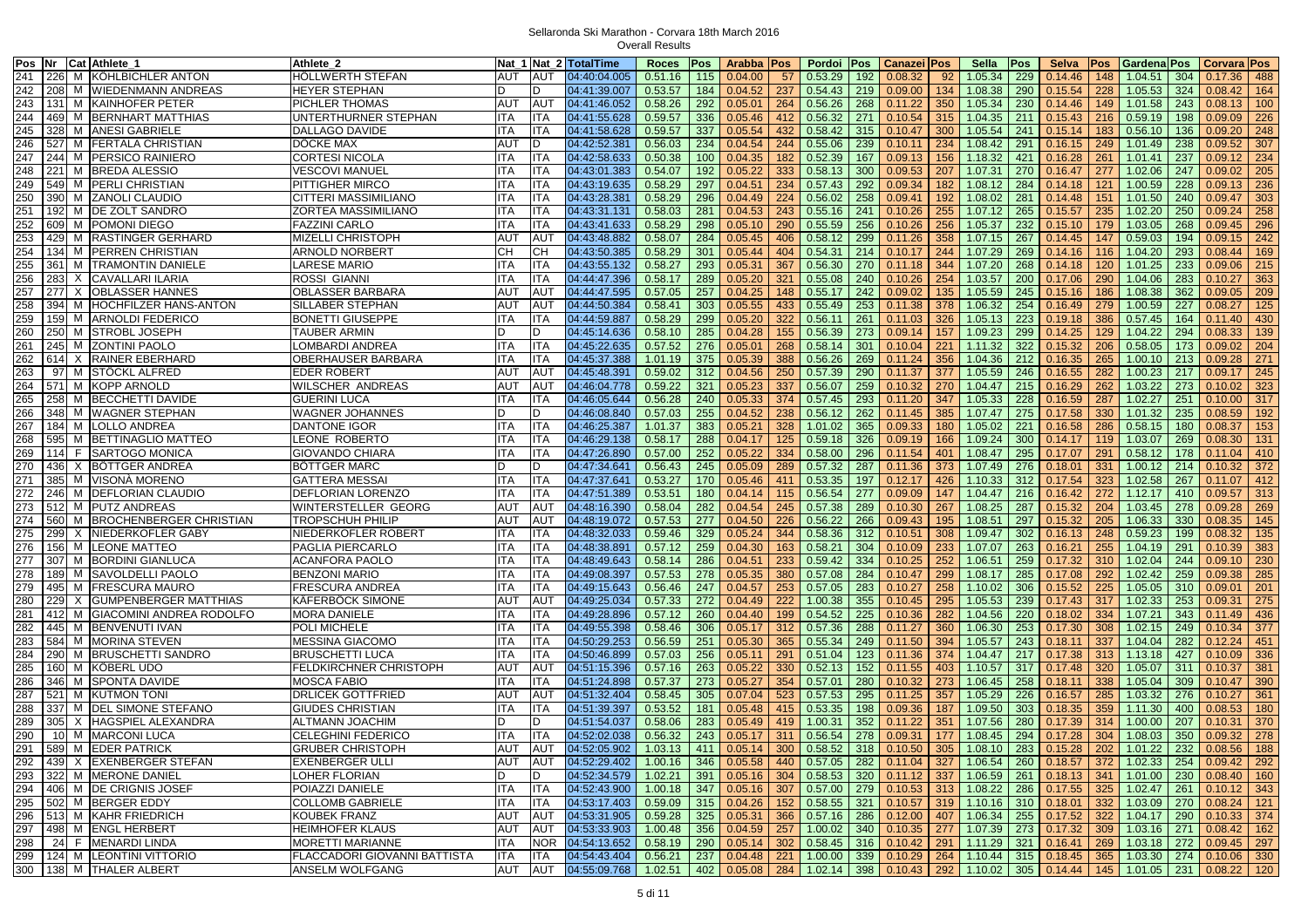| Pos Nr |     | Cat Athlete 1                 | Athlete 2                     |            |            | Nat 1 Nat 2 TotalTime              | Roces                 | Pos | Arabba   Pos          |     | Pordoi Pos                                                                  | <b>Canazei Pos</b> |     | Sella             | Pos | Selva   | Pos | Gardena Pos               |     | Corvara Pos     |     |
|--------|-----|-------------------------------|-------------------------------|------------|------------|------------------------------------|-----------------------|-----|-----------------------|-----|-----------------------------------------------------------------------------|--------------------|-----|-------------------|-----|---------|-----|---------------------------|-----|-----------------|-----|
| 241    |     | 226 M KÖHLBICHLER ANTON       | HÖLLWERTH STEFAN              | <b>AUT</b> | AUT        | 04:40:04.005                       | 0.51.16               | 115 | 0.04.00               | 57  | 0.53.29<br>192                                                              | 0.08.32            | 92  | 1.05.34           | 229 | 0.14.46 | 148 | 1.04.51                   | 304 | 0.17.36         | 488 |
| 242    |     | 208 M WIEDENMANN ANDREAS      | <b>HEYER STEPHAN</b>          |            | D          | 04:41:39.007                       | 0.53.57               | 184 | 0.04.52               | 237 | 0.54.43<br>219                                                              | 0.09.00            | 134 | 1.08.38           | 290 | 0.15.54 | 228 | 1.05.53                   | 324 | 0.08.42         | 164 |
| 243    |     | 131 M KAINHOFER PETER         | <b>PICHLER THOMAS</b>         | <b>AUT</b> | <b>AUT</b> | 04:41:46.052                       | 0.58.26               | 292 | 0.05.01               | 264 | 0.56.26<br>268                                                              | 0.11.22            | 350 | 1.05.34           | 230 | 0.14.46 | 149 | 1.01.58                   | 243 | 0.08.13         | 100 |
| 244    |     | 469 M BERNHART MATTHIAS       | UNTERTHURNER STEPHAN          | ITA        | ITA        | 04:41:55.628                       | 0.59.57               | 336 | 0.05.46               | 412 | 271<br>0.56.32                                                              | 0.10.54            | 315 | 1.04.35           | 211 | 0.15.43 | 216 | 0.59.19                   | 198 | 0.09.09         | 226 |
| 245    |     | 328 M ANESI GABRIELE          | DALLAGO DAVIDE                | ITA        | ITA        | 04:41:58.628                       | 0.59.57               | 337 | 0.05.54               | 432 | 0.58.42<br>315                                                              | 0.10.47            | 300 | 1.05.54           | 241 | 0.15.14 | 183 | 0.56.10                   | 136 | 0.09.20         | 248 |
|        |     |                               | DÖCKE MAX                     |            |            |                                    |                       |     |                       |     |                                                                             |                    |     |                   |     |         |     |                           |     |                 |     |
| 246    |     | 527 M FERTALA CHRISTIAN       |                               | AUT        | D          | 04:42:52.381                       | 0.56.03               | 234 | 0.04.54               | 244 | 0.55.06<br>239                                                              | 0.10.11            | 234 | 1.08.42           | 291 | 0.16.15 | 249 | 1.01.49                   | 238 | 0.09.52         | 307 |
| 247    |     | 244 M PERSICO RAINIERO        | CORTESI NICOLA                | ITA        | ITA        | 04:42:58.633                       | 0.50.38               | 100 | 0.04.35               | 182 | 0.52.39<br>167                                                              | 0.09.13            | 156 | 1.18.32           | 421 | 0.16.28 | 261 | 1.01.41                   | 237 | 0.09.12         | 234 |
| 248    |     | 221 M BREDA ALESSIO           | <b>VESCOVI MANUEL</b>         | ITA        | ITA        | 04:43:01.383                       | 0.54.07               | 192 | 0.05.22               | 333 | 0.58.13<br>300                                                              | 0.09.53            | 207 | 1.07.31           | 270 | 0.16.47 | 277 | 1.02.06                   | 247 | 0.09.02         | 205 |
| 249    |     | 549 M PERLI CHRISTIAN         | PITTIGHER MIRCO               | ITA        | <b>TA</b>  | 04:43:19.635                       | 0.58.29               | 297 | 0.04.51               | 234 | 0.57.43<br>292                                                              | 0.09.34            | 182 | 1.08.12           | 284 | 0.14.18 | 121 | 1.00.59                   | 228 | 0.09.13         | 236 |
| 250    | 390 | M ZANOLI CLAUDIO              | <b>CITTERI MASSIMILIANO</b>   | <b>ITA</b> | ITA        | 04:43:28.381                       | 0.58.29               | 296 | 0.04.49               | 224 | 258<br>0.56.02                                                              | 0.09.41            | 192 | 1.08.02           | 281 | 0.14.48 | 151 | 1.01.50                   | 240 | 0.09.47         | 303 |
| 251    | 192 | M DE ZOLT SANDRO              | <b>ZORTEA MASSIMILIANO</b>    | ITA        | ITA        | 04:43:31.131                       | 0.58.03               | 281 | 0.04.53               | 243 | 0.55.16<br>241                                                              | 0.10.26            | 255 | 1.07.12           | 265 | 0.15.57 | 235 | 1.02.20                   | 250 | 0.09.24         | 258 |
| 252    |     | 609 M POMONI DIEGO            | <b>FAZZINI CARLO</b>          | <b>ITA</b> | ITA        | 04:43:41.633                       | 0.58.29               | 298 | 0.05.10               | 290 | 0.55.59<br>256                                                              | 0.10.26            | 256 | 1.05.37           | 232 | 0.15.10 | 179 | 1.03.05                   | 268 | 0.09.45         | 296 |
| 253    | 429 | M RASTINGER GERHARD           | <b>MIZELLI CHRISTOPH</b>      | <b>AUT</b> | AUT        | 04:43:48.882                       | 0.58.07               | 284 | 0.05.45               | 406 | 299<br>0.58.12                                                              | 0.11.26            | 358 | 1.07.15           | 267 | 0.14.45 | 147 | 0.59.03                   | 194 | 0.09.15         | 242 |
| 254    |     | 134 M PERREN CHRISTIAN        | <b>ARNOLD NORBERT</b>         | CН         | CН         | 04:43:50.385                       | 0.58.29               | 301 | 0.05.44               | 404 | 0.54.31<br>214                                                              | 0.10.17            | 244 | 1.07.29           | 269 | 0.14.16 | 116 | 1.04.20                   | 293 | 0.08.44         | 169 |
| 255    | 361 | M TRAMONTIN DANIELE           | <b>LARESE MARIO</b>           | ITA        | ITA        | 04:43:55.132                       | 0.58.27               | 293 | 0.05.31               | 367 | 0.56.30<br>270                                                              | 0.11.18            | 344 | 1.07.20           | 268 | 0.14.18 | 120 | 1.01.25                   | 233 | 0.09.06         | 215 |
| 256    | 283 | X CAVALLARI ILARIA            | <b>ROSSI GIANNI</b>           | ITA        | ITA        | 04:44:47.396                       | 0.58.17               | 289 | 0.05.20               | 321 | 240<br>0.55.08                                                              | 0.10.26            | 254 | 1.03.57           | 200 | 0.17.06 | 290 | 1.04.06                   | 283 | 0.10.27         | 363 |
| 257    | 277 | X OBLASSER HANNES             | <b>OBLASSER BARBARA</b>       | <b>AUT</b> | AUT        | 04:44:47.595                       | 0.57.05               | 257 | 0.04.25               | 148 | 0.55.17<br>242                                                              | 0.09.02            | 135 | 1.05.59           | 245 | 0.15.16 | 186 | 1.08.38                   | 362 | 0.09.05         | 209 |
|        |     |                               |                               |            |            |                                    |                       |     |                       |     |                                                                             |                    |     |                   |     |         |     |                           |     |                 |     |
| 258    | 394 | M HOCHFILZER HANS-ANTON       | SILLABER STEPHAN              | aut        | AUT        | 04:44:50.384                       | 0.58.41               | 303 | 0.05.55               | 433 | 253<br>0.55.49                                                              | 0.11.38            | 378 | 1.06.32           | 254 | 0.16.49 | 279 | 1.00.59                   | 227 | 0.08.27         | 125 |
| 259    | 159 | M ARNOLDI FEDERICO            | <b>BONETTI GIUSEPPE</b>       | ITA        | ITA        | 04:44:59.887                       | 0.58.29               | 299 | 0.05.20               | 322 | 0.56.11<br>261                                                              | 0.11.03            | 326 | 1.05.13           | 223 | 0.19.18 | 386 | 0.57.45                   | 164 | 0.11.40         | 430 |
| 260    | 250 | M STROBL JOSEPH               | TAUBER ARMIN                  |            |            | 04:45:14.636                       | 0.58.10               | 285 | 0.04.28               | 155 | 0.56.39<br>273                                                              | 0.09.14            | 157 | 1.09.23           | 299 | 0.14.25 | 129 | 1.04.22                   | 294 | 0.08.33         | 139 |
| 261    |     | 245 M ZONTINI PAOLO           | LOMBARDI ANDREA               | ITA        | ITA        | 04:45:22.635                       | 0.57.52               | 276 | 0.05.01               | 268 | 0.58.14<br>301                                                              | 0.10.04            | 221 | 1.11.32           | 322 | 0.15.32 | 206 | 0.58.05                   | 173 | 0.09.02         | 204 |
| 262    |     | 614 X RAINER EBERHARD         | OBERHAUSER BARBARA            | ITA        | ITA        | 04:45:37.388                       | 1.01.19               | 375 | 0.05.39               | 388 | 0.56.26<br>269                                                              | 0.11.24            | 356 | 1.04.36           | 212 | 0.16.35 | 265 | 1.00.10                   | 213 | 0.09.28         | 271 |
| 263    |     | 97 M STÖCKL ALFRED            | <b>EDER ROBERT</b>            | <b>AUT</b> | AUT        | 04:45:48.391                       | 0.59.02               | 312 | 0.04.56               | 250 | 290<br>0.57.39                                                              | 0.11.37            | 377 | 1.05.59           | 246 | 0.16.55 | 282 | 1.00.23                   | 217 | 0.09.17         | 245 |
| 264    |     | 571 M KOPP ARNOLD             | <b>WILSCHER ANDREAS</b>       | AUT        | AUT        | 04:46:04.778                       | 0.59.22               | 321 | 0.05.23               | 337 | 0.56.07<br>259                                                              | 0.10.32            | 270 | 1.04.47           | 215 | 0.16.29 | 262 | 1.03.22                   | 273 | 0.10.02         | 323 |
| 265    |     | 258 M BECCHETTI DAVIDE        | <b>GUERINI LUCA</b>           | ITA        | ITA        | 04:46:05.644                       | 0.56.28               | 240 | 0.05.33               | 374 | 0.57.45<br>293                                                              | 0.11.20            | 347 | 1.05.33           | 228 | 0.16.59 | 287 | 1.02.27                   | 251 | 0.10.00         | 317 |
| 266    |     | 348 M WAGNER STEPHAN          | <b>WAGNER JOHANNES</b>        | D.         |            | 04:46:08.840                       | 0.57.03               | 255 | 0.04.52               | 238 | 0.56.12<br>262                                                              | 0.11.45            | 385 | 1.07.47           | 275 | 0.17.58 | 330 | 1.01.32                   | 235 | 0.08.59         | 192 |
| 267    |     | 184 M LOLLO ANDREA            | <b>DANTONE IGOR</b>           | <b>ITA</b> | ITA        | 04:46:25.387                       | 1.01.37               | 383 | 0.05.21               | 328 | 365<br>1.01.02                                                              | 0.09.33            | 180 | 1.05.02           | 221 | 0.16.58 | 286 | 0.58.15                   | 180 | 0.08.37         | 153 |
| 268    |     | 595 M BETTINAGLIO MATTEO      | LEONE ROBERTO                 | ITA        | ITA        | 04:46:29.138                       | 0.58.17               | 288 | 0.04.17               | 125 | 0.59.18<br>326                                                              | 0.09.19            | 166 | 1.09.24           | 300 | 0.14.17 | 119 | 1.03.07                   | 269 | 0.08.30         | 131 |
|        |     |                               |                               | <b>ITA</b> | ITA        |                                    |                       |     |                       |     |                                                                             |                    | 401 |                   |     | 0.17.07 |     |                           | 178 |                 | 410 |
| 269    | 114 | F SARTOGO MONICA              | <b>GIOVANDO CHIARA</b>        |            |            | 04:47:26.890                       | 0.57.00               | 252 | 0.05.22               | 334 | 0.58.00<br>296                                                              | 0.11.54            |     | 1.08.47           | 295 |         | 291 | 0.58.12                   |     | 0.11.04         |     |
| 270    | 436 | X BÖTTGER ANDREA              | <b>BÖTTGER MARC</b>           | D          | D.         | 04:47:34.641                       | 0.56.43               | 245 | 0.05.09               | 289 | 0.57.32<br>287                                                              | 0.11.36            | 373 | 1.07.49           | 276 | 0.18.01 | 331 | 1.00.12                   | 214 | 0.10.32         | 372 |
| 271    | 385 | M VISONA MORENO               | <b>GATTERA MESSAI</b>         | <b>ITA</b> | ITA        | 04:47:37.641                       | 0.53.27               | 170 | 0.05.46               | 411 | 0.53.35<br>197                                                              | 0.12.17            | 426 | 1.10.33           | 312 | 0.17.54 | 323 | 1.02.58                   | 267 | 0.11.07         | 412 |
| 272    |     | 246 M DEFLORIAN CLAUDIO       | DEFLORIAN LORENZO             | ITA        | ITA        | 04:47:51.389                       | 0.53.51               | 180 | 0.04.14               | 115 | 0.56.54<br>277                                                              | 0.09.09            | 147 | 1.04.47           | 216 | 0.16.42 | 272 | 1.12.17                   | 410 | 0.09.57         | 313 |
| 273    |     | 512 M PUTZ ANDREAS            | WINTERSTELLER GEORG           | AUT        | AU1        | 04:48:16.390                       | 0.58.04               | 282 | 0.04.54               | 245 | 289<br>0.57.38                                                              | 0.10.30            | 267 | 1.08.25           | 287 | 0.15.32 | 204 | 1.03.45                   | 278 | 0.09.28         | 269 |
| 274    | 560 | M BROCHENBERGER CHRISTIAN     | TROPSCHUH PHILIP              | AUT        | AUT        | 04:48:19.072                       | 0.57.53               | 277 | 0.04.50               | 226 | 266<br>0.56.22                                                              | 0.09.43            | 195 | 1.08.51           | 297 | 0.15.32 | 205 | 1.06.33                   | 330 | 0.08.35         | 145 |
| 275    | 299 | X NIEDERKOFLER GABY           | NIEDERKOFLER ROBERT           | <b>ITA</b> | ITA        | 04:48:32.033                       | 0.59.46               | 329 | 0.05.24               | 344 | 0.58.36<br>312                                                              | 0.10.51            | 308 | 1.09.47           | 302 | 0.16.13 | 248 | 0.59.23                   | 199 | 0.08.32         | 135 |
| 276    | 156 | M LEONE MATTEO                | <b>PAGLIA PIERCARLO</b>       | <b>ITA</b> | ITA        | 04:48:38.891                       | 0.57.12               | 259 | 0.04.30               | 163 | 0.58.21<br>304                                                              | 0.10.09            | 233 | 1.07.07           | 263 | 0.16.21 | 255 | 1.04.19                   | 291 | 0.10.39         | 383 |
| 277    | 307 | M BORDINI GIANLUCA            | <b>ACANFORA PAOLO</b>         | ITA        | ITA        | 04:48:49.643                       | 0.58.14               | 286 | 0.04.51               | 233 | 0.59.42<br>334                                                              | 0.10.25            | 252 | 1.06.51           | 259 | 0.17.32 | 310 | 1.02.04                   | 244 | 0.09.10         | 230 |
| 278    | 189 | M SAVOLDELLI PAOLO            | <b>BENZONI MARIO</b>          | <b>ITA</b> | ITA        | 04:49:08.397                       | 0.57.53               | 278 | 0.05.35               | 380 | 284<br>0.57.08                                                              | 0.10.47            | 299 | 1.08.17           | 285 | 0.17.08 | 292 | 1.02.42                   | 259 | 0.09.38         | 285 |
| 279    | 495 | M FRESCURA MAURO              | <b>FRESCURA ANDREA</b>        | ITA        | ITA        | 04:49:15.643                       | 0.56.46               | 247 | 0.04.57               | 253 | 0.57.05<br>283                                                              | 0.10.27            | 258 | 1.10.02           | 306 | 0.15.52 | 225 | 1.05.05                   | 310 | 0.09.01         | 201 |
| 280    | 229 | X GUMPENBERGER MATTHIAS       | <b>KAFERBOCK SIMONE</b>       | <b>AUT</b> | AUT        | 04:49:25.034                       | 0.57.33               | 272 | 0.04.49               | 222 | 355<br>1.00.38                                                              | 0.10.45            | 295 | 1.05.53           | 239 | 0.17.43 | 317 | 1.02.33                   | 253 | 0.09.31         | 275 |
| 281    | 412 | M GIACOMINI ANDREA RODOLFO    | <b>MORA DANIELE</b>           | ITA        | ITA        | 04:49:28.896                       | 0.57.12               | 260 | 0.04.40               | 199 | 225<br>0.54.52                                                              | 0.10.36            | 282 | 1.04.56           | 220 | 0.18.02 | 334 | 1.07.21                   | 343 | 0.11.49         | 436 |
|        |     |                               |                               | ITA        |            |                                    |                       |     |                       | 312 |                                                                             |                    |     |                   |     |         | 308 |                           |     |                 | 377 |
| 282    |     | 445 M BENVENUTI IVAN          | <b>POLI MICHELE</b>           |            | ITA        | 04:49:55.398                       | 0.58.46               | 306 | 0.05.17               |     | 0.57.36<br>288                                                              | 0.11.27            | 360 | 1.06.30           | 253 | 0.17.30 |     | 1.02.15                   | 249 | 0.10.34         |     |
| 283    |     | 584 M MORINA STEVEN           | <b>MESSINA GIACOMO</b>        | ITA        | <b>ITA</b> | 04:50:29.253                       | 0.56.59               | 251 | 0.05.30               | 365 | 0.55.34<br>249                                                              | 0.11.50            | 394 | 1.05.57           | 243 | 0.18.11 | 337 | 1.04.04                   | 282 | 0.12.24         | 451 |
| 284    | 290 | M BRUSCHETTI SANDRO           | <b>BRUSCHETTI LUCA</b>        | ITA        | ITA        | 04:50:46.899                       | 0.57.03               | 256 | 0.05.11               | 291 | 123<br>0.51.04                                                              | 0.11.36            | 374 | 1.04.47           | 217 | 0.17.38 | 313 | 1.13.18                   | 427 | 0.10.09         | 336 |
| 285    | 160 | M KOBERL UDO                  | <b>FELDKIRCHNER CHRISTOPH</b> | AUT        | AUT        | 04:51:15.396                       | 0.57.16               | 263 | 0.05.22               | 330 | 0.52.13<br>152                                                              | 0.11.55            | 403 | 1.10.57           | 317 | 0.17.48 | 320 | 1.05.07                   | 311 | 0.10.37         | 381 |
| 286    |     | 346 M SPONTA DAVIDE           | <b>MOSCA FABIO</b>            | ITA        | ITA        | 04:51:24.898                       | 0.57.37               | 273 | 0.05.27               | 354 | 280<br>0.57.01                                                              | 0.10.32            | 273 | 1.06.45           | 258 | 0.18.11 | 338 | 1.05.04                   | 309 | 0.10.47         | 390 |
| 287    |     | 521 M KUTMON TONI             | <b>DRLICEK GOTTFRIED</b>      | <b>AUT</b> | AUT        | 04:51:32.404                       | 0.58.45               | 305 | 0.07.04               | 523 | 0.57.53<br>295                                                              | 0.11.25            | 357 | 1.05.29           | 226 | 0.16.57 | 285 | 1.03.32                   | 276 | 0.10.27         | 361 |
| 288    | 337 | M DEL SIMONE STEFANO          | <b>GIUDES CHRISTIAN</b>       | ITA        | ITA        | 04:51:39.397                       | 0.53.52               | 181 | 0.05.48               | 415 | 0.53.35<br>198                                                              | 0.09.36            | 187 | 1.09.50           | 303 | 0.18.35 | 359 | 1.11.30                   | 400 | 0.08.53         | 180 |
| 289    | 305 | X HAGSPIEL ALEXANDRA          | <b>ALTMANN JOACHIM</b>        |            | D.         | 04:51:54.037                       | 0.58.06               | 283 | 0.05.49               | 419 | 352<br>1.00.31                                                              | 0.11.22            | 351 | 1.07.56           | 280 | 0.17.39 | 314 | 1.00.00                   | 207 | 0.10.31         | 370 |
| 290    |     | 10 M MARCONI LUCA             | <b>CELEGHINI FEDERICO</b>     | <b>ITA</b> | <b>ITA</b> | 04:52:02.038                       | 0.56.32               |     | 243 0.05.17           | 311 | 0.56.54<br>278                                                              | 0.09.31            | 177 | 1.08.45           | 294 | 0.17.28 | 304 | 1.08.03                   | 350 | $0.09.32$   278 |     |
|        |     | 291 589 M EDER PATRICK        | <b>GRUBER CHRISTOPH</b>       | <b>AUT</b> | <b>AUT</b> | 04:52:05.902                       |                       |     | $1.03.13$ 411 0.05.14 |     | 300 0.58.52 318 0.10.50 305 1.08.10 283                                     |                    |     |                   |     | 0.15.28 |     | 202 1.01.22 232           |     | $0.08.56$ 188   |     |
|        |     | 292 439 X EXENBERGER STEFAN   | <b>EXENBERGER ULLI</b>        | AUT        | AUT        | $04:52:29.402$ 1.00.16 346 0.05.58 |                       |     |                       |     | 440 0.57.05 282 0.11.04                                                     |                    |     | 327 1.06.54       | 260 |         |     | $0.18.57$ 372 1.02.33 254 |     | $0.09.42$ 292   |     |
|        |     | 293 322 M MERONE DANIEL       | <b>LOHER FLORIAN</b>          | D          | D.         | 04:52:34.579                       |                       |     | $1.02.21$ 391 0.05.16 |     | 304 0.58.53 320 0.11.12                                                     |                    |     | 337 1.06.59 261   |     | 0.18.13 |     | 341 1.01.00 230           |     | $0.08.40$   160 |     |
|        |     | 294 406 M DE CRIGNIS JOSEF    |                               |            |            |                                    |                       |     |                       |     |                                                                             |                    |     |                   |     |         |     |                           |     |                 |     |
|        |     |                               | POIAZZI DANIELE               | <b>ITA</b> | <b>ITA</b> | 04:52:43.900                       |                       |     | $1.00.18$ 347 0.05.16 |     | 307 0.57.00 279 0.10.53                                                     |                    |     | $313$ 1.08.22     | 286 | 0.17.55 |     | $325$ 1.02.47 261         |     | $0.10.12$ 343   |     |
|        |     | 295 502 M BERGER EDDY         | <b>COLLOMB GABRIELE</b>       | <b>ITA</b> | ITA        | 04:53:17.403                       |                       |     | $0.59.09$ 315 0.04.26 |     | 152 0.58.55 321 0.10.57 319 1.10.16 310                                     |                    |     |                   |     | 0.18.01 |     | 332 1.03.09 270           |     | $0.08.24$ 121   |     |
|        |     | 296 513 M KAHR FRIEDRICH      | <b>KOUBEK FRANZ</b>           | <b>AUT</b> | AUT        | 04:53:31.905                       | 0.59.28               | 325 | 0.05.31               |     | 366 0.57.16 286 0.12.00                                                     |                    |     | 407 1.06.34       | 255 | 0.17.52 |     | $322$ 1.04.17 290         |     | $0.10.33$ 374   |     |
|        |     | 297   498 M   ENGL HERBERT    | <b>HEIMHOFER KLAUS</b>        | <b>AUT</b> | AUT        | 04:53:33.903                       | 1.00.48               |     | 356 0.04.59           | 257 | $1.00.02$ 340 0.10.35                                                       |                    |     | 277 1.07.39       | 273 | 0.17.32 |     | 309 1.03.16 271           |     | $0.08.42$ 162   |     |
| 298    |     | 24 F MENARDI LINDA            | <b>MORETTI MARIANNE</b>       | ITA        | NOR.       | 04:54:13.652                       | 0.58.19 290 0.05.14   |     |                       | 302 | $\vert 0.58.45 \vert 316 \vert 0.10.42 \vert$                               |                    |     | $291$ 1.11.29 321 |     | 0.16.41 |     | 269 1.03.18 272           |     | $0.09.45$   297 |     |
|        |     | 299 124 M LEONTINI VITTORIO   | FLACCADORI GIOVANNI BATTISTA  | ITA        | ITA        | 04:54:43.404                       | $0.56.21$ 237 0.04.48 |     |                       |     | 221   1.00.00   339   0.10.29   264   1.10.44   315   0.18.45               |                    |     |                   |     |         |     | 365 1.03.30 274           |     | $0.10.06$ 330   |     |
|        |     | 300   138   M   THALER ALBERT | <b>ANSELM WOLFGANG</b>        | AUT        | AUT        | 04:55:09.768                       | 1.02.51               |     | 402 0.05.08           |     | 284 1.02.14 398 0.10.43 292 1.10.02 305 0.14.44 145 1.01.05 231 0.08.22 120 |                    |     |                   |     |         |     |                           |     |                 |     |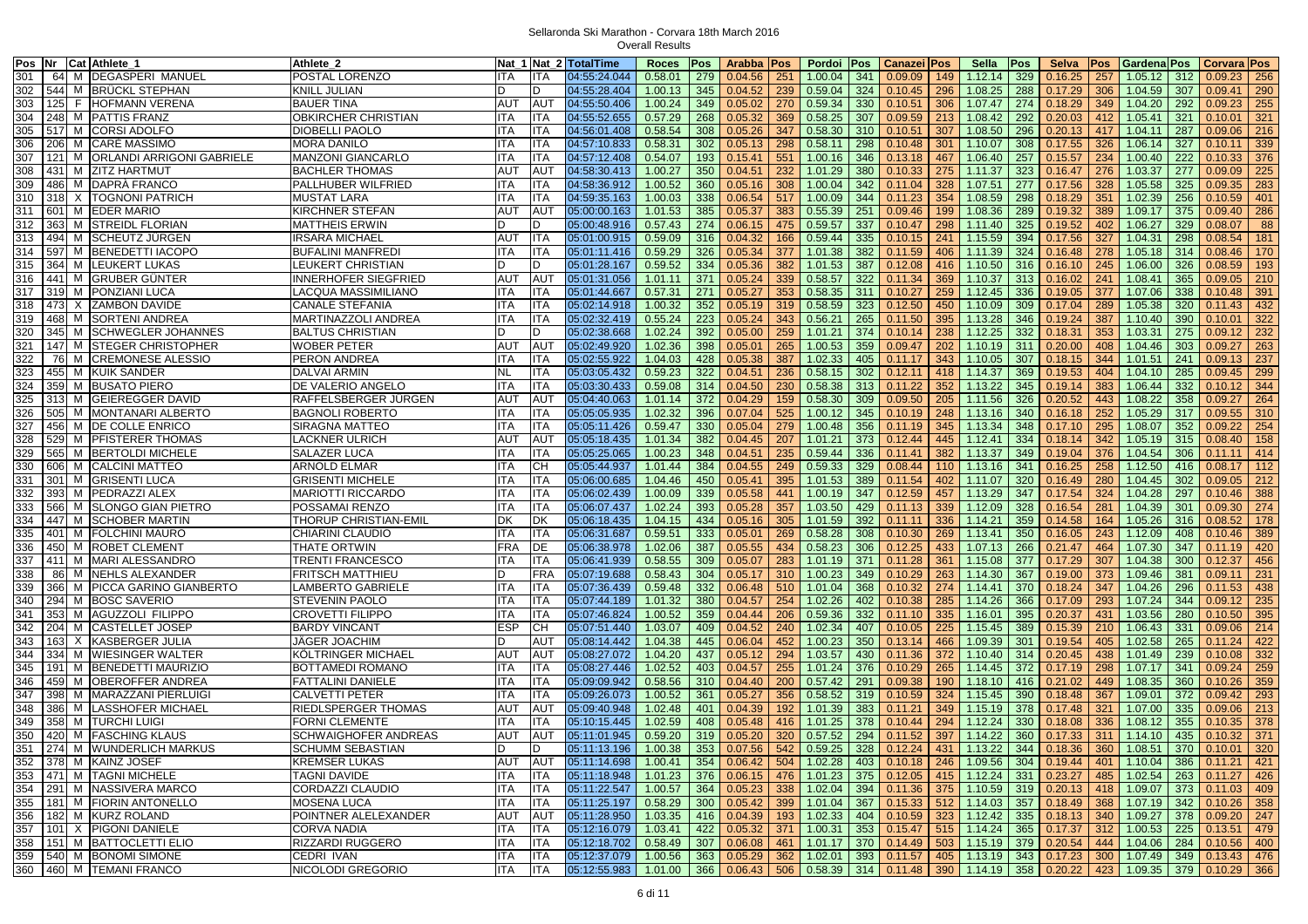| Pos Nr |     | Cat Athlete 1                                  | Athlete 2                   |            |            | Nat 1 Nat 2 TotalTime            | Roces                 | Pos        | Arabba   Pos          |            | Pordoi Pos                                                                               | Canazei Pos                 |     | Sella           | Pos        | Selva   | <b>Pos</b> | <b>Gardena</b> Pos                         |     | <b>Corvara Pos</b> |     |
|--------|-----|------------------------------------------------|-----------------------------|------------|------------|----------------------------------|-----------------------|------------|-----------------------|------------|------------------------------------------------------------------------------------------|-----------------------------|-----|-----------------|------------|---------|------------|--------------------------------------------|-----|--------------------|-----|
| 301    |     | 64 M DEGASPERI MANUEL                          | POSTAL LORENZO              | ITA        | ITA        | 04:55:24.044                     | 0.58.01               | 279        | 0.04.56               | 251        | 1.00.04<br>341                                                                           | 0.09.09                     | 149 | 1.12.14         | 329        | 0.16.25 | 257        | 1.05.12                                    | 312 | 0.09.23            | 256 |
| 302    |     | 544 M BRUCKL STEPHAN                           | KNILL JULIAN                |            | n          | 04:55:28.404                     | 1.00.13               | 345        | 0.04.52               | 239        | 0.59.04<br>324                                                                           | 0.10.45                     | 296 | 1.08.25         | 288        | 0.17.29 | 306        | 1.04.59                                    | 307 | 0.09.41            | 290 |
| 303    |     | 125 F HOFMANN VERENA                           | <b>BAUER TINA</b>           | <b>AUT</b> | <b>AUT</b> | 04:55:50.406                     | 1.00.24               | 349        | 0.05.02               | 270        | 0.59.34<br>330                                                                           | 0.10.51                     | 306 | 1.07.47         | 274        | 0.18.29 | 349        | 1.04.20                                    | 292 | 0.09.23            | 255 |
| 304    |     | 248 M PATTIS FRANZ                             | OBKIRCHER CHRISTIAN         | ITA        | ITA        | 04:55:52.655                     | 0.57.29               | 268        | 0.05.32               | 369        | 0.58.25<br>307                                                                           | 0.09.59                     | 213 | 1.08.42         | 292        | 0.20.03 | 412        | 1.05.41                                    | 321 | 0.10.01            | 321 |
| 305    |     | [517] M CORSI ADOLFO                           | <b>DIOBELLI PAOLO</b>       | ITA        | ITA        | 04:56:01.408                     | 0.58.54               | 308        | 0.05.26               | 347        | 0.58.30<br>310                                                                           | 0.10.51                     | 307 | 1.08.50         | 296        | 0.20.13 | 417        | 1.04.11                                    | 287 | 0.09.06            | 216 |
| 306    |     | 206 M CARE MASSIMO                             | <b>MORA DANILO</b>          | ITA        | ITA        | 04:57:10.833                     | 0.58.31               | 302        | 0.05.13               | 298        | 0.58.11<br>298                                                                           | 0.10.48                     | 301 | 1.10.07         | 308        | 0.17.55 | 326        | 1.06.14                                    | 327 | 0.10.11            | 339 |
| 307    |     | 121 M   ORLANDI ARRIGONI GABRIELE              | <b>MANZONI GIANCARLO</b>    | ITA        |            | 04:57:12.408                     |                       |            | 0.15.41               |            | 1.00.16                                                                                  |                             |     |                 |            |         |            | 1.00.40                                    | 222 | 0.10.33            | 376 |
|        |     |                                                |                             | <b>AUT</b> | ITA<br>AUT |                                  | 0.54.07               | 193<br>350 |                       | 551<br>232 | 346                                                                                      | 0.13.18                     | 467 | 1.06.40         | 257<br>323 | 0.15.57 | 234<br>276 |                                            | 277 |                    |     |
| 308    |     | 431 M ZITZ HARTMUT                             | <b>BACHLER THOMAS</b>       |            |            | 04:58:30.413                     | 1.00.27               |            | 0.04.51               |            | 1.01.29<br>380                                                                           | 0.10.33                     | 275 | 1.11.37         |            | 0.16.47 |            | 1.03.37                                    |     | 0.09.09            | 225 |
| 309    |     | 486 M DAPRA FRANCO                             | PALLHUBER WILFRIED          | ITA        | <b>TA</b>  | 04:58:36.912                     | 1.00.52               | 360        | 0.05.16               | 308        | 1.00.04<br>342                                                                           | 0.11.04                     | 328 | 1.07.51         | 277        | 0.17.56 | 328        | 1.05.58                                    | 325 | 0.09.35            | 283 |
| 310    |     | 318 X TOGNONI PATRICH                          | <b>MUSTAT LARA</b>          | <b>ITA</b> | ITA        | 04:59:35.163                     | 1.00.03               | 338        | 0.06.54               | 517        | 344<br>1.00.09                                                                           | 0.11.23                     | 354 | 1.08.59         | 298        | 0.18.29 | 351        | 1.02.39                                    | 256 | 0.10.59            | 401 |
| 311    |     | 601 M EDER MARIO                               | KIRCHNER STEFAN             | <b>AUT</b> | AUT        | 05:00:00.163                     | 1.01.53               | 385        | 0.05.37               | 383        | 0.55.39<br>251                                                                           | 0.09.46                     | 199 | 1.08.36         | 289        | 0.19.32 | 389        | 1.09.17                                    | 375 | 0.09.40            | 286 |
| 312    |     | 363 M STREIDL FLORIAN                          | <b>MATTHEIS ERWIN</b>       | D.         |            | 05:00:48.916                     | 0.57.43               | 274        | 0.06.15               | 475        | 0.59.57<br>337                                                                           | 0.10.47                     | 298 | 1.11.40         | 325        | 0.19.52 | 402        | 1.06.27                                    | 329 | 0.08.07            | 88  |
| 313    |     | 494 M SCHEUTZ JÜRGEN                           | <b>IRSARA MICHAEL</b>       | <b>AUT</b> | ITA        | 05:01:00.915                     | 0.59.09               | 316        | 0.04.32               | 166        | 0.59.44<br>335                                                                           | 0.10.15                     | 241 | 1.15.59         | 394        | 0.17.56 | 327        | 1.04.31                                    | 298 | 0.08.54            | 181 |
| 314    |     | <b>1597 M BENEDETTI IACOPO</b>                 | <b>BUFALINI MANFREDI</b>    | ITA        | ITA        | 05:01:11.416                     | 0.59.29               | 326        | 0.05.34               | 377        | 382<br>1.01.38                                                                           | 0.11.59                     | 406 | 1.11.39         | 324        | 0.16.48 | 278        | 1.05.18                                    | 314 | 0.08.46            | 170 |
| 315    |     | 364 M LEUKERT LUKAS                            | LEUKERT CHRISTIAN           |            |            | 05:01:28.167                     | 0.59.52               | 334        | 0.05.36               | 382        | 1.01.53<br>387                                                                           | 0.12.08                     | 416 | 1.10.50         | 316        | 0.16.10 | 245        | 1.06.00                                    | 326 | 0.08.59            | 193 |
| 316    | 441 | M GRUBER GUNTER                                | <b>INNERHOFER SIEGFRIED</b> | AUT        | AUT        | 05:01:31.056                     | 1.01.11               | 371        | 0.05.24               | 339        | 0.58.57<br>322                                                                           | 0.11.34                     | 369 | 1.10.37         | 313        | 0.16.02 | 241        | 1.08.41                                    | 365 | 0.09.05            | 210 |
| 317    |     | 319 M PONZIANI LUCA                            | LACQUA MASSIMILIANO         | ITA        | ITA        | 05:01:44.667                     | 0.57.31               | 271        | 0.05.27               | 353        | 0.58.35<br>311                                                                           | 0.10.27                     | 259 | 1.12.45         | 336        | 0.19.05 | 377        | 1.07.06                                    | 338 | 0.10.48            | 391 |
| 318    |     | 473 X ZAMBON DAVIDE                            | <b>CANALE STEFANIA</b>      | ITA        | ITA        | 05:02:14.918                     | 1.00.32               | 352        | 0.05.19               | 319        | 323<br>0.58.59                                                                           | 0.12.50                     | 450 | 1.10.09         | 309        | 0.17.04 | 289        | 1.05.38                                    | 320 | 0.11.43            | 432 |
| 319    |     | 468 M SORTENI ANDREA                           | MARTINAZZOLI ANDREA         | ITA        | ITA        | 05:02:32.419                     | 0.55.24               | 223        | 0.05.24               | 343        | 0.56.21<br>265                                                                           | 0.11.50                     | 395 | 1.13.28         | 346        | 0.19.24 | 387        | 1.10.40                                    | 390 | 0.10.01            | 322 |
| 320    |     | 345 M SCHWEGLER JOHANNES                       | <b>BALTUS CHRISTIAN</b>     |            |            | 05:02:38.668                     | 1.02.24               | 392        | 0.05.00               | 259        | 374<br>1.01.21                                                                           | 0.10.14                     | 238 | 1.12.25         | 332        | 0.18.31 | 353        | 1.03.31                                    | 275 | 0.09.12            | 232 |
| 321    |     | 147 M STEGER CHRISTOPHER                       | <b>WOBER PETER</b>          | <b>AUT</b> | <b>AUT</b> | 05:02:49.920                     | 1.02.36               | 398        | 0.05.01               | 265        | 1.00.53<br>359                                                                           | 0.09.47                     | 202 | 1.10.19         | 311        | 0.20.00 | 408        | 1.04.46                                    | 303 | 0.09.27            | 263 |
| 322    |     | 76 M CREMONESE ALESSIO                         | PERON ANDREA                | ITA        | ITA        | 05:02:55.922                     | 1.04.03               | 428        | 0.05.38               | 387        | 405<br>1.02.33                                                                           | 0.11.17                     | 343 | 1.10.05         | 307        | 0.18.15 | 344        | 1.01.51                                    | 241 | 0.09.13            | 237 |
| 323    |     | 455 M KUIK SANDER                              | <b>DALVAI ARMIN</b>         | <b>NL</b>  | ITA        | 05:03:05.432                     | 0.59.23               | 322        | 0.04.51               | 236        | 0.58.15<br>302                                                                           | 0.12.11                     | 418 | 1.14.37         | 369        | 0.19.53 | 404        | 1.04.10                                    | 285 | 0.09.45            | 299 |
| 324    | 359 | M BUSATO PIERO                                 | DE VALERIO ANGELO           | ITA        | ITA        | 05:03:30.433                     | 0.59.08               | 314        | 0.04.50               | 230        | 0.58.38<br>313                                                                           | 0.11.22                     | 352 | 1.13.22         | 345        | 0.19.14 | 383        | 1.06.44                                    | 332 | 0.10.12            | 344 |
| 325    |     | 313 M GEIEREGGER DAVID                         | RAFFELSBERGER JÜRGEN        | AUT        | AUT        | 05:04:40.063                     | 1.01.14               | 372        | 0.04.29               | 159        | 0.58.30<br>309                                                                           | 0.09.50                     | 205 | 1.11.56         | 326        | 0.20.52 | 443        | 1.08.22                                    | 358 | 0.09.27            | 264 |
| 326    | 505 | M MONTANARI ALBERTO                            | <b>BAGNOLI ROBERTO</b>      | ITA        | ITA        | 05:05:05.935                     | 1.02.32               | 396        | 0.07.04               | 525        | 345<br>1.00.12                                                                           | 0.10.19                     | 248 | 1.13.16         | 340        | 0.16.18 | 252        | 1.05.29                                    | 317 | 0.09.55            | 310 |
| 327    | 456 | M DE COLLE ENRICO                              | <b>SIRAGNA MATTEO</b>       | <b>ITA</b> | ITA        | 05:05:11.426                     | 0.59.47               | 330        | 0.05.04               | 279        | 1.00.48<br>356                                                                           | 0.11.19                     | 345 | 1.13.34         | 348        | 0.17.10 | 295        | 1.08.07                                    | 352 | 0.09.22            | 254 |
| 328    |     | 529 M PFISTERER THOMAS                         | LACKNER ULRICH              | AUT        | AUT        | 05:05:18.435                     | 1.01.34               | 382        | 0.04.45               | 207        | 1.01.21<br>373                                                                           | 0.12.44                     | 445 | 1.12.41         | 334        | 0.18.14 | 342        | 1.05.19                                    | 315 | 0.08.40            | 158 |
| 329    |     |                                                |                             | <b>ITA</b> | ITA        |                                  | 1.00.23               |            | 0.04.51               | 235        | 0.59.44<br>336                                                                           |                             | 382 | 1.13.37         | 349        | 0.19.04 | 376        | 1.04.54                                    | 306 |                    | 414 |
| 330    |     | 565 M BERTOLDI MICHELE<br>606 M CALCINI MATTEO | SALAZER LUCA                |            | CН         | 05:05:25.065                     |                       | 348        | 0.04.55               | 249        | 0.59.33<br>329                                                                           | 0.11.41                     | 110 |                 | 341        |         | 258        |                                            |     | 0.11.11<br>0.08.17 | 112 |
|        |     |                                                | <b>ARNOLD ELMAR</b>         | ITA        |            | 05:05:44.937                     | 1.01.44               | 384        |                       |            |                                                                                          | 0.08.44                     |     | 1.13.16         |            | 0.16.25 |            | 1.12.50                                    | 416 |                    |     |
| 331    |     | 301 M GRISENTI LUCA                            | <b>GRISENTI MICHELE</b>     | ITA        | ITA        | 05:06:00.685                     | 1.04.46               | 450        | 0.05.41               | 395        | 1.01.53<br>389                                                                           | 0.11.54                     | 402 | 1.11.07         | 320        | 0.16.49 | 280        | 1.04.45                                    | 302 | 0.09.05            | 212 |
| 332    |     | 393 M PEDRAZZI ALEX                            | <b>MARIOTTI RICCARDO</b>    | ITA        | ITA        | 05:06:02.439                     | 1.00.09               | 339        | 0.05.58               | 441        | 1.00.19<br>347                                                                           | 0.12.59                     | 457 | 1.13.29         | 347        | 0.17.54 | 324        | 1.04.28                                    | 297 | 0.10.46            | 388 |
| 333    |     | 566 M SLONGO GIAN PIETRO                       | POSSAMAI RENZO              | ITA        | ITA        | 05:06:07.437                     | 1.02.24               | 393        | 0.05.28               | 357        | 429<br>1.03.50                                                                           | 0.11.13                     | 339 | 1.12.09         | 328        | 0.16.54 | 281        | 1.04.39                                    | 301 | 0.09.30            | 274 |
| 334    | 447 | M SCHOBER MARTIN                               | THORUP CHRISTIAN-EMIL       | DK         | DK         | 05:06:18.435                     | 1.04.15               | 434        | 0.05.16               | 305        | 392<br>1.01.59                                                                           | 0.11.11                     | 336 | 1.14.21         | 359        | 0.14.58 | 164        | 1.05.26                                    | 316 | 0.08.52            | 178 |
| 335    |     | 401 M FOLCHINI MAURO                           | CHIARINI CLAUDIO            | <b>ITA</b> | <b>ITA</b> | 05:06:31.687                     | 0.59.51               | 333        | 0.05.01               | 269        | 0.58.28<br>308                                                                           | 0.10.30                     | 269 | 1.13.41         | 350        | 0.16.05 | 243        | 1.12.09                                    | 408 | 0.10.46            | 389 |
| 336    |     | 450 M ROBET CLEMENT                            | THATE ORTWIN                | <b>FRA</b> | DE         | 05:06:38.978                     | 1.02.06               | 387        | 0.05.55               | 434        | 0.58.23<br>306                                                                           | 0.12.25                     | 433 | 1.07.13         | 266        | 0.21.47 | 464        | 1.07.30                                    | 347 | 0.11.19            | 420 |
| 337    |     | 411 M MARI ALESSANDRO                          | TRENTI FRANCESCO            | ITA        | ITA        | 05:06:41.939                     | 0.58.55               | 309        | 0.05.07               | 283        | 1.01.19<br>371                                                                           | 0.11.28                     | 361 | 1.15.08         | 377        | 0.17.29 | 307        | 1.04.38                                    | 300 | 0.12.37            | 456 |
| 338    |     | 86 M NEHLS ALEXANDER                           | <b>FRITSCH MATTHIEU</b>     | D.         | FRA        | 05:07:19.688                     | 0.58.43               | 304        | 0.05.17               | 310        | 1.00.23<br>349                                                                           | 0.10.29                     | 263 | 1.14.30         | 367        | 0.19.00 | 373        | 1.09.46                                    | 381 | 0.09.11            | 231 |
| 339    |     | 366 M PICCA GARINO GIANBERTO                   | LAMBERTO GABRIELE           | <b>ITA</b> | ITA        | 05:07:36.439                     | 0.59.48               | 332        | 0.06.48               | 510        | 368<br>1.01.04                                                                           | 0.10.32                     | 274 | 1.14.41         | 370        | 0.18.24 | 347        | 1.04.26                                    | 296 | 0.11.53            | 438 |
| 340    |     | 294 M BOSC SAVERIO                             | <b>STEVENIN PAOLO</b>       | ITA        | ITA        | 05:07:44.189                     | 1.01.32               | 380        | 0.04.57               | 254        | 1.02.26<br>402                                                                           | 0.10.38                     | 285 | 1.14.26         | 366        | 0.17.09 | 293        | 1.07.24                                    | 344 | 0.09.12            | 235 |
| 341    | 353 | M AGUZZOLI FILIPPO                             | <b>CROVETTI FILIPPO</b>     | ITA        | ITA        | 05:07:46.824                     | 1.00.52               | 359        | 0.04.44               | 206        | 0.59.36<br>332                                                                           | 0.11.10                     | 335 | 1.16.01         | 395        | 0.20.37 | 431        | 1.03.56                                    | 280 | 0.10.50            | 395 |
| 342    |     | 204 M CASTELLET JOSEP                          | <b>BARDY VINCANT</b>        | ESP        | CН         | 05:07:51.440                     | 1.03.07               | 409        | 0.04.52               | 240        | 1.02.34<br>407                                                                           | 0.10.05                     | 225 | 1.15.45         | 389        | 0.15.39 | 210        | 1.06.43                                    | 331 | 0.09.06            | 214 |
| 343    | 163 | X KASBERGER JULIA                              | <b>JÄGER JOACHIM</b>        |            | AUT        | 05:08:14.442                     | 1.04.38               | 445        | 0.06.04               | 452        | 1.00.23<br>350                                                                           | 0.13.14                     | 466 | 1.09.39         | 301        | 0.19.54 | 405        | 1.02.58                                    | 265 | 0.11.24            | 422 |
| 344    | 334 | M WIESINGER WALTER                             | <b>KOLTRINGER MICHAEL</b>   | AUT        | AUT        | 05:08:27.072                     | 1.04.20               | 437        | 0.05.12               | 294        | 1.03.57<br>430                                                                           | 0.11.36                     | 372 | 1.10.40         | 314        | 0.20.45 | 438        | 1.01.49                                    | 239 | 0.10.08            | 332 |
| 345    | 191 | M BENEDETTI MAURIZIO                           | <b>BOTTAMEDI ROMANO</b>     | ITA        | ITA        | 05:08:27.446                     | 1.02.52               | 403        | 0.04.57               | 255        | 1.01.24<br>376                                                                           | 0.10.29                     | 265 | 1.14.45         | 372        | 0.17.19 | 298        | 1.07.17                                    | 341 | 0.09.24            | 259 |
| 346    | 459 | M OBEROFFER ANDREA                             | <b>FATTALINI DANIELE</b>    | ITA        | ITA        | 05:09:09.942                     | 0.58.56               | 310        | 0.04.40               | 200        | 0.57.42<br>291                                                                           | 0.09.38                     | 190 | 1.18.10         | 416        | 0.21.02 | 449        | 1.08.35                                    | 360 | 0.10.26            | 359 |
| 347    |     | 398 M MARAZZANI PIERLUIGI                      | <b>CALVETTI PETER</b>       | ITA        | ITA        | 05:09:26.073                     | 1.00.52               | 361        | 0.05.27               | 356        | 0.58.52<br>319                                                                           | 0.10.59                     | 324 | 1.15.45         | 390        | 0.18.48 | 367        | 1.09.01                                    | 372 | 0.09.42            | 293 |
| 348    | 386 | M LASSHOFER MICHAEL                            | RIEDLSPERGER THOMAS         | <b>AUT</b> | AUT        | 05:09:40.948                     | 1.02.48               | 401        | 0.04.39               | 192        | 383<br>1.01.39                                                                           | 0.11.21                     | 349 | 1.15.19         | 378        | 0.17.48 | 321        | 1.07.00                                    | 335 | 0.09.06            | 213 |
| 349    |     | 358 M TURCHI LUIGI                             | <b>FORNI CLEMENTE</b>       | ITA        | ITA        | 05:10:15.445                     | 1.02.59               | 408        | 0.05.48               | 416        | 378<br>1.01.25                                                                           | 0.10.44                     | 294 | 1.12.24         | 330        | 0.18.08 | 336        | 1.08.12                                    | 355 | 0.10.35            | 378 |
| 350    |     | 420 M FASCHING KLAUS                           | SCHWAIGHOFER ANDREAS        | <b>AUT</b> | AUT        | 05:11:01.945                     | 0.59.20               |            | $319$ 0.05.20         | 320        | 0.57.52                                                                                  | $294 \mid 0.11.52$          |     | 397 1.14.22     | 360        | 0.17.33 | 311        | $1.14.10$ 435                              |     | $0.10.32$ 371      |     |
|        |     | 351 274 M WUNDERLICH MARKUS                    | <b>SCHUMM SEBASTIAN</b>     |            |            | 05:11:13.196 1.00.38 353 0.07.56 |                       |            |                       |            | 542 0.59.25 328 0.12.24 431 1.13.22                                                      |                             |     |                 | 344        | 0.18.36 |            | 360 1.08.51 370 0.10.01 320                |     |                    |     |
|        |     | 352 378 M KAINZ JOSEF                          | <b>KREMSER LUKAS</b>        | AUT        | AUT        | 05:11:14.698                     | $1.00.41$ 354 0.06.42 |            |                       |            | 504 1.02.28 403 0.10.18 246 1.09.56                                                      |                             |     |                 | 304        | 0.19.44 |            | 401 1.10.04                                | 386 | $0.11.21$ 421      |     |
|        |     | 353 471 M TAGNI MICHELE                        | TAGNI DAVIDE                | ITA        | ITA        | 05:11:18.948                     |                       |            | $1.01.23$ 376 0.06.15 |            | 476 1.01.23 375 0.12.05                                                                  |                             |     | 415 1.12.24 331 |            | 0.23.27 |            | 485 1.02.54 263                            |     | $0.11.27$ 426      |     |
|        |     | 354 291 M NASSIVERA MARCO                      |                             | ITA        |            | 05:11:22.547                     |                       |            | 364 0.05.23           |            |                                                                                          |                             |     |                 |            |         |            | 418 1.09.07 373                            |     |                    |     |
|        |     | 355   181   M   FIORIN ANTONELLO               | CORDAZZI CLAUDIO            |            | ITA        |                                  | 1.00.57               |            |                       | 338        | $1.02.04$   394   0.11.36   375   1.10.59   319<br>$1.01.04$ 367 0.15.33 512 1.14.03 357 |                             |     |                 |            | 0.20.13 |            |                                            |     | $0.11.03$ 409      |     |
|        |     |                                                | <b>MOSENA LUCA</b>          | <b>ITA</b> | ITA        | 05:11:25.197                     | $0.58.29$ 300 0.05.42 |            |                       | 399        |                                                                                          |                             |     |                 |            | 0.18.49 |            | 368 1.07.19 342                            |     | $0.10.26$ 358      |     |
|        |     | 356 182 M KURZ ROLAND                          | POINTNER ALELEXANDER        | <b>AUT</b> | AUT        | 05:11:28.950                     | 1.03.35               |            | 416 0.04.39           | 193        | $1.02.33$ 404 0.10.59                                                                    |                             |     | 323 1.12.42     | 335        | 0.18.13 |            | 340 1.09.27                                | 378 | $0.09.20$ 247      |     |
|        |     | 357   101   X   PIGONI DANIELE                 | <b>CORVA NADIA</b>          | ITA        | ITA        | 05:12:16.079                     | 1.03.41               |            | 422 0.05.32           | $371$      | 1.00.31                                                                                  | 353   0.15.47               |     | $515$ 1.14.24   | 365        | 0.17.37 |            | 312 1.00.53 225                            |     | $0.13.51$ 479      |     |
|        |     | 358 151 M BATTOCLETTI ELIO                     | RIZZARDI RUGGERO            | ITA        | ITA        | 05:12:18.702 0.58.49 307 0.06.08 |                       |            |                       |            | 461 1.01.17                                                                              | 370 0.14.49 503 1.15.19 379 |     |                 |            | 0.20.54 |            | 444 1.04.06 284                            |     | $0.10.56$   400    |     |
|        |     | 359   540   M   BONOMI SIMONE                  | <b>CEDRI IVAN</b>           | ITA        | ITA        | 05:12:37.079                     | 1.00.56 363 0.05.29   |            |                       | 362        | $1.02.01$ 393 0.11.57 405 1.13.19 343                                                    |                             |     |                 |            |         |            | $\mid$ 0.17.23 300 1.07.49 349 0.13.43 476 |     |                    |     |
|        |     | 360 460 M TEMANI FRANCO                        | NICOLODI GREGORIO           | ITA        | ITA        | 05:12:55.983                     |                       |            |                       |            | 1.01.00 366 0.06.43 506 0.58.39 314 0.11.48 390 1.14.19 358                              |                             |     |                 |            | 0.20.22 |            | 423 1.09.35                                |     | 379 0.10.29 366    |     |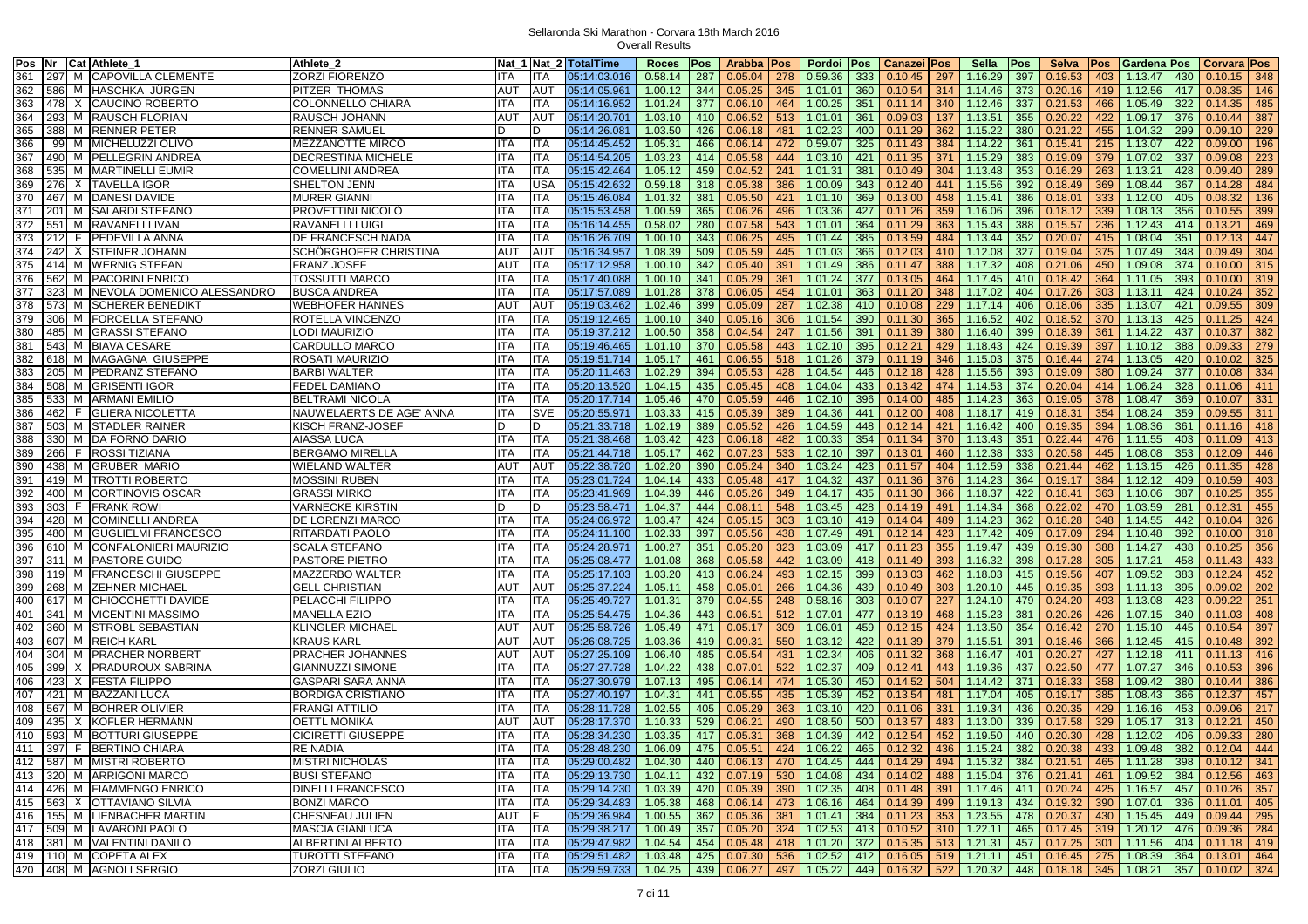| Cat Athlete_<br>Pos Nr                     | Athlete 2                 |            |            | Nat 1 Nat 2 TotalTime                                                                                                                        | Roces                                         | Pos | Arabba   Pos |     | Pordoi Pos                        |     | <b>Canazei Pos</b> |     | Sella           | Pos | <b>Selva</b>       | <b>Pos</b> | <b>Gardena Pos</b>                                                                              |     | Corvara Pos     |     |
|--------------------------------------------|---------------------------|------------|------------|----------------------------------------------------------------------------------------------------------------------------------------------|-----------------------------------------------|-----|--------------|-----|-----------------------------------|-----|--------------------|-----|-----------------|-----|--------------------|------------|-------------------------------------------------------------------------------------------------|-----|-----------------|-----|
| 361<br>297<br>M CAPOVILLA CLEMENTE         | ZORZI FIORENZO            | <b>ITA</b> | ITA        | 05:14:03.016                                                                                                                                 | 0.58.14                                       | 287 | 0.05.04      | 278 | 0.59.36                           | 333 | 0.10.45            | 297 | 1.16.29         | 397 | 0.19.53            | 403        | 1.13.47                                                                                         | 430 | 0.10.15         | 348 |
| M HASCHKA JÜRGEN<br>362<br>586             | PITZER THOMAS             | <b>AUT</b> | <b>AUT</b> | 05:14:05.961                                                                                                                                 | 1.00.12                                       | 344 | 0.05.25      | 345 | 1.01.01                           | 360 | 0.10.54            | 314 | 1.14.46         | 373 | 0.20.16            | 419        | 1.12.56                                                                                         | 417 | 0.08.35         | 146 |
| 363<br>478<br>X CAUCINO ROBERTO            | COLONNELLO CHIARA         | <b>ITA</b> | ITA        | 05:14:16.952                                                                                                                                 | 1.01.24                                       | 377 | 0.06.10      | 464 | 1.00.25                           | 351 | 0.11.14            | 340 | 1.12.46         | 337 | 0.21.53            | 466        | 1.05.49                                                                                         | 322 | 0.14.35         | 485 |
| 364<br>293<br>M RAUSCH FLORIAN             | RAUSCH JOHANN             | <b>AUT</b> | AUT        | 05:14:20.701                                                                                                                                 | 1.03.10                                       | 410 | 0.06.52      | 513 | 1.01.01                           | 361 | 0.09.03            | 137 | 1.13.51         | 355 | 0.20.22            | 422        | 1.09.17                                                                                         | 376 | 0.10.44         | 387 |
| 365<br>M RENNER PETER<br>388               | RENNER SAMUEL             | D          | D          | 05:14:26.081                                                                                                                                 | 1.03.50                                       | 426 | 0.06.18      | 481 | 1.02.23                           | 400 | 0.11.29            | 362 | 1.15.22         | 380 | 0.21.22            | 455        | 1.04.32                                                                                         | 299 | 0.09.10         | 229 |
| M MICHELUZZI OLIVO<br>366<br>991           | MEZZANOTTE MIRCO          | <b>ITA</b> | <b>ITA</b> | 05:14:45.452                                                                                                                                 | 1.05.31                                       | 466 | 0.06.14      | 472 | 0.59.07                           | 325 | 0.11.43            | 384 | 1.14.22         | 361 | 0.15.41            | 215        | 1.13.07                                                                                         | 422 | 0.09.00         | 196 |
| 367<br>490 M PELLEGRIN ANDREA              | DECRESTINA MICHELE        | ITA        | ITA.       | 05:14:54.205                                                                                                                                 | 1.03.23                                       | 414 | 0.05.58      | 444 | 1.03.10                           | 421 | 0.11.35            | 371 | 1.15.29         | 383 | 0.19.09            | 379        | 1.07.02                                                                                         | 337 | 0.09.08         | 223 |
| 535<br>368<br>M MARTINELLI EUMIR           | <b>COMELLINI ANDREA</b>   | <b>ITA</b> | ITA        | 05:15:42.464                                                                                                                                 | 1.05.12                                       | 459 | 0.04.52      | 241 | 1.01.31                           | 381 | 0.10.49            | 304 | 1.13.48         | 353 | 0.16.29            | 263        | 1.13.21                                                                                         | 428 | 0.09.40         | 289 |
| 369 276<br>X TAVELLA IGOR                  | SHELTON JENN              | <b>ITA</b> | USA        | 05:15:42.632                                                                                                                                 | 0.59.18                                       | 318 | 0.05.38      | 386 | 1.00.09                           | 343 | 0.12.40            | 441 | 1.15.56         | 392 | 0.18.49            | 369        | 1.08.44                                                                                         | 367 | 0.14.28         | 484 |
| 370<br>467<br>M DANESI DAVIDE              | <b>MURER GIANNI</b>       | <b>ITA</b> | ITA        | 05:15:46.084                                                                                                                                 | 1.01.32                                       | 381 | 0.05.50      | 421 | 1.01.10                           | 369 | 0.13.00            | 458 | 1.15.41         | 386 | 0.18.01            | 333        | 1.12.00                                                                                         | 405 | 0.08.32         | 136 |
| 371<br>201<br>M SALARDI STEFANO            | PROVETTINI NICOLO         | <b>ITA</b> | <b>ITA</b> | 05:15:53.458                                                                                                                                 | 1.00.59                                       | 365 | 0.06.26      | 496 | 1.03.36                           | 427 | 0.11.26            | 359 | 1.16.06         | 396 | 0.18.12            | 339        | 1.08.13                                                                                         | 356 | 0.10.55         | 399 |
| 551<br>372<br>M RAVANELLI IVAN             | RAVANELLI LUIGI           | <b>ITA</b> | ITA        | 05:16:14.455                                                                                                                                 | 0.58.02                                       | 280 | 0.07.58      | 543 | 1.01.01                           | 364 | 0.11.29            | 363 | 1.15.43         | 388 | 0.15.57            | 236        | 1.12.43                                                                                         | 414 | 0.13.21         | 469 |
| F PEDEVILLA ANNA<br>373<br>212             | DE FRANCESCH NADA         | <b>ITA</b> | ITA        | 05:16:26.709                                                                                                                                 | 1.00.10                                       | 343 | 0.06.25      | 495 | 1.01.44                           | 385 | 0.13.59            | 484 | 1.13.44         | 352 | 0.20.07            | 415        | 1.08.04                                                                                         | 351 | 0.12.13         | 447 |
| 374<br>242 X STEINER JOHANN                |                           | AUT        | AUT        | 05:16:34.957                                                                                                                                 | 1.08.39                                       | 509 | 0.05.59      | 445 | 1.01.03                           | 366 | 0.12.03            | 410 | 1.12.08         | 327 | 0.19.04            | 375        | 1.07.49                                                                                         | 348 | 0.09.49         | 304 |
| 375 414 M WERNIG STEFAN                    | SCHORGHOFER CHRISTINA     |            | <b>ITA</b> | 05:17:12.958                                                                                                                                 |                                               | 342 |              |     |                                   | 386 |                    | 388 |                 |     |                    |            |                                                                                                 |     |                 | 315 |
|                                            | <b>FRANZ JOSEF</b>        | <b>AUT</b> |            | 05:17:40.088                                                                                                                                 | 1.00.10                                       |     | 0.05.40      | 391 | 1.01.49                           |     | 0.11.47            |     | 1.17.32         | 408 | 0.21.06            | 450        | 1.09.08                                                                                         | 374 | 0.10.00         |     |
| 562<br>376<br>M PACORINI ENRICO            | TOSSUTTI MARCO            | <b>ITA</b> | ITA        |                                                                                                                                              | 1.00.10                                       | 341 | 0.05.29      | 361 | 1.01.24                           | 377 | 0.13.05            | 464 | 1.17.45         | 410 | 0.18.42            | 364        | 1.11.05                                                                                         | 393 | 0.10.00         | 319 |
| 377<br>323<br>M NEVOLA DOMENICO ALESSANDRO | <b>BUSCA ANDREA</b>       | <b>ITA</b> | ITA        | 05:17:57.089                                                                                                                                 | 1.01.28                                       | 378 | 0.06.05      | 454 | 1.01.01                           | 363 | 0.11.20            | 348 | 1.17.02         | 404 | 0.17.26            | 303        | 1.13.11                                                                                         | 424 | 0.10.24         | 352 |
| M SCHERER BENEDIKT<br>378<br>573           | <b>WEBHOFER HANNES</b>    | <b>AUT</b> | AUT        | 05:19:03.462                                                                                                                                 | 1.02.46                                       | 399 | 0.05.09      | 287 | 1.02.38                           | 410 | 0.10.08            | 229 | 1.17.14         | 406 | 0.18.06            | 335        | 1.13.07                                                                                         | 421 | 0.09.55         | 309 |
| 379<br>306<br>M   FORCELLA STEFANO         | ROTELLA VINCENZO          | <b>ITA</b> | ITA        | 05:19:12.465                                                                                                                                 | 1.00.10                                       | 340 | 0.05.16      | 306 | 1.01.54                           | 390 | 0.11.30            | 365 | 1.16.52         | 402 | 0.18.52            | 370        | 1.13.13                                                                                         | 425 | 0.11.25         | 424 |
| 380<br>485<br>M GRASSI STEFANO             | LODI MAURIZIO             | ITA        | ITA        | 05:19:37.212                                                                                                                                 | 1.00.50                                       | 358 | 0.04.54      | 247 | 1.01.56                           | 391 | 0.11.39            | 380 | 1.16.40         | 399 | 0.18.39            | 361        | 1.14.22                                                                                         | 437 | 0.10.37         | 382 |
| 381<br>543<br>M BIAVA CESARE               | <b>CARDULLO MARCO</b>     | ITA        | ITA        | 05:19:46.465                                                                                                                                 | 1.01.10                                       | 370 | 0.05.58      | 443 | 1.02.10                           | 395 | 0.12.21            | 429 | 1.18.43         | 424 | 0.19.39            | 397        | 1.10.12                                                                                         | 388 | 0.09.33         | 279 |
| 382<br>618<br>M MAGAGNA GIUSEPPE           | ROSATI MAURIZIO           | <b>ITA</b> | <b>ITA</b> | 05:19:51.714                                                                                                                                 | 1.05.17                                       | 461 | 0.06.55      | 518 | 1.01.26                           | 379 | 0.11.19            | 346 | 1.15.03         | 375 | 0.16.44            | 274        | 1.13.05                                                                                         | 420 | 0.10.02         | 325 |
| 383<br>205<br>M   PEDRANZ STEFANO          | <b>BARBI WALTER</b>       | ITA        | ITA        | 05:20:11.463                                                                                                                                 | 1.02.29                                       | 394 | 0.05.53      | 428 | 1.04.54                           | 446 | 0.12.18            | 428 | 1.15.56         | 393 | 0.19.09            | 380        | 1.09.24                                                                                         | 377 | 0.10.08         | 334 |
| 508<br>M GRISENTI IGOR<br>384              | <b>FEDEL DAMIANO</b>      | <b>ITA</b> | <b>ITA</b> | 05:20:13.520                                                                                                                                 | 1.04.15                                       | 435 | 0.05.45      | 408 | 1.04.04                           | 433 | 0.13.42            | 474 | 1.14.53         | 374 | 0.20.04            | 414        | 1.06.24                                                                                         | 328 | 0.11.06         | 411 |
| 385 533<br>M ARMANI EMILIO                 | <b>BELTRAMI NICOLA</b>    | <b>ITA</b> | ITA        | 05:20:17.714                                                                                                                                 | 1.05.46                                       | 470 | 0.05.59      | 446 | 1.02.10                           | 396 | 0.14.00            | 485 | 1.14.23         | 363 | 0.19.05            | 378        | 1.08.47                                                                                         | 369 | 0.10.07         | 331 |
| 386<br><b>F</b> GLIERA NICOLETTA<br>462    | NAUWELAERTS DE AGE' ANNA  | <b>ITA</b> | SVE        | 05:20:55.971                                                                                                                                 | 1.03.33                                       | 415 | 0.05.39      | 389 | 1.04.36                           | 441 | 0.12.00            | 408 | 1.18.17         | 419 | 0.18.31            | 354        | 1.08.24                                                                                         | 359 | 0.09.55         | 311 |
| 387<br>503<br>M STADLER RAINER             | KISCH FRANZ-JOSEF         | D          | D          | 05:21:33.718                                                                                                                                 | 1.02.19                                       | 389 | 0.05.52      | 426 | 1.04.59                           | 448 | 0.12.14            | 421 | 1.16.42         | 400 | 0.19.35            | 394        | 1.08.36                                                                                         | 361 | $0.11.16$ 418   |     |
| 388<br>330<br>M DA FORNO DARIO             | <b>AIASSA LUCA</b>        | <b>ITA</b> | <b>ITA</b> | 05:21:38.468                                                                                                                                 | 1.03.42                                       | 423 | 0.06.18      | 482 | 1.00.33                           | 354 | 0.11.34            | 370 | 1.13.43         | 351 | 0.22.44            | 476        | 1.11.55                                                                                         | 403 | 0.11.09         | 413 |
| 389<br>266<br>F ROSSI TIZIANA              | <b>BERGAMO MIRELLA</b>    | <b>ITA</b> | ITA        | 05:21:44.718                                                                                                                                 | 1.05.17                                       | 462 | 0.07.23      | 533 | 1.02.10                           | 397 | 0.13.01            | 460 | 1.12.38         | 333 | 0.20.58            | 445        | 1.08.08                                                                                         | 353 | 0.12.09         | 446 |
| 390<br>438<br>M GRUBER MARIO               | WIELAND WALTER            | AUT        | AUT        | 05:22:38.720                                                                                                                                 | 1.02.20                                       | 390 | 0.05.24      | 340 | 1.03.24                           | 423 | 0.11.57            | 404 | 1.12.59         | 338 | 0.21.44            | 462        | 1.13.15                                                                                         | 426 | 0.11.35         | 428 |
| 391<br>419<br>M TROTTI ROBERTO             | <b>MOSSINI RUBEN</b>      | <b>ITA</b> | ITA        | 05:23:01.724                                                                                                                                 | 1.04.14                                       | 433 | 0.05.48      | 417 | 1.04.32                           | 437 | 0.11.36            | 376 | 1.14.23         | 364 | 0.19.17            | 384        | 1.12.12                                                                                         | 409 | 0.10.59         | 403 |
| 392<br>400<br>M CORTINOVIS OSCAR           | <b>GRASSI MIRKO</b>       | ITA        | ITA        | 05:23:41.969                                                                                                                                 | 1.04.39                                       | 446 | 0.05.26      | 349 | 1.04.17                           | 435 | 0.11.30            | 366 | 1.18.37         | 422 | 0.18.41            | 363        | 1.10.06                                                                                         | 387 | 0.10.25         | 355 |
| 393<br>303<br><b>F</b> FRANK ROWI          | <b>VARNECKE KIRSTIN</b>   | D          | D          | 05:23:58.471                                                                                                                                 | 1.04.37                                       | 444 | 0.08.11      | 548 | 1.03.45                           | 428 | 0.14.19            | 491 | 1.14.34         | 368 | 0.22.02            | 470        | 1.03.59                                                                                         | 281 | 0.12.31         | 455 |
| 394<br>428<br>M COMINELLI ANDREA           | DE LORENZI MARCO          | <b>ITA</b> | <b>ITA</b> | 05:24:06.972                                                                                                                                 | 1.03.47                                       | 424 | 0.05.15      | 303 | 1.03.10                           | 419 | 0.14.04            | 489 | 1.14.23         | 362 | 0.18.28            | 348        | 1.14.55                                                                                         | 442 | 0.10.04         | 326 |
| 395<br>M GUGLIELMI FRANCESCO<br>480        | RITARDATI PAOLO           | <b>ITA</b> | ITA        | 05:24:11.100                                                                                                                                 | 1.02.33                                       | 397 | 0.05.56      | 438 | 1.07.49                           | 491 | 0.12.14            | 423 | 1.17.42         | 409 | 0.17.09            | 294        | 1.10.48                                                                                         | 392 | 0.10.00         | 318 |
| 396<br>M CONFALONIERI MAURIZIO<br>610      | <b>SCALA STEFANO</b>      | <b>ITA</b> | <b>ITA</b> | 05:24:28.971                                                                                                                                 | 1.00.27                                       | 351 | 0.05.20      | 323 | 1.03.09                           | 417 | 0.11.23            | 355 | 1.19.47         | 439 | 0.19.30            | 388        | 1.14.27                                                                                         | 438 | 0.10.25         | 356 |
| 397<br>M PASTORE GUIDO<br>311              | PASTORE PIETRO            | <b>ITA</b> | <b>ITA</b> | 05:25:08.477                                                                                                                                 | 1.01.08                                       | 368 | 0.05.58      | 442 | 1.03.09                           | 418 | 0.11.49            | 393 | 1.16.32         | 398 | 0.17.28            | 305        | 1.17.21                                                                                         | 458 | 0.11.43         | 433 |
| 398<br>119<br>M   FRANCESCHI GIUSEPPE      | MAZZERBO WALTER           | <b>ITA</b> | ITA        | 05:25:17.103                                                                                                                                 | 1.03.20                                       | 413 | 0.06.24      | 493 | 1.02.15                           | 399 | 0.13.03            | 462 | 1.18.03         | 415 | 0.19.56            | 407        | 1.09.52                                                                                         | 383 | 0.12.24         | 452 |
| 399<br>268<br>M ZEHNER MICHAEI             | <b>GELL CHRISTIAN</b>     | AUT        | AUT        | 05:25:37.224                                                                                                                                 | 1.05.11                                       | 458 | 0.05.01      | 266 | 1.04.36                           | 439 | 0.10.49            | 303 | 1.20.10         | 445 | 0.19.35            | 393        | 1.11.13                                                                                         | 395 | 0.09.02         | 202 |
| M CHIOCCHETTI DAVIDE<br>400<br>617         | PELACCHI FILIPPO          | <b>ITA</b> | ITA        | 05:25:49.727                                                                                                                                 | 1.01.31                                       | 379 | 0.04.55      | 248 | 0.58.16                           | 303 | 0.10.07            | 227 | 1.24.10         | 479 | 0.24.20            | 493        | 1.13.08                                                                                         | 423 | 0.09.22         | 251 |
| M VICENTINI MASSIMO<br>401<br>341          | <b>MANELLA EZIO</b>       | <b>ITA</b> | <b>ITA</b> | 05:25:54.475                                                                                                                                 | 1.04.36                                       | 443 | 0.06.51      | 512 | 1.07.01                           | 477 | 0.13.19            | 468 | 1.15.23         | 381 | 0.20.26            | 426        | 1.07.15                                                                                         | 340 | 0.11.03         | 408 |
| 402<br>360<br>M STROBL SEBASTIAN           | KLINGLER MICHAEL          | AUT        | AUT        | 05:25:58.726                                                                                                                                 | 1.05.49                                       | 471 | 0.05.17      | 309 | 1.06.01                           | 459 | 0.12.15            | 424 | 1.13.50         | 354 | 0.16.42            | 270        | 1.15.10                                                                                         | 445 | 0.10.54         | 397 |
| 607<br>403<br>M REICH KARL                 | KRAUS KARL                | AUT        | AUT        | 05:26:08.725                                                                                                                                 | 1.03.36                                       | 419 | 0.09.31      | 550 | 1.03.12                           | 422 | 0.11.39            | 379 | 1.15.51         | 391 | 0.18.46            | 366        | 1.12.45                                                                                         | 415 | 0.10.48         | 392 |
| 404<br>M PRACHER NORBERT<br>304            | <b>PRACHER JOHANNES</b>   | <b>AUT</b> | AUT        | 05:27:25.109                                                                                                                                 | 1.06.40                                       | 485 | 0.05.54      | 431 | 1.02.34                           | 406 |                    | 368 | 1.16.47         | 401 | 0.20.27            | 427        | 1.12.18                                                                                         | 411 | 0.11.13         | 416 |
| X PRADUROUX SABRINA                        |                           | <b>ITA</b> | ITA        |                                                                                                                                              |                                               |     |              | 522 |                                   | 409 | 0.11.32            |     |                 |     |                    |            |                                                                                                 | 346 |                 |     |
| 405<br>399                                 | <b>GIANNUZZI SIMONE</b>   |            |            | 05:27:27.728                                                                                                                                 | 1.04.22                                       | 438 | 0.07.01      |     | 1.02.37                           |     | 0.12.41            | 443 | 1.19.36         | 437 | 0.22.50            | 477        | 1.07.27                                                                                         |     | 0.10.53         | 396 |
| 406<br>423<br>X <b>FESTA FILIPPO</b>       | GASPARI SARA ANNA         | <b>ITA</b> | ITA        | 05:27:30.979                                                                                                                                 | 1.07.13                                       | 495 | 0.06.14      | 474 | 1.05.30                           | 450 | 0.14.52            | 504 | 1.14.42         | 371 | 0.18.33            | 358        | 1.09.42                                                                                         | 380 | 0.10.44         | 386 |
| 407<br>421<br>M BAZZANI LUCA               | <b>BORDIGA CRISTIANO</b>  | <b>ITA</b> | ITA        | 05:27:40.197                                                                                                                                 | 1.04.31                                       | 441 | 0.05.55      | 435 | 1.05.39                           | 452 | 0.13.54            | 481 | 1.17.04         | 405 | 0.19.17            | 385        | 1.08.43                                                                                         | 366 | 0.12.37         | 457 |
| 408<br>567<br>M BOHRER OLIVIER             | <b>FRANGI ATTILIO</b>     | <b>ITA</b> | ITA        | 05:28:11.728                                                                                                                                 | 1.02.55                                       | 405 | 0.05.29      | 363 | 1.03.10                           | 420 | 0.11.06            | 331 | 1.19.34         | 436 | 0.20.35            | 429        | 1.16.16                                                                                         | 453 | 0.09.06         | 217 |
| 409<br>435<br>X KOFLER HERMANN             | <b>OETTL MONIKA</b>       | <b>AUT</b> | <b>AUT</b> | 05:28:17.370                                                                                                                                 | 1.10.33                                       | 529 | 0.06.21      | 490 | 1.08.50                           | 500 | 0.13.57            | 483 | 1.13.00         | 339 | 0.17.58            | 329        | 1.05.17                                                                                         | 313 | 0.12.21         | 450 |
| 410   593   M   BOTTURI GIUSEPPE           | <b>CICIRETTI GIUSEPPE</b> | <b>ITA</b> | <b>ITA</b> | 05:28:34.230                                                                                                                                 | 1.03.35                                       | 417 | 0.05.31      | 368 | 1.04.39                           | 442 | 0.12.54            | 452 | 1.19.50         | 440 | 0.20.30            | 428        | 1.12.02                                                                                         | 406 | $0.09.33$ 280   |     |
| 411   397   F   BERTINO CHIARA             | <b>RE NADIA</b>           | <b>ITA</b> | <b>ITA</b> | $05:28:48.230$ 1.06.09 475 0.05.51                                                                                                           |                                               |     |              |     | 424 1.06.22 465 0.12.32           |     |                    |     | 436 1.15.24 382 |     | 0.20.38            |            | 433 1.09.48 382                                                                                 |     | $0.12.04$ 444   |     |
| 412 587 M MISTRI ROBERTO                   | <b>MISTRI NICHOLAS</b>    | ITA        | ITA        | 05:29:00.482                                                                                                                                 | $1.04.30$ 440 0.06.13 470 1.04.45 444 0.14.29 |     |              |     |                                   |     |                    |     | 494 1.15.32     |     | $384 \mid 0.21.51$ |            | 465 1.11.28                                                                                     | 398 | $0.10.12$ 341   |     |
| 413 320 M ARRIGONI MARCO                   | <b>BUSI STEFANO</b>       | <b>ITA</b> | ITA        | 05:29:13.730                                                                                                                                 | 1.04.11                                       |     | 432 0.07.19  |     | 530 1.04.08 434 0.14.02           |     |                    |     | 488 1.15.04 376 |     | 0.21.41            |            | 461 1.09.52                                                                                     | 384 | $0.12.56$ 463   |     |
| 414 426 M FIAMMENGO ENRICO                 | <b>DINELLI FRANCESCO</b>  | <b>ITA</b> | <b>ITA</b> | 05:29:14.230                                                                                                                                 | $1.03.39$ 420 0.05.39                         |     |              |     | 390 1.02.35 408 0.11.48           |     |                    |     | 391 1.17.46 411 |     | 0.20.24            |            | 425 1.16.57 457                                                                                 |     | $0.10.26$ 357   |     |
| 415 563 X OTTAVIANO SILVIA                 | <b>BONZI MARCO</b>        | <b>ITA</b> | ITA        | 05:29:34.483                                                                                                                                 | 1.05.38                                       |     | 468 0.06.14  |     | 473 1.06.16 464 0.14.39           |     |                    |     | 499 1.19.13 434 |     | 0.19.32            |            | 390 1.07.01                                                                                     | 336 | $0.11.01$ 405   |     |
| 416 155 M LIENBACHER MARTIN                | CHESNEAU JULIEN           | <b>AUT</b> | F.         | 05:29:36.984                                                                                                                                 | 1.00.55                                       | 362 | 0.05.36      | 381 | 1.01.41                           |     | $384$ 0.11.23      | 353 | 1.23.55         | 478 | 0.20.37            | 430        | 1.15.45                                                                                         | 449 | $0.09.44$   295 |     |
| 417   509   M   LAVARONI PAOLO             | <b>MASCIA GIANLUCA</b>    | ITA        | ITA        | 05:29:38.217                                                                                                                                 | 1.00.49                                       |     | 357 0.05.20  | 324 | $1.02.53$ 413 0.10.52             |     |                    |     | $310$ 1.22.11   | 465 | $0.17.45$ 319      |            | $1.20.12$ 476                                                                                   |     | $0.09.36$ 284   |     |
| 418 381 M VALENTINI DANILO                 | ALBERTINI ALBERTO         | <b>ITA</b> | <b>ITA</b> | 05:29:47.982                                                                                                                                 |                                               |     |              |     | $1.04.54$ 454 0.05.48 418 1.01.20 |     | $372$ 0.15.35      |     | $513$ 1.21.31   | 457 | $0.17.25$ 301      |            | $1.11.56$ 404                                                                                   |     | $0.11.18$ 419   |     |
| 419   110   M COPETA ALEX                  | <b>TUROTTI STEFANO</b>    | ITA        | ITA        | 05:29:51.482                                                                                                                                 |                                               |     |              |     |                                   |     |                    |     |                 |     |                    |            | 1.03.48 425 0.07.30 536 1.02.52 412 0.16.05 519 1.21.11 451 0.16.45 275 1.08.39 364 0.13.01 464 |     |                 |     |
| 420 408 M AGNOLI SERGIO                    | <b>ZORZI GIULIO</b>       | <b>ITA</b> | ITA        | 05:29:59.733   1.04.25   439   0.06.27   497   1.05.22   449   0.16.32   522   1.20.32   448   0.18.18   345   1.08.21   357   0.10.02   324 |                                               |     |              |     |                                   |     |                    |     |                 |     |                    |            |                                                                                                 |     |                 |     |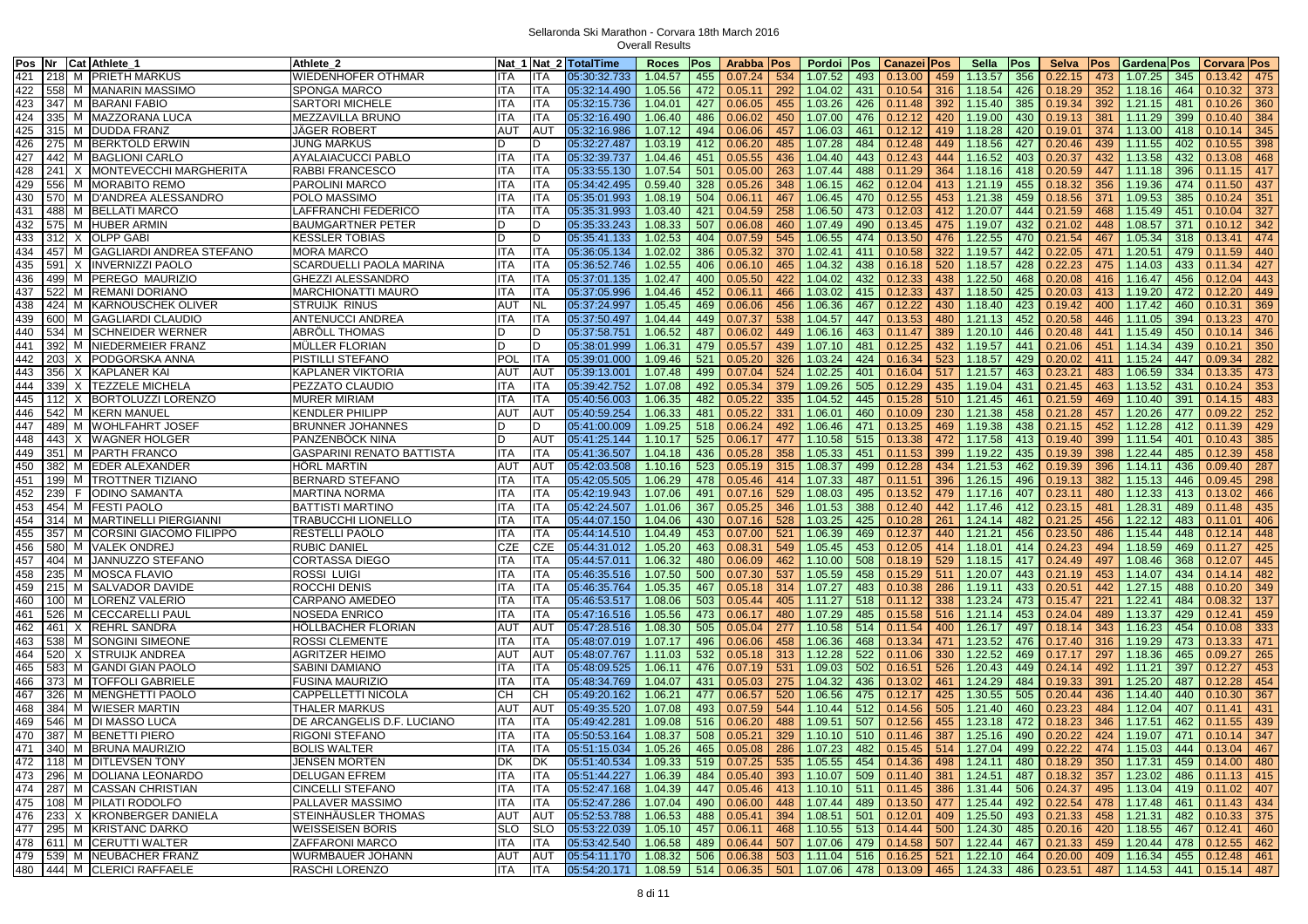| Cat Athlete_<br>Pos Nr                      | Athlete 2                        |            |            | Nat 1 Nat 2 TotalTime | <b>Roces</b>                                  | Pos | Arabba   Pos |     | Pordoi Pos              |     | <b>Canazei Pos</b>                                                                        |     | Sella       | Pos | <b>Selva</b>                                                                              | <b>Pos</b> | Gardena Pos                                |     | Corvara Pos   |     |
|---------------------------------------------|----------------------------------|------------|------------|-----------------------|-----------------------------------------------|-----|--------------|-----|-------------------------|-----|-------------------------------------------------------------------------------------------|-----|-------------|-----|-------------------------------------------------------------------------------------------|------------|--------------------------------------------|-----|---------------|-----|
| 421<br>218<br>M PRIETH MARKUS               | WIEDENHOFER OTHMAR               | <b>ITA</b> | ITA        | 05:30:32.733          | 1.04.57                                       | 455 | 0.07.24      | 534 | 1.07.52                 | 493 | 0.13.00                                                                                   | 459 | 1.13.57     | 356 | 0.22.15                                                                                   | 473        | 1.07.25                                    | 345 | 0.13.42       | 475 |
| 422<br>558 M MANARIN MASSIMO                | <b>SPONGA MARCO</b>              | <b>ITA</b> | <b>ITA</b> | 05:32:14.490          | 1.05.56                                       | 472 | 0.05.11      | 292 | 1.04.02                 | 431 | 0.10.54                                                                                   | 316 | 1.18.54     | 426 | 0.18.29                                                                                   | 352        | 1.18.16                                    | 464 | 0.10.32       | 373 |
| 423<br>347 M BARANI FABIO                   | SARTORI MICHELE                  | <b>ITA</b> | ITA        | 05:32:15.736          | 1.04.01                                       | 427 | 0.06.05      | 455 | 1.03.26                 | 426 | 0.11.48                                                                                   | 392 | 1.15.40     | 385 | 0.19.34                                                                                   | 392        | 1.21.15                                    | 481 | 0.10.26       | 360 |
| 424<br>335<br>M MAZZORANA LUCA              | MEZZAVILLA BRUNO                 | <b>ITA</b> | ITA.       | 05:32:16.490          | 1.06.40                                       | 486 | 0.06.02      | 450 | 1.07.00                 | 476 | 0.12.12                                                                                   | 420 | 1.19.00     | 430 | 0.19.13                                                                                   | 381        | 1.11.29                                    | 399 | 0.10.40       | 384 |
| 425<br>315 M DUDDA FRANZ                    | JAGER ROBERT                     | AUT        | <b>AUT</b> | 05:32:16.986          | 1.07.12                                       | 494 | 0.06.06      | 457 | 1.06.03                 | 461 | 0.12.12                                                                                   | 419 | 1.18.28     | 420 | 0.19.01                                                                                   | 374        | 1.13.00                                    | 418 | 0.10.14       | 345 |
| 426<br>275 M BERKTOLD ERWIN                 | <b>JUNG MARKUS</b>               | D          | D.         | 05:32:27.487          | 1.03.19                                       | 412 | 0.06.20      | 485 | 1.07.28                 | 484 | 0.12.48                                                                                   | 449 | 1.18.56     | 427 | 0.20.46                                                                                   | 439        | 1.11.55                                    | 402 | 0.10.55       | 398 |
| 427<br>442 M BAGLIONI CARLO                 | AYALAIACUCCI PABLO               | <b>ITA</b> | <b>ITA</b> | 05:32:39.737          | 1.04.46                                       | 451 | 0.05.55      | 436 | 1.04.40                 | 443 | 0.12.43                                                                                   | 444 | 1.16.52     | 403 | 0.20.37                                                                                   | 432        | 1.13.58                                    | 432 | 0.13.08       | 468 |
| 428<br>241<br>X MONTEVECCHI MARGHERITA      | RABBI FRANCESCO                  | <b>ITA</b> | ITA        | 05:33:55.130          | 1.07.54                                       | 501 | 0.05.00      | 263 | 1.07.44                 | 488 | 0.11.29                                                                                   | 364 | 1.18.16     | 418 | 0.20.59                                                                                   | 447        | 1.11.18                                    | 396 | 0.11.15       | 417 |
| 429<br>556<br>M MORABITO REMO               | PAROLINI MARCO                   | <b>ITA</b> | ITA        |                       | 0.59.40                                       |     |              |     |                         | 462 |                                                                                           | 413 |             |     |                                                                                           |            |                                            | 474 |               | 437 |
| 430<br>570                                  |                                  |            |            | 05:34:42.495          |                                               | 328 | 0.05.26      | 348 | 1.06.15                 |     | 0.12.04                                                                                   |     | 1.21.19     | 455 | 0.18.32                                                                                   | 356        | 1.19.36                                    |     | 0.11.50       |     |
| M D'ANDREA ALESSANDRO                       | POLO MASSIMO                     | <b>ITA</b> | ITA        | 05:35:01.993          | 1.08.19                                       | 504 | 0.06.11      | 467 | 1.06.45                 | 470 | 0.12.55                                                                                   | 453 | 1.21.38     | 459 | 0.18.56                                                                                   | 371        | 1.09.53                                    | 385 | 0.10.24       | 351 |
| 431<br>488<br>M BELLATI MARCO               | <b>LAFFRANCHI FEDERICO</b>       | <b>ITA</b> | ITA        | 05:35:31.993          | 1.03.40                                       | 421 | 0.04.59      | 258 | 1.06.50                 | 473 | 0.12.03                                                                                   | 412 | 1.20.07     | 444 | 0.21.59                                                                                   | 468        | 1.15.49                                    | 451 | 0.10.04       | 327 |
| 432<br>575 M HUBER ARMIN                    | <b>BAUMGARTNER PETER</b>         | D          | D.         | 05:35:33.243          | 1.08.33                                       | 507 | 0.06.08      | 460 | 1.07.49                 | 490 | 0.13.45                                                                                   | 475 | 1.19.07     | 432 | 0.21.02                                                                                   | 448        | 1.08.57                                    | 371 | 0.10.12       | 342 |
| X OLPP GABI<br>433<br>312                   | <b>KESSLER TOBIAS</b>            | D          | D          | 05:35:41.133          | 1.02.53                                       | 404 | 0.07.59      | 545 | 1.06.55                 | 474 | 0.13.50                                                                                   | 476 | 1.22.55     | 470 | 0.21.54                                                                                   | 467        | 1.05.34                                    | 318 | 0.13.41       | 474 |
| 434<br>1457 M GAGLIARDI ANDREA STEFANO      | <b>MORA MARCO</b>                | <b>ITA</b> | <b>ITA</b> | 05:36:05.134          | 1.02.02                                       | 386 | 0.05.32      | 370 | 1.02.41                 | 411 | 0.10.58                                                                                   | 322 | 1.19.57     | 442 | 0.22.05                                                                                   | 471        | 1.20.51                                    | 479 | 0.11.59       | 440 |
| 435 591<br>X INVERNIZZI PAOLO               | SCARDUELLI PAOLA MARINA          | <b>ITA</b> | <b>ITA</b> | 05:36:52.746          | 1.02.55                                       | 406 | 0.06.10      | 465 | 1.04.32                 | 438 | 0.16.18                                                                                   | 520 | 1.18.57     | 428 | 0.22.23                                                                                   | 475        | 1.14.03                                    | 433 | 0.11.34       | 427 |
| M PEREGO MAURIZIO<br>436<br>499             | <b>GHEZZI ALESSANDRO</b>         | <b>ITA</b> | ITA        | 05:37:01.135          | 1.02.47                                       | 400 | 0.05.50      | 422 | 1.04.02                 | 432 | 0.12.33                                                                                   | 438 | 1.22.50     | 468 | 0.20.08                                                                                   | 416        | 1.16.47                                    | 456 | 0.12.04       | 443 |
| 437<br>522<br>M REMANI DORIANO              | MARCHIONATTI MAURO               | <b>ITA</b> | ITA        | 05:37:05.996          | 1.04.46                                       | 452 | 0.06.11      | 466 | 1.03.02                 | 415 | 0.12.33                                                                                   | 437 | 1.18.50     | 425 | 0.20.03                                                                                   | 413        | 1.19.20                                    | 472 | 0.12.20       | 449 |
| M KARNOUSCHEK OLIVER<br>438<br>424          | STRUIJK RINUS                    | <b>AUT</b> | NL         | 05:37:24.997          | 1.05.45                                       | 469 | 0.06.06      | 456 | 1.06.36                 | 467 | 0.12.22                                                                                   | 430 | 1.18.40     | 423 | 0.19.42                                                                                   | 400        | 1.17.42                                    | 460 | 0.10.31       | 369 |
| 439<br>600<br>M<br><b>GAGLIARDI CLAUDIO</b> | <b>ANTENUCCI ANDREA</b>          | <b>ITA</b> | ITA        | 05:37:50.497          | 1.04.44                                       | 449 | 0.07.37      | 538 | 1.04.57                 | 447 | 0.13.53                                                                                   | 480 | 1.21.13     | 452 | 0.20.58                                                                                   | 446        | 1.11.05                                    | 394 | 0.13.23       | 470 |
| 440<br>534<br>M SCHNEIDER WERNER            | <b>ABROLL THOMAS</b>             | D          | D.         | 05:37:58.751          | 1.06.52                                       | 487 | 0.06.02      | 449 | 1.06.16                 | 463 | 0.11.47                                                                                   | 389 | 1.20.10     | 446 | 0.20.48                                                                                   | 441        | 1.15.49                                    | 450 | 0.10.14       | 346 |
| 441<br>392<br>M INIEDERMEIER FRANZ          | <b>MULLER FLORIAN</b>            | D          | D          | 05:38:01.999          | 1.06.31                                       | 479 | 0.05.57      | 439 | 1.07.10                 | 481 | 0.12.25                                                                                   | 432 | 1.19.57     | 441 | 0.21.06                                                                                   | 451        | 1.14.34                                    | 439 | 0.10.21       | 350 |
| 442<br>203<br>X PODGORSKA ANNA              | PISTILLI STEFANO                 | POL        | <b>ITA</b> | 05:39:01.000          | 1.09.46                                       | 521 | 0.05.20      | 326 | 1.03.24                 | 424 | 0.16.34                                                                                   | 523 | 1.18.57     | 429 | 0.20.02                                                                                   | 411        | 1.15.24                                    | 447 | 0.09.34       | 282 |
| 443<br>356<br>X KAPLANER KAI                | <b>KAPLANER VIKTORIA</b>         | <b>AUT</b> | <b>AUT</b> | 05:39:13.001          | 1.07.48                                       | 499 | 0.07.04      | 524 | 1.02.25                 | 401 | 0.16.04                                                                                   | 517 | 1.21.57     | 463 | 0.23.21                                                                                   | 483        | 1.06.59                                    | 334 | 0.13.35       | 473 |
| 444<br>339<br>X TEZZELE MICHELA             | PEZZATO CLAUDIO                  | <b>ITA</b> | <b>ITA</b> | 05:39:42.752          | 1.07.08                                       | 492 | 0.05.34      | 379 | 1.09.26                 | 505 | 0.12.29                                                                                   | 435 | 1.19.04     | 431 | 0.21.45                                                                                   | 463        | 1.13.52                                    | 431 | 0.10.24       | 353 |
| 445 112<br>X   BORTOLUZZI LORENZO           | <b>MURER MIRIAM</b>              | <b>ITA</b> | ITA        | 05:40:56.003          | 1.06.35                                       | 482 | 0.05.22      | 335 | 1.04.52                 | 445 | 0.15.28                                                                                   | 510 | 1.21.45     | 461 | 0.21.59                                                                                   | 469        | 1.10.40                                    | 391 | 0.14.15       | 483 |
| 446 542<br>M KERN MANUEL                    | <b>KENDLER PHILIPP</b>           | <b>AUT</b> | AUT        | 05:40:59.254          | 1.06.33                                       | 481 | 0.05.22      | 331 | 1.06.01                 | 460 | 0.10.09                                                                                   | 230 | 1.21.38     | 458 | 0.21.28                                                                                   | 457        | 1.20.26                                    | 477 | 0.09.22       | 252 |
| 447<br>489<br>M WOHLFAHRT JOSEF             | <b>BRUNNER JOHANNES</b>          | D          | D          | 05:41:00.009          | 1.09.25                                       | 518 | 0.06.24      | 492 | 1.06.46                 | 471 | 0.13.25                                                                                   | 469 | 1.19.38     | 438 | 0.21.15                                                                                   | 452        | 1.12.28                                    | 412 | 0.11.39       | 429 |
| 448<br>443<br>X WAGNER HOLGER               | PANZENBÖCK NINA                  | D          | <b>AUT</b> | 05:41:25.144          | 1.10.17                                       | 525 | 0.06.17      | 477 | 1.10.58                 | 515 | 0.13.38                                                                                   | 472 | 1.17.58     | 413 | 0.19.40                                                                                   | 399        | 1.11.54                                    | 401 | 0.10.43       | 385 |
| 449<br>351<br>M PARTH FRANCO                | <b>GASPARINI RENATO BATTISTA</b> | <b>ITA</b> | ITA        | 05:41:36.507          | 1.04.18                                       | 436 | 0.05.28      | 358 | 1.05.33                 | 451 | 0.11.53                                                                                   | 399 | 1.19.22     | 435 | 0.19.39                                                                                   | 398        | 1.22.44                                    | 485 | 0.12.39       | 458 |
| 450<br>382<br>M EDER ALEXANDER              | HORL MARTIN                      | AUT        | <b>AUT</b> | 05:42:03.508          | 1.10.16                                       | 523 | 0.05.19      | 315 | 1.08.37                 | 499 | 0.12.28                                                                                   | 434 | 1.21.53     | 462 | 0.19.39                                                                                   | 396        | 1.14.11                                    | 436 | 0.09.40       | 287 |
| 451<br>199<br>M TROTTNER TIZIANO            | <b>BERNARD STEFANO</b>           | <b>ITA</b> | ITA        | 05:42:05.505          | 1.06.29                                       | 478 | 0.05.46      | 414 | 1.07.33                 | 487 | 0.11.51                                                                                   | 396 | 1.26.15     | 496 | 0.19.13                                                                                   | 382        | 1.15.13                                    | 446 | 0.09.45       | 298 |
| 452<br>239<br>F IODINO SAMANTA              | <b>MARTINA NORMA</b>             | ITA        | <b>ITA</b> | 05:42:19.943          | 1.07.06                                       | 491 | 0.07.16      | 529 | 1.08.03                 | 495 | 0.13.52                                                                                   | 479 | 1.17.16     | 407 | 0.23.11                                                                                   | 480        | 1.12.33                                    | 413 | 0.13.02       | 466 |
| 453 454 M FESTI PAOLO                       | <b>BATTISTI MARTINO</b>          | IITA       | ITA.       | 05:42:24.507          | 1.01.06                                       | 367 | 0.05.25      | 346 | 1.01.53                 | 388 | 0.12.40                                                                                   | 442 | 1.17.46     | 412 | 0.23.15                                                                                   | 481        | 1.28.31                                    | 489 | 0.11.48       | 435 |
| 454<br>314 M MARTINELLI PIERGIANNI          | TRABUCCHI LIONELLO               | <b>ITA</b> | ITA        | 05:44:07.150          | 1.04.06                                       | 430 | 0.07.16      | 528 | 1.03.25                 | 425 | 0.10.28                                                                                   | 261 | 1.24.14     | 482 | 0.21.25                                                                                   | 456        | 1.22.12                                    | 483 | 0.11.01       | 406 |
|                                             |                                  | <b>ITA</b> |            |                       |                                               |     |              |     |                         |     |                                                                                           |     |             |     |                                                                                           |            |                                            |     |               |     |
| 455<br>357<br>M CORSINI GIACOMO FILIPPO     | <b>RESTELLI PAOLO</b>            |            | ITA        | 05:44:14.510          | 1.04.49                                       | 453 | 0.07.00      | 521 | 1.06.39                 | 469 | 0.12.37                                                                                   | 440 | 1.21.21     | 456 | 0.23.50                                                                                   | 486        | 1.15.44                                    | 448 | 0.12.14       | 448 |
| 456<br>580<br>M VALEK ONDREJ                | <b>RUBIC DANIEL</b>              | <b>CZE</b> | CZE        | 05:44:31.012          | 1.05.20                                       | 463 | 0.08.31      | 549 | 1.05.45                 | 453 | 0.12.05                                                                                   | 414 | 1.18.01     | 414 | 0.24.23                                                                                   | 494        | 1.18.59                                    | 469 | 0.11.27       | 425 |
| 457<br>M JANNUZZO STEFANO<br>404            | <b>CORTASSA DIEGO</b>            | <b>ITA</b> | <b>ITA</b> | 05:44:57.011          | 1.06.32                                       | 480 | 0.06.09      | 462 | 1.10.00                 | 508 | 0.18.19                                                                                   | 529 | 1.18.15     | 417 | 0.24.49                                                                                   | 497        | 1.08.46                                    | 368 | 0.12.07       | 445 |
| 458<br>235<br>M MOSCA FLAVIO                | ROSSI LUIGI                      | <b>ITA</b> | <b>ITA</b> | 05:46:35.516          | 1.07.50                                       | 500 | 0.07.30      | 537 | 1.05.59                 | 458 | 0.15.29                                                                                   | 511 | 1.20.07     | 443 | 0.21.19                                                                                   | 453        | 1.14.07                                    | 434 | 0.14.14       | 482 |
| 459<br>215<br>M SALVADOR DAVIDE             | ROCCHI DENIS                     | <b>ITA</b> | ITA        | 05:46:35.764          | 1.05.35                                       | 467 | 0.05.18      | 314 | 1.07.27                 | 483 | 0.10.38                                                                                   | 286 | 1.19.11     | 433 | 0.20.51                                                                                   | 442        | 1.27.15                                    | 488 | 0.10.20       | 349 |
| 460<br>100<br>M LORENZ VALERIO              | CARPANO AMEDEO                   | <b>ITA</b> | <b>ITA</b> | 05:46:53.517          | 1.08.06                                       | 503 | 0.05.44      | 405 | 1.11.27                 | 518 | 0.11.12                                                                                   | 338 | 1.23.24     | 473 | 0.15.47                                                                                   | 221        | 1.22.41                                    | 484 | 0.08.32       | 137 |
| 526<br>M CECCARELLI PAUL<br>461             | <b>NOSEDA ENRICO</b>             | IITA       | <b>ITA</b> | 05:47:16.516          | 1.05.56                                       | 473 | 0.06.17      | 480 | 1.07.29                 | 485 | 0.15.58                                                                                   | 516 | 1.21.14     | 453 | 0.24.04                                                                                   | 489        | 1.13.37                                    | 429 | 0.12.41       | 459 |
| 462<br>46'<br>X REHRL SANDRA                | HOLLBACHER FLORIAN               | AUT        | AUT        | 05:47:28.516          | 1.08.30                                       | 505 | 0.05.04      | 277 | 1.10.58                 | 514 | 0.11.54                                                                                   | 400 | 1.26.17     | 497 | 0.18.14                                                                                   | 343        | 1.16.23                                    | 454 | 0.10.08       | 333 |
| 538<br>463<br>M SONGINI SIMEONE             | ROSSI CLEMENTE                   | ITA        | ITA        | 05:48:07.019          | 1.07.17                                       | 496 | 0.06.06      | 458 | 1.06.36                 | 468 | 0.13.34                                                                                   | 471 | 1.23.52     | 476 | 0.17.40                                                                                   | 316        | 1.19.29                                    | 473 | 0.13.33       | 471 |
| 464<br>520<br>X STRUIJK ANDREA              | AGRITZER HEIMO                   | <b>AUT</b> | AUT        | 05:48:07.767          | 1.11.03                                       | 532 | 0.05.18      | 313 | 1.12.28                 | 522 | 0.11.06                                                                                   | 330 | 1.22.52     | 469 | 0.17.17                                                                                   | 297        | 1.18.36                                    | 465 | 0.09.27       | 265 |
| 465<br>583<br>M<br><b>GANDI GIAN PAOLO</b>  | SABINI DAMIANO                   | <b>ITA</b> | ITA        | 05:48:09.525          | 1.06.11                                       | 476 | 0.07.19      | 531 | 1.09.03                 | 502 | 0.16.51                                                                                   | 526 | 1.20.43     | 449 | 0.24.14                                                                                   | 492        | 1.11.21                                    | 397 | 0.12.27       | 453 |
| 466<br>373<br>M   TOFFOLI GABRIELE          | <b>FUSINA MAURIZIO</b>           | <b>ITA</b> | ITA        | 05:48:34.769          | 1.04.07                                       | 431 | 0.05.03      | 275 | 1.04.32                 | 436 | 0.13.02                                                                                   | 461 | 1.24.29     | 484 | 0.19.33                                                                                   | 391        | 1.25.20                                    | 487 | 0.12.28       | 454 |
| 467<br>326<br>M MENGHETTI PAOLO             | CAPPELLETTI NICOLA               | CН         | СН         | 05:49:20.162          | 1.06.21                                       | 477 | 0.06.57      | 520 | 1.06.56                 | 475 | 0.12.17                                                                                   | 425 | 1.30.55     | 505 | 0.20.44                                                                                   | 436        | 1.14.40                                    | 440 | 0.10.30       | 367 |
| 468<br>384<br>M WIESER MARTIN               | <b>THALER MARKUS</b>             | <b>AUT</b> | <b>AUT</b> | 05:49:35.520          | 1.07.08                                       | 493 | 0.07.59      | 544 | 1.10.44                 | 512 | 0.14.56                                                                                   | 505 | 1.21.40     | 460 | 0.23.23                                                                                   | 484        | 1.12.04                                    | 407 | 0.11.41       | 431 |
| 469 546<br>M DI MASSO LUCA                  | DE ARCANGELIS D.F. LUCIANO       | <b>ITA</b> | ITA        | 05:49:42.281          | 1.09.08                                       | 516 | 0.06.20      | 488 | 1.09.51                 | 507 | 0.12.56                                                                                   | 455 | 1.23.18     | 472 | 0.18.23                                                                                   | 346        | 1.17.51                                    | 462 | 0.11.55       | 439 |
| 470 387 M BENETTI PIERO                     | RIGONI STEFANO                   | <b>ITA</b> | ITA        | 05:50:53.164          | 1.08.37                                       | 508 | 0.05.21      | 329 | $1.10.10$ 510 0.11.46   |     |                                                                                           | 387 | 1.25.16     | 490 | 0.20.22                                                                                   | 424        | 1.19.07                                    | 471 | $0.10.14$ 347 |     |
| 471 340 M BRUNA MAURIZIO                    | <b>BOLIS WALTER</b>              | <b>ITA</b> | <b>ITA</b> | 05:51:15.034          |                                               |     |              |     |                         |     | $1.05.26$   465   0.05.08   286   1.07.23   482   0.15.45   514   1.27.04   499   0.22.22 |     |             |     |                                                                                           |            | 474 1.15.03 444 0.13.04 467                |     |               |     |
| 472 118 M DITLEVSEN TONY                    | JENSEN MORTEN                    | DK         | DK         | 05:51:40.534          | $1.09.33$ 519 0.07.25                         |     |              |     | 535 1.05.55 454 0.14.36 |     |                                                                                           | 498 | 1.24.11     | 480 | 0.18.29                                                                                   |            | $350$ 1.17.31                              | 459 | $0.14.00$ 480 |     |
| 473 296 M DOLIANA LEONARDO                  | DELUGAN EFREM                    | <b>ITA</b> | ITA        | 05:51:44.227          | 1.06.39                                       |     | 484 0.05.40  |     | 393 1.10.07             |     | 509 0.11.40                                                                               | 381 | 1.24.51     | 487 | 0.18.32                                                                                   | 357        | 1.23.02                                    | 486 | $0.11.13$ 415 |     |
| 474 287 M CASSAN CHRISTIAN                  | <b>CINCELLI STEFANO</b>          | <b>ITA</b> | <b>ITA</b> | 05:52:47.168          | 1.04.39                                       |     | 447 0.05.46  |     | 413 1.10.10 511 0.11.45 |     |                                                                                           |     | 386 1.31.44 | 506 | 0.24.37                                                                                   |            | 495 1.13.04 419                            |     | $0.11.02$ 407 |     |
| 475   108 M   PILATI RODOLFO                | PALLAVER MASSIMO                 | <b>ITA</b> | ITA        | 05:52:47.286          | 1.07.04                                       |     | 490 0.06.00  |     | 448 1.07.44             | 489 | 0.13.50                                                                                   | 477 | 1.25.44     | 492 | 0.22.54                                                                                   |            | 478 1.17.48                                | 461 | $0.11.43$ 434 |     |
| 476 233 X KRONBERGER DANIELA                | STEINHÄUSLER THOMAS              | <b>AUT</b> | AUT        | 05:52:53.788          | 1.06.53                                       | 488 | 0.05.41      | 394 | 1.08.51                 | 501 | 0.12.01                                                                                   | 409 | 1.25.50     | 493 | 0.21.33                                                                                   | 458        | 1.21.31                                    | 482 | $0.10.33$ 375 |     |
| 477 295 M KRISTANC DARKO                    | <b>WEISSEISEN BORIS</b>          | <b>SLO</b> | <b>SLO</b> | 05:53:22.039          | 1.05.10                                       |     | 457 0.06.11  |     | 468 1.10.55 513         |     | 0.14.44                                                                                   | 500 | 1.24.30     | 485 | 0.20.16                                                                                   | 420        | 1.18.55                                    | 467 | $0.12.41$ 460 |     |
| 478 611 M CERUTTI WALTER                    | ZAFFARONI MARCO                  | <b>ITA</b> | ITA        | 05:53:42.540          | 1.06.58                                       |     | 489 0.06.44  |     | 507 1.07.06             |     | 479 0.14.58                                                                               | 507 | 1.22.44     | 467 | 0.21.33                                                                                   | 459        | 1.20.44                                    | 478 | $0.12.55$ 462 |     |
| 479 539 M NEUBACHER FRANZ                   | <b>WURMBAUER JOHANN</b>          | <b>AUT</b> | AUT        | 05:54:11.170          |                                               |     |              |     |                         |     |                                                                                           |     |             |     | $1.08.32$   506   0.06.38   503   1.11.04   516   0.16.25   521   1.22.10   464   0.20.00 |            | $\mid$ 409   1.16.34   455   0.12.48   461 |     |               |     |
| 480 444 M CLERICI RAFFAELE                  | RASCHI LORENZO                   | ITA        | ITA        | 05:54:20.171          | $1.08.59$ 514 0.06.35 501 1.07.06 478 0.13.09 |     |              |     |                         |     |                                                                                           |     |             |     | 465 1.24.33 486 0.23.51                                                                   |            | 487 1.14.53 441 0.15.14 487                |     |               |     |
|                                             |                                  |            |            |                       |                                               |     |              |     |                         |     |                                                                                           |     |             |     |                                                                                           |            |                                            |     |               |     |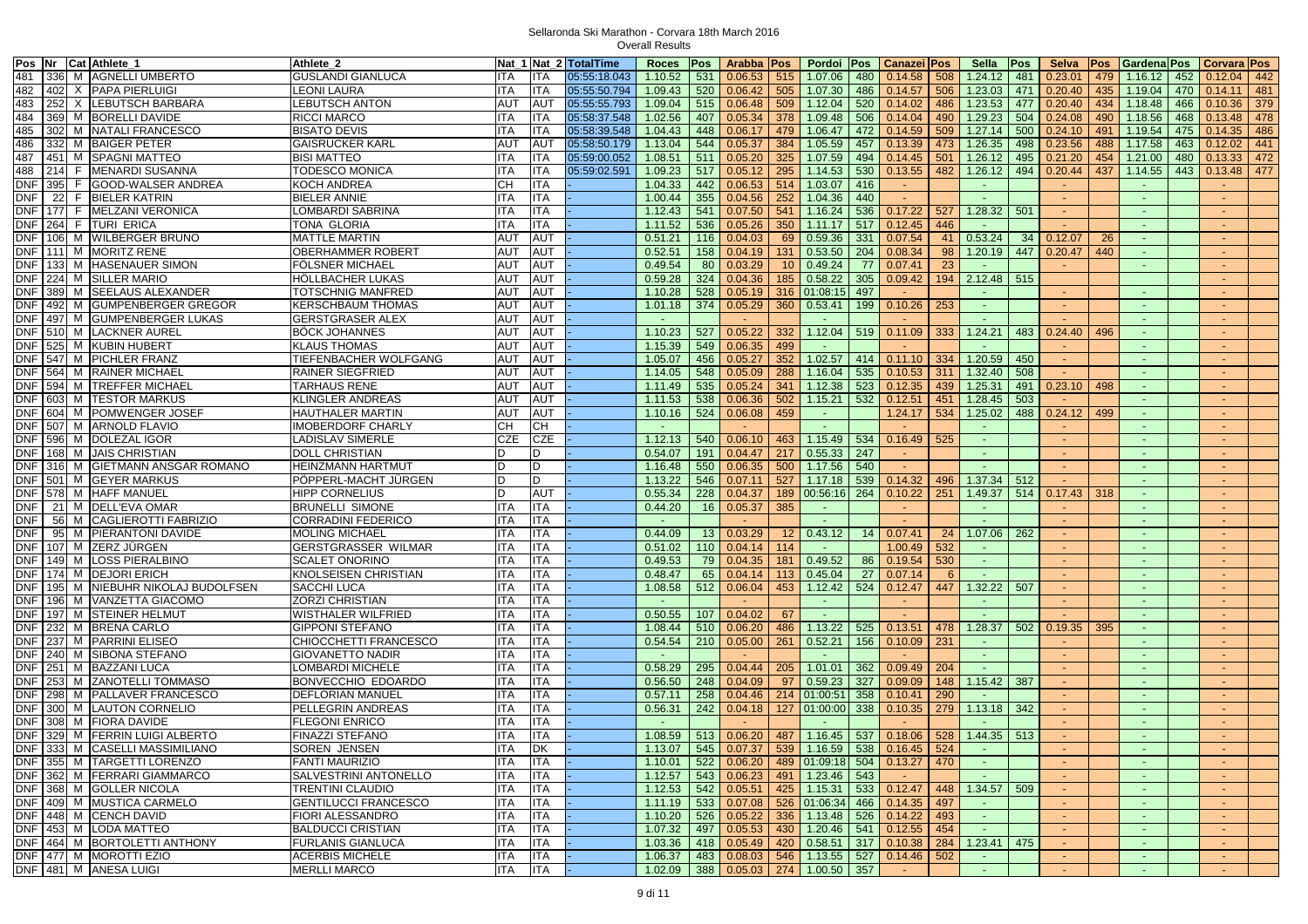| Pos Nr Cat Athlete_1                      | Athlete_2                   |                   |            | Nat 1 Nat 2 TotalTime | Roces   Pos |     | Arabba   Pos                          |                 | Pordoi Pos              |     | <b>Canazei Pos</b>                                                            |     | Sella          | Pos | Selva   Pos    |           | <b>GardenalPos</b> |     | <b>Corvara Pos</b> |     |
|-------------------------------------------|-----------------------------|-------------------|------------|-----------------------|-------------|-----|---------------------------------------|-----------------|-------------------------|-----|-------------------------------------------------------------------------------|-----|----------------|-----|----------------|-----------|--------------------|-----|--------------------|-----|
| 481<br>336 M AGNELLI UMBERTO              | <b>GUSLANDI GIANLUCA</b>    | <b>ITA</b>        | <b>ITA</b> | 05:55:18.043          | 1.10.52     | 531 | 0.06.53                               | 515             | 1.07.06                 | 480 | 0.14.58                                                                       | 508 | 1.24.12 481    |     | 0.23.01        | 479       | 1.16.12            | 452 | 0.12.04            | 442 |
| 482<br>402 X PAPA PIERLUIGI               | LEONI LAURA                 | <b>ITA</b>        | <b>ITA</b> | 05:55:50.794          | 1.09.43     | 520 | 0.06.42                               |                 | 505 1.07.30             | 486 | 0.14.57                                                                       | 506 | 1.23.03        | 471 | 0.20.40        | 435       | 1.19.04            | 470 | 0.14.11            | 481 |
| 483<br>252<br>X LEBUTSCH BARBARA          | <b>LEBUTSCH ANTON</b>       | AUT               | <b>AUT</b> | 05:55:55.793          | 1.09.04     | 515 | 0.06.48                               | 509             | 1.12.04                 | 520 | 0.14.02                                                                       | 486 | 1.23.53        | 477 | 0.20.40        | 434       | 1.18.48            | 466 | 0.10.36            | 379 |
| 484<br>369<br>M BORELLI DAVIDE            | RICCI MARCO                 | ITA               | <b>ITA</b> | 05:58:37.548          | 1.02.56     | 407 | 0.05.34                               | 378             | 1.09.48                 | 506 | 0.14.04                                                                       | 490 | 1.29.23        | 504 | 0.24.08        | 490       | 1.18.56            | 468 | 0.13.48            | 478 |
| 485<br>302 M NATALI FRANCESCO             | <b>BISATO DEVIS</b>         | <b>ITA</b>        | <b>ITA</b> | 05:58:39.548          | 1.04.43     | 448 | 0.06.17                               | 479             | 1.06.47                 | 472 | 0.14.59                                                                       | 509 | $1.27.14$ 500  |     | 0.24.10        | 491       | 1.19.54            | 475 | 0.14.35            | 486 |
| 486<br>332 M BAIGER PETER                 | GAISRUCKER KARL             | <b>AUT</b>        | <b>AUT</b> | 05:58:50.179          | 1.13.04     | 544 | 0.05.37                               | 384             | 1.05.59                 | 457 | 0.13.39                                                                       | 473 | 1.26.35        | 498 | 0.23.56        | 488       | 1.17.58            | 463 | 0.12.02            | 441 |
| 487<br>1451   M ISPAGNI MATTEO            | BISI MATTEO                 | ITA               | <b>ITA</b> | 05:59:00.052          | 1.08.51     |     | $511 \mid 0.05.20$                    | 325             | 1.07.59                 | 494 | 0.14.45                                                                       | 501 | 1.26.12        | 495 | 0.21.20        | 454       | 1.21.00            | 480 | 0.13.33            | 472 |
| 488<br>F MENARDI SUSANNA<br>214           | TODESCO MONICA              | ITA               | <b>ITA</b> | 05:59:02.591          | 1.09.23     | 517 | 0.05.12                               | 295             | 1.14.53                 | 530 | 0.13.55                                                                       | 482 | 1.26.12        | 494 | 0.20.44        | 437       | 1.14.55            | 443 | 0.13.48            | 477 |
| DNF 395<br>F GOOD-WALSER ANDREA           | KOCH ANDREA                 | CН                | <b>ITA</b> |                       | 1.04.33     | 442 | 0.06.53                               | 514             | 1.03.07                 | 416 | $\sim$                                                                        |     |                |     |                |           |                    |     |                    |     |
| DNF<br>-22<br>F BIELER KATRIN             | <b>BIELER ANNIE</b>         | <b>ITA</b>        | <b>ITA</b> |                       | 1.00.44     | 355 | 0.04.56                               | 252             | 1.04.36                 | 440 | $\sim$                                                                        |     |                |     |                |           |                    |     |                    |     |
| DNF   177   F   MELZANI VERONICA          | LOMBARDI SABRINA            | <b>ITA</b>        | <b>ITA</b> |                       | 1.12.43     |     | 541 0.07.50                           |                 | $541$ 1.16.24           | 536 | 0.17.22                                                                       | 527 | 1.28.32        | 501 |                |           |                    |     |                    |     |
| DNF 264 F TURI ERICA                      | TONA GLORIA                 | <b>ITA</b>        | <b>ITA</b> |                       | 1.11.52     | 536 | 0.05.26                               |                 | 350 1.11.17             | 517 | 0.12.45                                                                       | 446 |                |     |                |           |                    |     |                    |     |
| DNF 106 M WILBERGER BRUNO                 | <b>MATTLE MARTIN</b>        | <b>AUT</b>        | <b>AUT</b> |                       | 0.51.21     | 116 | 0.04.03                               |                 | 69 0.59.36              | 331 |                                                                               | 41  | 0.53.24        | 34  | 0.12.07        |           | $\sim$             |     |                    |     |
| DNF   111   M   MORITZ RENE               | OBERHAMMER ROBERT           | <b>AUT</b>        | <b>AUT</b> |                       | 0.52.51     |     | 0.04.19                               |                 | 0.53.50                 | 204 | 0.07.54<br>0.08.34                                                            |     | 1.20.19        | 447 |                | 26<br>440 |                    |     |                    |     |
|                                           |                             |                   |            |                       |             | 158 |                                       | 131             |                         |     |                                                                               | 98  | <b>College</b> |     | 0.20.47        |           |                    |     |                    |     |
| DNF   133 M   HASENAUER SIMON             | <b>FOLSNER MICHAEL</b>      | <b>AUT</b>        | <b>AUT</b> |                       | 0.49.54     | 80  | 0.03.29                               | 10              | 0.49.24                 | 77  | 0.07.41                                                                       | 23  |                |     | $\sim$         |           | $\sim$             |     |                    |     |
| DNF 224 M SILLER MARIO                    | HOLLBACHER LUKAS            | AUT               | <b>AUT</b> |                       | 0.59.28     |     | $324 \mid 0.04.36$                    | 185             | 0.58.22                 | 305 | 0.09.42                                                                       | 194 | $2.12.48$ 515  |     |                |           |                    |     |                    |     |
| DNF 389 M SEELAUS ALEXANDER               | TOTSCHNIG MANFRED           | <b>AUT</b>        | <b>AUT</b> |                       | 1.10.28     | 528 | 0.05.19                               | 316             | 01:08:15                | 497 | $\sim$                                                                        |     |                |     |                |           |                    |     |                    |     |
| DNF   492   M GUMPENBERGER GREGOR         | KERSCHBAUM THOMAS           | AUT               | <b>AUT</b> |                       | 1.01.18     | 374 | 0.05.29                               | 360             | 0.53.41                 | 199 | 0.10.26                                                                       | 253 |                |     |                |           |                    |     |                    |     |
| 497 M GUMPENBERGER LUKAS<br><b>DNF</b>    | GERSTGRASER ALEX            | AUT               | AUT        |                       | $\sim$      |     |                                       |                 |                         |     |                                                                               |     |                |     |                |           |                    |     |                    |     |
| DNF   510   M   LACKNER AUREL             | <b>BOCK JOHANNES</b>        | AUT               | <b>AUT</b> |                       | 1.10.23     | 527 | 0.05.22                               | 332             | 1.12.04                 | 519 | 0.11.09                                                                       | 333 | $1.24.21$ 483  |     | 0.24.40        | 496       |                    |     |                    |     |
| DNF 525<br>M KUBIN HUBERT                 | KLAUS THOMAS                | AUT               | <b>AUT</b> |                       | 1.15.39     | 549 | 0.06.35                               | 499             |                         |     |                                                                               |     |                |     |                |           |                    |     |                    |     |
| DNF 547 M PICHLER FRANZ                   | TIEFENBACHER WOLFGANG       | <b>AUT</b>        | <b>AUT</b> |                       | 1.05.07     | 456 | 0.05.27                               |                 | 352 1.02.57             | 414 | 0.11.10                                                                       | 334 | 1.20.59        | 450 | reality.       |           |                    |     |                    |     |
| DNF 564 M RAINER MICHAEL                  | RAINER SIEGFRIED            | <b>AUT</b>        | <b>AUT</b> |                       | 1.14.05     | 548 | 0.05.09                               | 288             | 1.16.04                 | 535 | 0.10.53                                                                       | 311 | $1.32.40$ 508  |     |                |           |                    |     |                    |     |
| DNF 594 M TREFFER MICHAEL                 | <b>TARHAUS RENE</b>         | <b>AUT</b>        | <b>AUT</b> |                       | 1.11.49     | 535 | 0.05.24                               | 341             | 1.12.38                 | 523 | 0.12.35                                                                       | 439 | 1.25.31        | 491 | 0.23.10        | 498       | $\sim$             |     | $\sim$             |     |
| DNF 603 M TESTOR MARKUS                   | KLINGLER ANDREAS            | AUT               | <b>AUT</b> |                       | 1.11.53     |     | 538 0.06.36                           | 502             | 1.15.21                 | 532 | 0.12.51                                                                       | 451 | 1.28.45        | 503 | <b>Section</b> |           | $\sim$             |     |                    |     |
| DNF 604 M POMWENGER JOSEF                 | HAUTHALER MARTIN            | <b>AUT</b>        | <b>AUT</b> |                       | 1.10.16     |     | $524$ 0.06.08                         | 459             | $\sim$                  |     | 1.24.17                                                                       | 534 | 1.25.02        | 488 | 0.24.12        | 499       |                    |     |                    |     |
| DNF 507 M ARNOLD FLAVIO                   | <b>IMOBERDORF CHARLY</b>    | CН                | CН         |                       |             |     |                                       |                 |                         |     |                                                                               |     |                |     |                |           |                    |     |                    |     |
| DNF 596 M DOLEZAL IGOR                    | LADISLAV SIMERLE            | <b>CZE</b>        | <b>CZE</b> |                       | 1.12.13     |     | $540$ 0.06.10                         |                 | 463 1.15.49             | 534 | 0.16.49                                                                       | 525 | $\sim$         |     | $\sim$         |           |                    |     |                    |     |
| DNF   168 M   JAIS CHRISTIAN              | DOLL CHRISTIAN              | D                 | D          |                       | 0.54.07     | 191 | 0.04.47                               | 217             | 0.55.33                 | 247 |                                                                               |     |                |     | $\sim$         |           |                    |     |                    |     |
| DNF 316 M GIETMANN ANSGAR ROMANO          | HEINZMANN HARTMUT           | D                 | D          |                       | 1.16.48     | 550 | 0.06.35                               | 500             | 1.17.56                 | 540 | <b>CO</b>                                                                     |     |                |     |                |           |                    |     |                    |     |
| DNF 501<br>M GEYER MARKUS                 | POPPERL-MACHT JURGEN        | D                 | D          |                       | 1.13.22     | 546 | 0.07.11                               | 527             | 1.17.18                 | 539 | 0.14.32                                                                       | 496 | 1.37.34        | 512 |                |           | $\sim$             |     | $\sim$             |     |
| DNF   578   M   HAFF MANUEL               | <b>HIPP CORNELIUS</b>       | D                 | AUT        |                       | 0.55.34     | 228 | 0.04.37                               | 189             | 00:56:16 264            |     | 0.10.22                                                                       | 251 | 1.49.37        |     | $514$ 0.17.43  | 318       |                    |     |                    |     |
| <b>DNF</b><br>21 M DELL'EVA OMAR          | <b>BRUNELLI SIMONE</b>      | <b>ITA</b>        | ITA        |                       | 0.44.20     |     | 16 0.05.37                            | 385             | $\sim$                  |     | $\sim$ $-$                                                                    |     | $\sim$         |     | <b>Section</b> |           | $\sim$             |     |                    |     |
| <b>DNF</b><br>56 M CAGLIEROTTI FABRIZIO   | CORRADINI FEDERICO          | ITA               | <b>ITA</b> |                       | <b>CO</b>   |     | $\sim$                                |                 |                         |     | <b>CO</b>                                                                     |     |                |     |                |           |                    |     |                    |     |
| DNF<br>95 M PIERANTONI DAVIDE             | <b>MOLING MICHAEL</b>       | <b>ITA</b>        | <b>ITA</b> |                       | 0.44.09     |     | 13 0.03.29                            | 12 <sup>2</sup> | 0.43.12                 | 14  | 0.07.41                                                                       | 24  | 1.07.06        | 262 |                |           |                    |     |                    |     |
| DNF 107 M ZERZ JÜRGEN                     | GERSTGRASSER WILMAR         | <b>ITA</b>        | <b>ITA</b> |                       | 0.51.02     |     | $110$ 0.04.14                         | 114             |                         |     | 1.00.49                                                                       | 532 |                |     |                |           |                    |     |                    |     |
| DNF   149 M LOSS PIERALBINO               | <b>SCALET ONORINO</b>       | <b>ITA</b>        | ITA        |                       | 0.49.53     | 79  | 0.04.35                               |                 | 181 0.49.52             | 86  | 0.19.54                                                                       | 530 | $\sim$         |     |                |           |                    |     |                    |     |
| DNF   174 M   DEJORI ERICH                | KNOLSEISEN CHRISTIAN        | <b>ITA</b>        | <b>ITA</b> |                       | 0.48.47     | 65  | 0.04.14                               | 113             | 0.45.04                 | 27  | 0.07.14                                                                       | 6   |                |     |                |           |                    |     |                    |     |
| DNF   195   M   NIEBUHR NIKOLAJ BUDOLFSEN | SACCHI LUCA                 | <b>ITA</b>        | <b>ITA</b> |                       | 1.08.58     | 512 | 0.06.04                               |                 | 453 1.12.42             | 524 | 0.12.47                                                                       | 447 | 1.32.22        | 507 | $\sim$         |           |                    |     |                    |     |
| DNF   196   M   VANZETTA GIACOMO          | <b>ZORZI CHRISTIAN</b>      | <b>ITA</b>        | <b>ITA</b> |                       | <b>CO</b>   |     | <b>Contract</b>                       |                 | $\sim$                  |     | <b>Contract</b>                                                               |     | $\sim$         |     | $\sim$         |           | $\sim$             |     |                    |     |
| DNF   197   M   STEINER HELMUT            | <b>WISTHALER WILFRIED</b>   | <b>ITA</b>        | <b>ITA</b> |                       | 0.50.55     |     | 107 0.04.02                           | 67              | $\sim$ $-$              |     |                                                                               |     |                |     |                |           |                    |     |                    |     |
| DNF 232 M BRENA CARLO                     | <b>GIPPONI STEFANO</b>      |                   | <b>ITA</b> |                       | 1.08.44     | 510 | 0.06.20                               |                 | 486 1.13.22             | 525 | 0.13.51                                                                       | 478 | 1.28.37        | 502 | 0.19.35        | 395       |                    |     |                    |     |
|                                           |                             | ITA               |            |                       |             |     |                                       |                 |                         |     |                                                                               |     |                |     |                |           | $\sim$             |     |                    |     |
| DNF   237   M   PARRINI ELISEO            | CHIOCCHETTI FRANCESCO       | ITA<br><b>ITA</b> | ITA        |                       | 0.54.54     | 210 | 0.05.00<br><b>.</b>                   | 261             | 0.52.21                 | 156 | 0.10.09                                                                       | 231 |                |     |                |           |                    |     |                    |     |
| DNF 240 M SIBONA STEFANO                  | GIOVANETTO NADIR            |                   | ITA.       |                       |             |     |                                       |                 |                         |     |                                                                               |     |                |     |                |           |                    |     |                    |     |
| M BAZZANI LUCA<br><b>DNF</b> 251          | LOMBARDI MICHELE            | <b>ITA</b>        | <b>ITA</b> |                       | 0.58.29     | 295 | 0.04.44                               |                 | $205$   1.01.01         | 362 | 0.09.49                                                                       | 204 |                |     |                |           |                    |     |                    |     |
| DNF   253   M   ZANOTELLI TOMMASO         | BONVECCHIO EDOARDO          | <b>ITA</b>        | <b>ITA</b> |                       | 0.56.50     | 248 | 0.04.09                               | 97              | 0.59.23                 | 327 | 0.09.09                                                                       | 148 | 1.15.42        | 387 | $\sim$         |           |                    |     |                    |     |
| <b>DNF</b><br>298<br>M PALLAVER FRANCESCO | DEFLORIAN MANUEL            | ITA               | <b>ITA</b> |                       | 0.57.11     | 258 | 0.04.46                               |                 | 214 01:00:51            | 358 | 0.10.41                                                                       | 290 | <b>College</b> |     | $\sim$         |           |                    |     |                    |     |
| DNF 300 M LAUTON CORNELIO                 | PELLEGRIN ANDREAS           | <b>ITA</b>        | <b>ITA</b> |                       | 0.56.31     | 242 | 0.04.18                               |                 | 127 01:00:00            | 338 | 0.10.35                                                                       | 279 | $1.13.18$ 342  |     | $\sim$         |           |                    |     |                    |     |
| DNF 308 M FIORA DAVIDE                    | <b>FLEGONI ENRICO</b>       | <b>ITA</b>        | <b>ITA</b> |                       | $\sim$      |     | <b>Contract</b>                       |                 | $\sim$                  |     | <b>Contract</b>                                                               |     |                |     | $\sim$         |           |                    |     |                    |     |
| DNF 329 M FERRIN LUIGI ALBERTO            | FINAZZI STEFANO             | <b>ITA</b>        | <b>ITA</b> |                       |             |     |                                       |                 |                         |     | 1.08.59   513   0.06.20   487   1.16.45   537   0.18.06   528   1.44.35   513 |     |                |     | $\sim$         |           |                    |     |                    |     |
| DNF 333 M CASELLI MASSIMILIANO            | <b>SOREN JENSEN</b>         | <b>ITA</b>        | DK         |                       |             |     |                                       |                 |                         |     | 1.13.07   545   0.07.37   539   1.16.59   538   0.16.45   524                 |     | $\sim 100$     |     |                |           |                    |     |                    |     |
| DNF 355 M TARGETTI LORENZO                | <b>FANTI MAURIZIO</b>       | <b>ITA</b>        | <b>ITA</b> |                       | 1.10.01     |     |                                       |                 |                         |     | 522 0.06.20 489 01:09:18 504 0.13.27                                          | 470 | $\sim$         |     | $\sim$         |           |                    |     |                    |     |
| DNF 362 M FERRARI GIAMMARCO               | SALVESTRINI ANTONELLO       | <b>ITA</b>        | ITA        |                       | 1.12.57     |     | 543 0.06.23                           |                 | $ 491 $ 1.23.46 543     |     |                                                                               |     |                |     |                |           |                    |     |                    |     |
| DNF 368 M GOLLER NICOLA                   | <b>TRENTINI CLAUDIO</b>     | <b>ITA</b>        | <b>ITA</b> |                       | 1.12.53     |     | 542 0.05.51                           |                 |                         |     | $\vert$ 425   1.15.31   533   0.12.47                                         | 448 | 1.34.57 509    |     | $\sim$         |           |                    |     |                    |     |
| DNF 409 M MUSTICA CARMELO                 | <b>GENTILUCCI FRANCESCO</b> | <b>ITA</b>        | ITA        |                       | 1.11.19     | 533 | 0.07.08                               |                 | 526 01:06:34 466        |     | 0.14.35                                                                       | 497 |                |     | $\sim$         |           |                    |     |                    |     |
| DNF 448 M CENCH DAVID                     | <b>FIORI ALESSANDRO</b>     | <b>ITA</b>        | <b>ITA</b> |                       | 1.10.20     | 526 | 0.05.22                               |                 | 336 1.13.48 526         |     | 0.14.22                                                                       | 493 | $\sim$         |     | $\sim$         |           |                    |     |                    |     |
| DNF 453 M LODA MATTEO                     | <b>BALDUCCI CRISTIAN</b>    | <b>ITA</b>        | ITA        |                       | 1.07.32     |     | 497 0.05.53                           |                 | $\vert$ 430 1.20.46 541 |     | 0.12.55                                                                       | 454 | $\sim$         |     | $\sim$         |           |                    |     |                    |     |
| DNF   464   M   BORTOLETTI ANTHONY        | <b>FURLANIS GIANLUCA</b>    | ITA               | ITA        |                       | 1.03.36     |     | 418 0.05.49 420 0.58.51 317           |                 |                         |     | 0.10.38                                                                       | 284 | $1.23.41$ 475  |     | $\sim$         |           | $\sim$             |     | $\sim$             |     |
| DNF 477 M MOROTTI EZIO                    | <b>ACERBIS MICHELE</b>      | ITA               | <b>ITA</b> |                       | 1.06.37     |     |                                       |                 |                         |     | 483 0.08.03 546 1.13.55 527 0.14.46 502                                       |     | $\sim$         |     | $\sim$         |           | $\sim$             |     | $\sim$             |     |
| DNF 481 M ANESA LUIGI                     | <b>MERLLI MARCO</b>         | ITA               | <b>ITA</b> |                       |             |     | $1.02.09$ 388 0.05.03 274 1.00.50 357 |                 |                         |     | $\sim 100$                                                                    |     | $\sim$         |     | $\sim$         |           | $\sim$             |     | $\sim$             |     |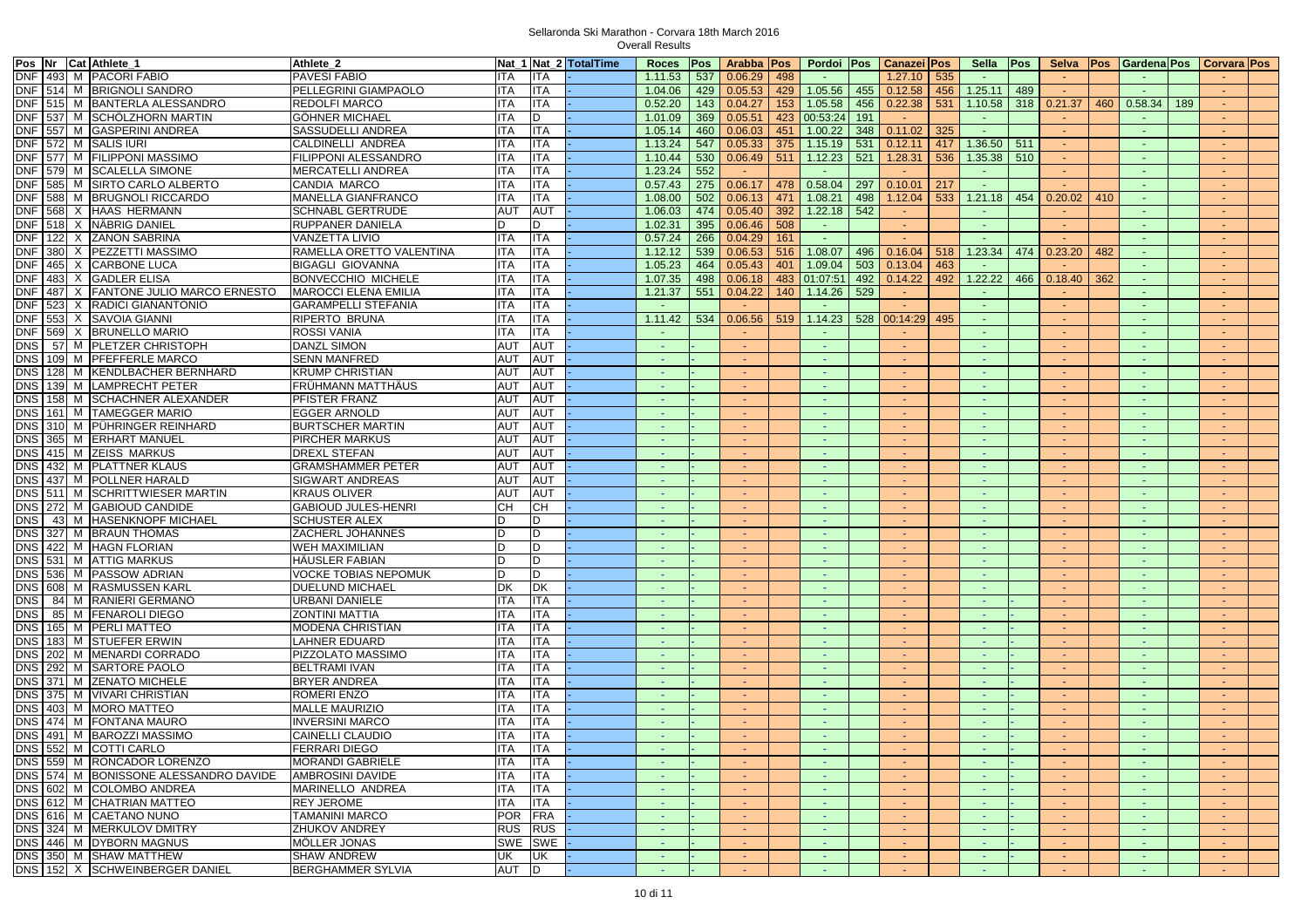| Pos Nr Cat Athlete_1 |                                       | Athlete_2                   |            |            | Nat 1 Nat 2 TotalTime |                 |     | Roces Pos Arabba Pos  |     | Pordoi Pos               | Canazei Pos     |     | Sella Pos             |               |                 |     | Selva   Pos   Gardena   Pos   Corvara   Pos |     |        |  |
|----------------------|---------------------------------------|-----------------------------|------------|------------|-----------------------|-----------------|-----|-----------------------|-----|--------------------------|-----------------|-----|-----------------------|---------------|-----------------|-----|---------------------------------------------|-----|--------|--|
|                      | DNF 493 M PACORI FABIO                | PAVESI FABIO                | ITA        | <b>ITA</b> |                       |                 |     | $1.11.53$ 537 0.06.29 | 498 |                          | 1.27.10         | 535 |                       |               |                 |     |                                             |     |        |  |
|                      | DNF 514 M BRIGNOLI SANDRO             | PELLEGRINI GIAMPAOLO        | <b>ITA</b> | <b>ITA</b> |                       | 1.04.06         |     | 429 0.05.53           |     | 429 1.05.56<br>455       | 0.12.58         | 456 | 1.25.11               | $ 489\rangle$ |                 |     |                                             |     |        |  |
|                      | DNF 515 M BANTERLA ALESSANDRO         | <b>REDOLFI MARCO</b>        | <b>ITA</b> | <b>ITA</b> |                       | 0.52.20         |     | $143$ 0.04.27         |     | 153 1.05.58<br>456       | 0.22.38         | 531 | $1.10.58$ 318 0.21.37 |               |                 | 460 | 0.58.34                                     | 189 |        |  |
|                      | DNF 537 M SCHÖLZHORN MARTIN           | <b>GÖHNER MICHAEL</b>       | <b>ITA</b> | D          |                       | 1.01.09         |     | 369 0.05.51           |     | 423 00:53:24<br>191      | $\sim$          |     | $\sim$                |               | . н.            |     |                                             |     |        |  |
|                      | DNF 557 M GASPERINI ANDREA            | SASSUDELLI ANDREA           | <b>ITA</b> | <b>ITA</b> |                       | 1.05.14         |     | 460 0.06.03           | 451 | 1.00.22<br>348           | 0.11.02         | 325 | $\sim$                |               |                 |     |                                             |     |        |  |
| DNF 572 M SALIS IURI |                                       | CALDINELLI ANDREA           | <b>ITA</b> | <b>ITA</b> |                       | 1.13.24         | 547 | 0.05.33               | 375 | 1.15.19<br>531           | 0.12.11         | 417 | 1.36.50               | 511           | $\sim$          |     | $\sim$                                      |     | $\sim$ |  |
|                      | DNF 577 M FILIPPONI MASSIMO           | <b>FILIPPONI ALESSANDRO</b> | <b>ITA</b> | <b>ITA</b> |                       | 1.10.44         | 530 | 0.06.49               | 511 | 1.12.23<br>521           | 1.28.31         | 536 | $1.35.38$ 510         |               | $\sim$          |     | $\overline{\phantom{a}}$                    |     |        |  |
|                      | DNF   579   M   SCALELLA SIMONE       | MERCATELLI ANDREA           | ITA        | <b>ITA</b> |                       | 1.23.24         | 552 | <b>College</b>        |     | $\sim$                   | <b>Contract</b> |     | $\sim$                |               | $\sim$ 10 $\pm$ |     | $\sim$                                      |     |        |  |
|                      | DNF 585 M SIRTO CARLO ALBERTO         | CANDIA MARCO                | ITA        | <b>ITA</b> |                       | 0.57.43         |     | 275 0.06.17           | 478 | 0.58.04<br>297           | 0.10.01         | 217 | $\sim$                |               |                 |     | - 1                                         |     |        |  |
|                      | DNF 588 M BRUGNOLI RICCARDO           | MANELLA GIANFRANCO          | <b>ITA</b> | <b>ITA</b> |                       | 1.08.00         | 502 | 0.06.13               |     | 471 1.08.21<br>498       |                 | 533 |                       |               | 454 0.20.02     |     | $\sim$                                      |     |        |  |
|                      |                                       |                             | <b>AUT</b> | <b>AUT</b> |                       |                 |     |                       |     |                          | 1.12.04         |     | 1.21.18               |               |                 | 410 |                                             |     |        |  |
|                      | DNF 568 X HAAS HERMANN                | <b>SCHNABL GERTRUDE</b>     |            |            |                       | 1.06.03         | 474 | 0.05.40               | 392 | 1.22.18<br>542           |                 |     |                       |               |                 |     |                                             |     |        |  |
|                      | DNF 518 X NÄBRIG DANIEL               | RUPPANER DANIELA            | D          | D          |                       | 1.02.31         | 395 | 0.06.46               | 508 | $\sim$                   | $\sim$          |     | $\sim$                |               | $\sim$          |     |                                             |     |        |  |
|                      | DNF 122 X ZANON SABRINA               | <b>VANZETTA LIVIO</b>       | <b>ITA</b> | <b>ITA</b> |                       | 0.57.24         | 266 | 0.04.29               | 161 | $\sim$                   |                 |     |                       |               |                 |     |                                             |     |        |  |
|                      | DNF 380 X PEZZETTI MASSIMO            | RAMELLA ORETTO VALENTINA    | ITA        | <b>ITA</b> |                       | 1.12.12         | 539 | 0.06.53               |     | $516$   1.08.07<br>496   | 0.16.04         | 518 | 1.23.34               | 474           | 0.23.20         | 482 | $\sim$                                      |     |        |  |
|                      | DNF 465 X CARBONE LUCA                | <b>BIGAGLI GIOVANNA</b>     | <b>ITA</b> | <b>ITA</b> |                       | 1.05.23         | 464 | 0.05.43               | 401 | 1.09.04<br>503           | 0.13.04         | 463 | $\sim$                |               |                 |     | <b>COL</b>                                  |     |        |  |
|                      | DNF   483   X   GADLER ELISA          | <b>BONVECCHIO MICHELE</b>   | <b>ITA</b> | <b>ITA</b> |                       | 1.07.35         |     | 498 0.06.18           |     | 483 01:07:51<br>492      | 0.14.22         | 492 | 1.22.22               | 466           | 0.18.40         | 362 | $\sim$                                      |     |        |  |
|                      | DNF 487 X FANTONE JULIO MARCO ERNESTO | <b>MAROCCI ELENA EMILIA</b> | <b>ITA</b> | <b>ITA</b> |                       | 1.21.37         | 551 | 0.04.22               |     | 140 1.14.26<br>529       | $\sim 10^{-1}$  |     | $\sim$ $ \sim$        |               | <b>Contract</b> |     | $\sim$                                      |     |        |  |
|                      | DNF 523 X RADICI GIANANTONIO          | GARAMPELLI STEFANIA         | ITA        | <b>ITA</b> |                       |                 |     | $\sim$                |     |                          |                 |     | $\sim$                |               |                 |     |                                             |     |        |  |
|                      | DNF 553 X SAVOIA GIANNI               | RIPERTO BRUNA               | <b>ITA</b> | <b>ITA</b> |                       | 1.11.42         | 534 | 0.06.56               |     | 519 1.14.23<br>528       | 00:14:29        | 495 |                       |               |                 |     |                                             |     |        |  |
| <b>DNF</b>           | 569 X BRUNELLO MARIO                  | <b>ROSSI VANIA</b>          | <b>ITA</b> | <b>ITA</b> |                       |                 |     | $\sim$                |     |                          |                 |     |                       |               |                 |     |                                             |     |        |  |
| <b>DNS</b>           | 57 M PLETZER CHRISTOPH                | DANZL SIMON                 | AUT        | AUT        |                       | na.             |     | $\sim$                |     | ÷.                       |                 |     | a.                    |               | a.              |     | $\sim$                                      |     |        |  |
| <b>DNS</b>           | 109 M PFEFFERLE MARCO                 | <b>SENN MANFRED</b>         | <b>AUT</b> | <b>AUT</b> |                       | and the         |     | $\sim$                |     | $\sim$                   |                 |     | п.                    |               | <b>A</b>        |     | $\sim$                                      |     |        |  |
|                      | DNS 128 M KENDLBACHER BERNHARD        | <b>KRUMP CHRISTIAN</b>      | <b>AUT</b> | <b>AUT</b> |                       | $\sim$          |     | car.                  |     | ÷.                       | <b>CO</b>       |     | a.                    |               | a.              |     | $\sim$                                      |     |        |  |
| <b>DNS</b>           | 139 M LAMPRECHT PETER                 | FRÜHMANN MATTHÄUS           | <b>AUT</b> | <b>AUT</b> |                       | - 1             |     | $\sim$                |     | $\sim$                   | - 1             |     | n an                  |               | 14.1            |     | - 4                                         |     |        |  |
|                      | DNS 158 M SCHACHNER ALEXANDER         | PFISTER FRANZ               | AUT        | <b>AUT</b> |                       |                 |     | $\sim$                |     | $\sim$                   |                 |     | $\sim$                |               |                 |     | $\sim$                                      |     |        |  |
| <b>DNS</b>           | 161 M TAMEGGER MARIO                  | <b>EGGER ARNOLD</b>         | AUT        | <b>AUT</b> |                       | $\sim$          |     | $\sim$                |     | $\sim$                   | <b>COL</b>      |     | <b>College</b>        |               | <b>College</b>  |     | contract.                                   |     |        |  |
|                      | DNS 310 M PÜHRINGER REINHARD          | <b>BURTSCHER MARTIN</b>     | <b>AUT</b> | <b>AUT</b> |                       |                 |     |                       |     |                          |                 |     | $\sim$                |               |                 |     |                                             |     |        |  |
|                      | DNS 365 M ERHART MANUEL               | PIRCHER MARKUS              | <b>AUT</b> | <b>AUT</b> |                       |                 |     |                       |     |                          |                 |     |                       |               |                 |     |                                             |     |        |  |
|                      | DNS 415 M ZEISS MARKUS                | <b>DREXL STEFAN</b>         | <b>AUT</b> | <b>AUT</b> |                       |                 |     | $\sim$                |     | $\sim$                   |                 |     |                       |               |                 |     |                                             |     |        |  |
|                      | DNS 432 M PLATTNER KLAUS              | <b>GRAMSHAMMER PETER</b>    | AUT        | AUT        |                       | car i           |     | $\sim$                |     | $\sim$                   |                 |     | $\sim$                |               |                 |     |                                             |     |        |  |
| <b>DNS</b>           | 437 M POLLNER HARALD                  | SIGWART ANDREAS             | <b>AUT</b> | AUT        |                       | and the         |     | car.                  |     | car.                     | <b>CO</b>       |     | i.                    |               | a.              |     | na.                                         |     |        |  |
|                      | DNS 511 M SCHRITTWIESER MARTIN        | KRAUS OLIVER                | <b>AUT</b> | <b>AUT</b> |                       | $\sim$          |     | ÷.                    |     | $\sim$                   | <b>CO</b>       |     | $\sim$                |               | ÷.              |     | $\sim$                                      |     |        |  |
|                      | DNS 272 M GABIOUD CANDIDE             | GABIOUD JULES-HENRI         | CН         | CН         |                       | $\sim$          |     | <b>COL</b>            |     | $\sim$                   | $\sim$          |     | $\sim$                |               | <b>Contract</b> |     | - 1                                         |     | $\sim$ |  |
| <b>DNS</b>           | 43 M HASENKNOPF MICHAEL               | <b>SCHUSTER ALEX</b>        | D          | D          |                       | <b>CH</b>       |     | $\sim$                |     | $\sim$                   |                 |     | $\sim$                |               | <b>Section</b>  |     | $\sim$                                      |     |        |  |
|                      | DNS 327 M BRAUN THOMAS                | ZACHERL JOHANNES            | D          | D          |                       | <b>College</b>  |     | <b>Section</b>        |     | c.                       |                 |     | n an                  |               |                 |     | contract.                                   |     |        |  |
|                      | DNS 422 M HAGN FLORIAN                | WEH MAXIMILIAN              |            | D          |                       |                 |     |                       |     |                          |                 |     | $\sim$                |               |                 |     |                                             |     |        |  |
|                      | DNS 531 M ATTIG MARKUS                | HÄUSLER FABIAN              | D          | D          |                       | $\sim$          |     |                       |     |                          |                 |     |                       |               |                 |     |                                             |     |        |  |
|                      |                                       |                             | D.         |            |                       |                 |     |                       |     |                          |                 |     |                       |               |                 |     |                                             |     |        |  |
|                      | DNS 536 M PASSOW ADRIAN               | VOCKE TOBIAS NEPOMUK        |            | D          |                       | $\sim$          |     | $\sim$                |     | $\sim$                   |                 |     | $\sim$                |               |                 |     |                                             |     |        |  |
| <b>DNS</b>           | 608 M RASMUSSEN KARL                  | DUELUND MICHAEL             | DK         | DK         |                       | n an            |     | $\sim$                |     | ÷                        |                 |     | $\sim$                |               |                 |     |                                             |     |        |  |
| <b>DNS</b>           | 84 M RANIERI GERMANO                  | URBANI DANIELE              | ITA        | <b>ITA</b> |                       | $\sim$          |     | car.                  |     | car.                     | in a            |     | a.                    |               | a.              |     | $\sim$                                      |     |        |  |
| <b>DNS</b>           | 85 M FENAROLI DIEGO                   | ZONTINI MATTIA              | <b>ITA</b> | <b>ITA</b> |                       | $\sim$          |     | contract.             |     |                          |                 |     | $\sim$                |               |                 |     |                                             |     |        |  |
| <b>DNS</b>           | 165 M PERLI MATTEO                    | MODENA CHRISTIAN            | <b>ITA</b> | <b>ITA</b> |                       | $\sim$          |     | $\sim$                |     | car.                     | $\sim$          |     | $\sim$                |               | A.              |     | o an                                        |     | $\sim$ |  |
|                      | DNS   183   M   STUEFER ERWIN         | LAHNER EDUARD               | ITA        | <b>ITA</b> |                       | $\sim$          |     | a.                    |     | ٠                        |                 |     | $\sim$                |               | <b>Section</b>  |     | $\sim$                                      |     |        |  |
|                      | DNS 202 M MENARDI CORRADO             | PIZZOLATO MASSIMO           | ITA        | <b>ITA</b> |                       | $\sim$          |     | $\sim$                |     | car.                     | $\sim$          |     | $\sim$                |               |                 |     | in a                                        |     |        |  |
|                      | DNS 292 M SARTORE PAOLO               | <b>BELTRAMI IVAN</b>        | <b>ITA</b> | <b>ITA</b> |                       |                 |     | $\sim$                |     | $\sim$                   |                 |     |                       |               |                 |     |                                             |     |        |  |
|                      | DNS 371 M ZENATO MICHELE              | <b>BRYER ANDREA</b>         | ITA        | <b>ITA</b> |                       |                 |     | $\sim$                |     | $\blacksquare$           |                 |     |                       |               |                 |     |                                             |     |        |  |
|                      | DNS 375 M VIVARI CHRISTIAN            | ROMERI ENZO                 | <b>ITA</b> | <b>ITA</b> |                       | a an            |     | $\sim$                |     | $\omega$                 |                 |     | na.                   |               |                 |     | i.                                          |     |        |  |
|                      | DNS 403 M MORO MATTEO                 | <b>MALLE MAURIZIO</b>       | <b>ITA</b> | <b>ITA</b> |                       | <b>College</b>  |     | $\sim$                |     |                          |                 |     | <b>Section</b>        |               |                 |     |                                             |     |        |  |
| <b>DNS</b>           | 474 M FONTANA MAURO                   | INVERSINI MARCO             | ITA        | <b>ITA</b> |                       | na.             |     | a.                    |     | a.                       |                 |     | na.                   |               | a.              |     |                                             |     |        |  |
|                      | DNS   491   M   BAROZZI MASSIMO       | CAINELLI CLAUDIO            | <b>ITA</b> | <b>ITA</b> |                       | $\sim$          |     | contract.             |     |                          |                 |     |                       |               |                 |     |                                             |     |        |  |
|                      | DNS 552 M COTTI CARLO                 | <b>FERRARI DIEGO</b>        | <b>ITA</b> | <b>ITA</b> |                       | <b>Contract</b> |     | <b>Contract</b>       |     | <b>CHAIR</b>             |                 |     | $\sim$ $ \sim$        |               | <b>Contract</b> |     |                                             |     |        |  |
|                      | DNS 559 M RONCADOR LORENZO            | <b>MORANDI GABRIELE</b>     | <b>ITA</b> | <b>ITA</b> |                       | na.             |     | $\sim$                |     | $\sim$                   |                 |     |                       |               |                 |     |                                             |     |        |  |
|                      | DNS 574 M BONISSONE ALESSANDRO DAVIDE | AMBROSINI DAVIDE            | <b>ITA</b> | <b>ITA</b> |                       | car.            |     | $\sim$                |     | $\sim$                   |                 |     | car.                  |               |                 |     | car.                                        |     |        |  |
|                      | DNS 602 M COLOMBO ANDREA              | MARINELLO ANDREA            | <b>ITA</b> | <b>ITA</b> |                       |                 |     | $\sim$                |     |                          |                 |     |                       |               |                 |     |                                             |     |        |  |
|                      | DNS 612 M CHATRIAN MATTEO             | <b>REY JEROME</b>           | <b>ITA</b> | <b>ITA</b> |                       | $\sim$          |     | $\sim$                |     | $\omega$                 |                 |     | $\sim$                |               | a.              |     | $\sim$                                      |     |        |  |
|                      | DNS 616 M CAETANO NUNO                | <b>TAMANINI MARCO</b>       | <b>POR</b> | FRA        |                       | $\sim$          |     | $\sim$                |     | $\blacksquare$           |                 |     | $\sim$                |               |                 |     |                                             |     |        |  |
|                      | DNS 324 M MERKULOV DMITRY             | ZHUKOV ANDREY               | <b>RUS</b> | <b>RUS</b> |                       | $\sim$          |     | $\sim$                |     |                          |                 |     | i.                    |               |                 |     |                                             |     |        |  |
|                      | DNS 446 M DYBORN MAGNUS               | MÖLLER JONAS                | SWE SWE    |            |                       | $\sim$          |     | $\sim$                |     | car.                     | $\sim$          |     | $\sim$                |               | A.              |     | car.                                        |     | $\sim$ |  |
|                      | DNS 350 M SHAW MATTHEW                | <b>SHAW ANDREW</b>          | UK         | UK         |                       | $\sim$          |     | ÷                     |     | $\overline{\phantom{a}}$ |                 |     | $\sim$                |               | ×.              |     |                                             |     |        |  |
|                      | DNS 152 X SCHWEINBERGER DANIEL        | BERGHAMMER SYLVIA           | AUT D      |            |                       | $\sim$          |     | <b>COL</b>            |     | $\sim$                   | car.            |     | $\sim$                |               | $\sim$          |     | ne.                                         |     | $\sim$ |  |
|                      |                                       |                             |            |            |                       |                 |     |                       |     |                          |                 |     |                       |               |                 |     |                                             |     |        |  |